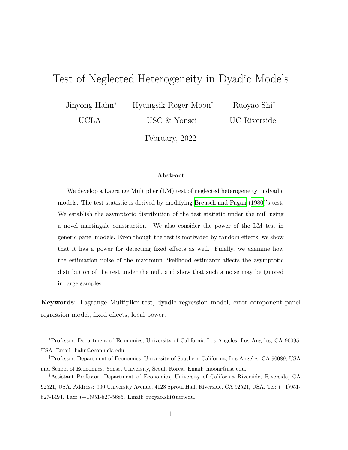## Test of Neglected Heterogeneity in Dyadic Models

Jinyong Hahn<sup>∗</sup>

Hyungsik Roger Moon†

UCLA

USC & Yonsei

Ruoyao Shi‡ UC Riverside

February, 2022

#### **Abstract**

We develop a Lagrange Multiplier (LM) test of neglected heterogeneity in dyadic models. The test statistic is derived by modifying [Breusch and Pagan](#page-74-0) ([1980\)](#page-74-0)'s test. We establish the asymptotic distribution of the test statistic under the null using a novel martingale construction. We also consider the power of the LM test in generic panel models. Even though the test is motivated by random effects, we show that it has a power for detecting fixed effects as well. Finally, we examine how the estimation noise of the maximum likelihood estimator affects the asymptotic distribution of the test under the null, and show that such a noise may be ignored in large samples.

**Keywords**: Lagrange Multiplier test, dyadic regression model, error component panel regression model, fixed effects, local power.

<sup>∗</sup>Professor, Department of Economics, University of California Los Angeles, Los Angeles, CA 90095, USA. Email: hahn@econ.ucla.edu.

<sup>†</sup>Professor, Department of Economics, University of Southern California, Los Angeles, CA 90089, USA and School of Economics, Yonsei University, Seoul, Korea. Email: moonr@usc.edu.

<sup>‡</sup>Assistant Professor, Department of Economics, University of California Riverside, Riverside, CA 92521, USA. Address: 900 University Avenue, 4128 Sproul Hall, Riverside, CA 92521, USA. Tel: (+1)951- 827-1494. Fax: (+1)951-827-5685. Email: ruoyao.shi@ucr.edu.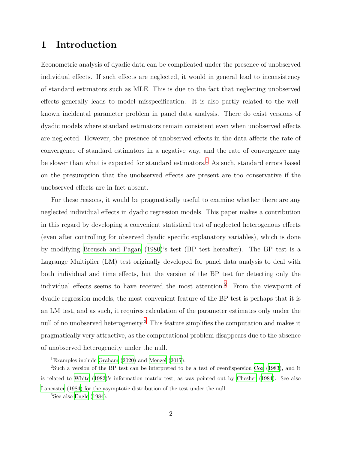## **1 Introduction**

Econometric analysis of dyadic data can be complicated under the presence of unobserved individual effects. If such effects are neglected, it would in general lead to inconsistency of standard estimators such as MLE. This is due to the fact that neglecting unobserved effects generally leads to model misspecification. It is also partly related to the wellknown incidental parameter problem in panel data analysis. There do exist versions of dyadic models where standard estimators remain consistent even when unobserved effects are neglected. However, the presence of unobserved effects in the data affects the rate of convergence of standard estimators in a negative way, and the rate of convergence may be slower than what is expected for standard estimators.<sup>1</sup> As such, standard errors based on the presumption that the unobserved effects are present are too conservative if the unobserved effects are in fact absent.

For these reasons, it would be pragmatically useful to examine whether there are any neglected individual effects in dyadic regression models. This paper makes a contribution in this regard by developing a convenient statistical test of neglected heterogenous effects (even after controlling for observed dyadic specific explanatory variables), which is done by modifying [Breusch and Pagan](#page-74-0) ([1980](#page-74-0))'s test (BP test hereafter). The BP test is a Lagrange Multiplier (LM) test originally developed for panel data analysis to deal with both individual and time effects, but the version of the BP test for detecting only the individual effects seems to have received the most attention.2 From the viewpoint of dyadic regression models, the most convenient feature of the BP test is perhaps that it is an LM test, and as such, it requires calculation of the parameter estimates only under the null of no unobserved heterogeneity.<sup>3</sup> This feature simplifies the computation and makes it pragmatically very attractive, as the computational problem disappears due to the absence of unobserved heterogeneity under the null.

<sup>&</sup>lt;sup>1</sup>Examples include [Graham](#page-75-0)  $(2020)$  $(2020)$  and [Menzel](#page-76-0)  $(2017)$  $(2017)$ .

<sup>2</sup>Such a version of the BP test can be interpreted to be a test of overdispersion [Cox](#page-74-1) ([1983\)](#page-74-1), and it is related to [White](#page-76-1) ([1982\)](#page-76-1)'s information matrix test, as was pointed out by [Chesher](#page-74-2) ([1984\)](#page-74-2). See also [Lancaster](#page-75-1) [\(1984](#page-75-1)) for the asymptotic distribution of the test under the null.

 ${}^{3}$ See also [Engle](#page-75-2) ([1984\)](#page-75-2).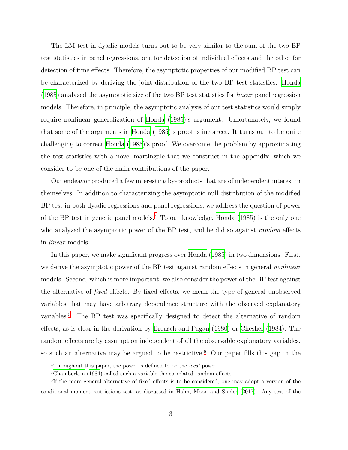The LM test in dyadic models turns out to be very similar to the sum of the two BP test statistics in panel regressions, one for detection of individual effects and the other for detection of time effects. Therefore, the asymptotic properties of our modified BP test can be characterized by deriving the joint distribution of the two BP test statistics. [Honda](#page-75-3) ([1985\)](#page-75-3) analyzed the asymptotic size of the two BP test statistics for *linear* panel regression models. Therefore, in principle, the asymptotic analysis of our test statistics would simply require nonlinear generalization of [Honda](#page-75-3) ([1985](#page-75-3))'s argument. Unfortunately, we found that some of the arguments in [Honda](#page-75-3) [\(1985\)](#page-75-3)'s proof is incorrect. It turns out to be quite challenging to correct [Honda](#page-75-3) ([1985](#page-75-3))'s proof. We overcome the problem by approximating the test statistics with a novel martingale that we construct in the appendix, which we consider to be one of the main contributions of the paper.

Our endeavor produced a few interesting by-products that are of independent interest in themselves. In addition to characterizing the asymptotic null distribution of the modified BP test in both dyadic regressions and panel regressions, we address the question of power of the BP test in generic panel models.4 To our knowledge, [Honda](#page-75-3) [\(1985](#page-75-3)) is the only one who analyzed the asymptotic power of the BP test, and he did so against *random* effects in *linear* models.

In this paper, we make significant progress over [Honda](#page-75-3) [\(1985](#page-75-3)) in two dimensions. First, we derive the asymptotic power of the BP test against random effects in general *nonlinear* models. Second, which is more important, we also consider the power of the BP test against the alternative of *fixed* effects. By fixed effects, we mean the type of general unobserved variables that may have arbitrary dependence structure with the observed explanatory variables.5 The BP test was specifically designed to detect the alternative of random effects, as is clear in the derivation by [Breusch and Pagan](#page-74-0) [\(1980](#page-74-0)) or [Chesher](#page-74-2) ([1984](#page-74-2)). The random effects are by assumption independent of all the observable explanatory variables, so such an alternative may be argued to be restrictive.<sup>6</sup> Our paper fills this gap in the

<sup>4</sup>Throughout this paper, the power is defined to be the *local* power.

<sup>&</sup>lt;sup>5</sup>[Chamberlain](#page-74-3) ([1984\)](#page-74-3) called such a variable the correlated random effects.

<sup>&</sup>lt;sup>6</sup>If the more general alternative of fixed effects is to be considered, one may adopt a version of the conditional moment restrictions test, as discussed in [Hahn, Moon and Snider](#page-75-4) [\(2017](#page-75-4)). Any test of the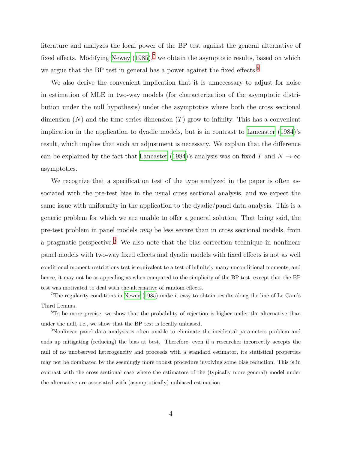literature and analyzes the local power of the BP test against the general alternative of fixed effects. Modifying [Newey](#page-76-2)  $(1985)$  $(1985)$  $(1985)$ ,<sup>7</sup> we obtain the asymptotic results, based on which we argue that the BP test in general has a power against the fixed effects.<sup>8</sup>

We also derive the convenient implication that it is unnecessary to adjust for noise in estimation of MLE in two-way models (for characterization of the asymptotic distribution under the null hypothesis) under the asymptotics where both the cross sectional dimension (*N*) and the time series dimension (*T*) grow to infinity. This has a convenient implication in the application to dyadic models, but is in contrast to [Lancaster](#page-75-1) [\(1984\)](#page-75-1)'s result, which implies that such an adjustment is necessary. We explain that the difference can be explained by the fact that [Lancaster](#page-75-1) [\(1984\)](#page-75-1)'s analysis was on fixed *T* and  $N \to \infty$ asymptotics.

We recognize that a specification test of the type analyzed in the paper is often associated with the pre-test bias in the usual cross sectional analysis, and we expect the same issue with uniformity in the application to the dyadic/panel data analysis. This is a generic problem for which we are unable to offer a general solution. That being said, the pre-test problem in panel models *may* be less severe than in cross sectional models, from a pragmatic perspective.9 We also note that the bias correction technique in nonlinear panel models with two-way fixed effects and dyadic models with fixed effects is not as well conditional moment restrictions test is equivalent to a test of infinitely many unconditional moments, and hence, it may not be as appealing as when compared to the simplicity of the BP test, except that the BP test was motivated to deal with the alternative of random effects.

<sup>9</sup>Nonlinear panel data analysis is often unable to eliminate the incidental parameters problem and ends up mitigating (reducing) the bias at best. Therefore, even if a researcher incorrectly accepts the null of no unobserved heterogeneity and proceeds with a standard estimator, its statistical properties may not be dominated by the seemingly more robust procedure involving some bias reduction. This is in contrast with the cross sectional case where the estimators of the (typically more general) model under the alternative are associated with (asymptotically) unbiased estimation.

<sup>7</sup>The regularity conditions in [Newey](#page-76-2) [\(1985](#page-76-2)) make it easy to obtain results along the line of Le Cam's Third Lemma.

<sup>&</sup>lt;sup>8</sup>To be more precise, we show that the probability of rejection is higher under the alternative than under the null, i.e., we show that the BP test is locally unbiased.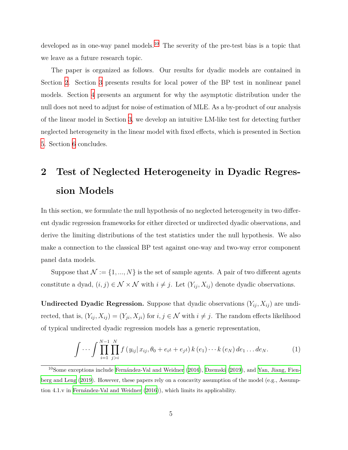developed as in one-way panel models.<sup>10</sup> The severity of the pre-test bias is a topic that we leave as a future research topic.

The paper is organized as follows. Our results for dyadic models are contained in Section [2](#page-4-0). Section [3](#page-15-0) presents results for local power of the BP test in nonlinear panel models. Section [4](#page-25-0) presents an argument for why the asymptotic distribution under the null does not need to adjust for noise of estimation of MLE. As a by-product of our analysis of the linear model in Section [3,](#page-15-0) we develop an intuitive LM-like test for detecting further neglected heterogeneity in the linear model with fixed effects, which is presented in Section [5.](#page-26-0) Section [6](#page-28-0) concludes.

# <span id="page-4-0"></span>**2 Test of Neglected Heterogeneity in Dyadic Regression Models**

In this section, we formulate the null hypothesis of no neglected heterogeneity in two different dyadic regression frameworks for either directed or undirected dyadic observations, and derive the limiting distributions of the test statistics under the null hypothesis. We also make a connection to the classical BP test against one-way and two-way error component panel data models.

Suppose that  $\mathcal{N} := \{1, ..., N\}$  is the set of sample agents. A pair of two different agents constitute a dyad,  $(i, j) \in \mathcal{N} \times \mathcal{N}$  with  $i \neq j$ . Let  $(Y_{ij}, X_{ij})$  denote dyadic observations.

**Undirected Dyadic Regression.** Suppose that dyadic observations  $(Y_{ij}, X_{ij})$  are undirected, that is,  $(Y_{ij}, X_{ij}) = (Y_{ji}, X_{ji})$  for  $i, j \in \mathcal{N}$  with  $i \neq j$ . The random effects likelihood of typical undirected dyadic regression models has a generic representation,

<span id="page-4-1"></span>
$$
\int \cdots \int \prod_{i=1}^{N-1} \prod_{j>i}^{N} f(y_{ij} | x_{ij}, \theta_0 + e_i t + e_j t) k(e_1) \cdots k(e_N) de_1 \ldots de_N.
$$
 (1)

 $10$ Some exceptions include [Fernández-Val and Weidner](#page-75-5) ([2016\)](#page-75-5), [Dzemski](#page-75-6) ([2019\)](#page-75-6), and [Yan, Jiang, Fien](#page-76-3)[berg and Leng](#page-76-3) [\(2019](#page-76-3)). However, these papers rely on a concavity assumption of the model (e.g., Assumption 4.1.v in [Fernández-Val and Weidner](#page-75-5) [\(2016](#page-75-5))), which limits its applicability.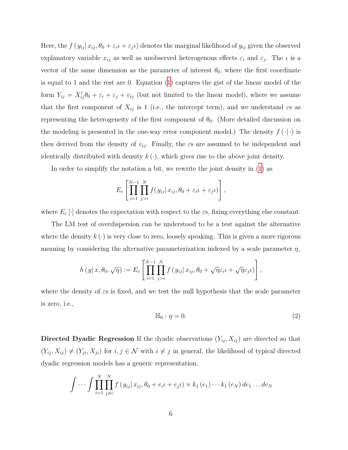Here, the  $f(y_{ij}|x_{ij}, \theta_0 + \varepsilon_i t + \varepsilon_j t)$  denotes the marginal likelihood of  $y_{ij}$  given the observed explanatory variable  $x_{ij}$  as well as unobserved heterogenous effects  $\varepsilon_i$  and  $\varepsilon_j$ . The *ι* is a vector of the same dimension as the parameter of interest  $\theta_0$ , where the first coordinate is equal to 1 and the rest are 0. Equation [\(1](#page-4-1)) captures the gist of the linear model of the form  $Y_{ij} = X'_{ij}\theta_0 + \varepsilon_i + \varepsilon_j + v_{ij}$  (but not limited to the linear model), where we assume that the first component of  $X_{ij}$  is 1 (i.e., the intercept term), and we understand  $\varepsilon s$  as representing the heterogeneity of the first component of  $\theta_0$ . (More detailed discussion on the modeling is presented in the one-way error component model.) The density  $f(\cdot|\cdot)$  is then derived from the density of  $v_{ij}$ . Finally, the *ε*s are assumed to be independent and identically distributed with density  $k(\cdot)$ , which gives rise to the above joint density.

In order to simplify the notation a bit, we rewrite the joint density in ([1\)](#page-4-1) as

$$
E_{\varepsilon}\left[\prod_{i=1}^{N-1}\prod_{j>i}^{N}f(y_{ij}|x_{ij},\theta_0+\varepsilon_i t+\varepsilon_j t)\right],
$$

where  $E_{\varepsilon}$  [·] denotes the expectation with respect to the  $\varepsilon$ s, fixing everything else constant.

The LM test of overdispersion can be understood to be a test against the alternative where the density  $k(\cdot)$  is very close to zero, loosely speaking. This is given a more rigorous meaning by considering the alternative parameterization indexed by a scale parameter  $\eta$ ,

$$
h(y|x, \theta_0, \sqrt{\eta}) := E_{\varepsilon} \left[ \prod_{i=1}^{N-1} \prod_{j>i}^N f(y_{ij}|x_{ij}, \theta_0 + \sqrt{\eta} \varepsilon_i \iota + \sqrt{\eta} \varepsilon_j \iota) \right],
$$

where the density of  $\epsilon s$  is fixed, and we test the null hypothesis that the scale parameter is zero, i.e.,

$$
\mathbb{H}_0: \eta = 0. \tag{2}
$$

**Directed Dyadic Regression** If the dyadic observations  $(Y_{ij}, X_{ij})$  are directed so that  $(Y_{ij}, X_{ij}) \neq (Y_{ji}, X_{ji})$  for  $i, j \in \mathcal{N}$  with  $i \neq j$  in general, the likelihood of typical directed dyadic regression models has a generic representation,

$$
\int \cdots \int \prod_{i=1}^{N} \prod_{j \neq i}^{N} f(y_{ij} | x_{ij}, \theta_0 + e_i t + e_j t) \times k_1(e_1) \cdots k_1(e_N) de_1 \ldots de_N
$$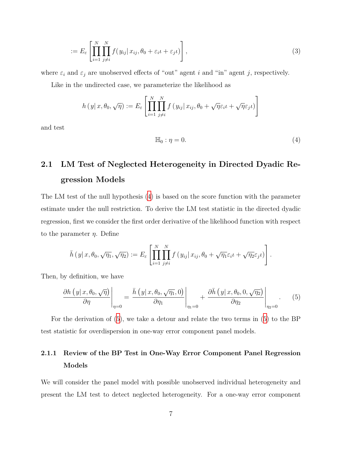$$
:= E_{\varepsilon} \left[ \prod_{i=1}^{N} \prod_{j \neq i}^{N} f(y_{ij} | x_{ij}, \theta_0 + \varepsilon_i t + \varepsilon_j t) \right], \tag{3}
$$

where  $\varepsilon_i$  and  $\varepsilon_j$  are unobserved effects of "out" agent *i* and "in" agent *j*, respectively.

Like in the undirected case, we parameterize the likelihood as

$$
h(y|x, \theta_0, \sqrt{\eta}) := E_{\varepsilon} \left[ \prod_{i=1}^N \prod_{j \neq i}^N f(y_{ij}|x_{ij}, \theta_0 + \sqrt{\eta} \varepsilon_i \iota + \sqrt{\eta} \varepsilon_j \iota) \right]
$$

and test

<span id="page-6-2"></span><span id="page-6-0"></span>
$$
\mathbb{H}_0: \eta = 0. \tag{4}
$$

# **2.1 LM Test of Neglected Heterogeneity in Directed Dyadic Regression Models**

The LM test of the null hypothesis ([4\)](#page-6-0) is based on the score function with the parameter estimate under the null restriction. To derive the LM test statistic in the directed dyadic regression, first we consider the first order derivative of the likelihood function with respect to the parameter *η*. Define

$$
\bar{h}(y|x,\theta_0,\sqrt{\eta_1},\sqrt{\eta_2}) := E_{\varepsilon}\left[\prod_{i=1}^N\prod_{j\neq i}^N f(y_{ij}|x_{ij},\theta_0+\sqrt{\eta_1}\varepsilon_i t+\sqrt{\eta_2}\varepsilon_j t)\right].
$$

Then, by definition, we have

<span id="page-6-1"></span>
$$
\frac{\partial h\left(y|x,\theta_0,\sqrt{\eta}\right)}{\partial \eta}\Big|_{\eta=0} = \frac{\bar{h}\left(y|x,\theta_0,\sqrt{\eta_1},0\right)}{\partial \eta_1}\Big|_{\eta_1=0} + \frac{\partial \bar{h}\left(y|x,\theta_0,0,\sqrt{\eta_2}\right)}{\partial \eta_2}\Big|_{\eta_2=0}.\tag{5}
$$

For the derivation of ([5\)](#page-6-1), we take a detour and relate the two terms in [\(5](#page-6-1)) to the BP test statistic for overdispersion in one-way error component panel models.

### **2.1.1 Review of the BP Test in One-Way Error Component Panel Regression Models**

We will consider the panel model with possible unobserved individual heterogeneity and present the LM test to detect neglected heterogeneity. For a one-way error component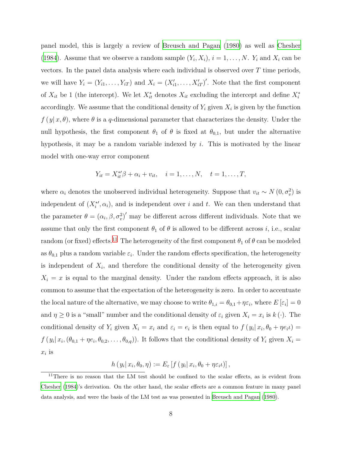panel model, this is largely a review of [Breusch and Pagan](#page-74-0) ([1980](#page-74-0)) as well as [Chesher](#page-74-2) ([1984\)](#page-74-2). Assume that we observe a random sample  $(Y_i, X_i)$ ,  $i = 1, ..., N$ .  $Y_i$  and  $X_i$  can be vectors. In the panel data analysis where each individual is observed over *T* time periods, we will have  $Y_i = (Y_{i1}, \ldots, Y_{iT})$  and  $X_i = (X'_{i1}, \ldots, X'_{iT})'$ . Note that the first component of  $X_{it}$  be 1 (the intercept). We let  $X_{it}^*$  denotes  $X_{it}$  excluding the intercept and define  $X_i^*$ accordingly. We assume that the conditional density of  $Y_i$  given  $X_i$  is given by the function  $f(y|x, \theta)$ , where  $\theta$  is a *q*-dimensional parameter that characterizes the density. Under the null hypothesis, the first component  $\theta_1$  of  $\theta$  is fixed at  $\theta_{0,1}$ , but under the alternative hypothesis, it may be a random variable indexed by *i*. This is motivated by the linear model with one-way error component

$$
Y_{it} = X_{it}^{*}/\beta + \alpha_i + v_{it}, \quad i = 1, ..., N, \quad t = 1, ..., T,
$$

where  $\alpha_i$  denotes the unobserved individual heterogeneity. Suppose that  $v_{it} \sim N(0, \sigma_v^2)$  is independent of  $(X_i^*, \alpha_i)$ , and is independent over *i* and *t*. We can then understand that the parameter  $\theta = (\alpha_i, \beta, \sigma_v^2)'$  may be different across different individuals. Note that we assume that only the first component  $\theta_1$  of  $\theta$  is allowed to be different across *i*, i.e., scalar random (or fixed) effects.<sup>11</sup> The heterogeneity of the first component  $\theta_1$  of  $\theta$  can be modeled as  $\theta_{0,1}$  plus a random variable  $\varepsilon_i$ . Under the random effects specification, the heterogeneity is independent of  $X_i$ , and therefore the conditional density of the heterogeneity given  $X_i = x$  is equal to the marginal density. Under the random effects approach, it is also common to assume that the expectation of the heterogeneity is zero. In order to accentuate the local nature of the alternative, we may choose to write  $\theta_{1,i} = \theta_{0,1} + \eta \varepsilon_i$ , where  $E[\varepsilon_i] = 0$ and  $\eta \geq 0$  is a "small" number and the conditional density of  $\varepsilon_i$  given  $X_i = x_i$  is  $k(\cdot)$ . The conditional density of  $Y_i$  given  $X_i = x_i$  and  $\varepsilon_i = e_i$  is then equal to  $f(y_i | x_i, \theta_0 + \eta e_i t) =$  $f(y_i|x_i, (\theta_{0,1} + \eta e_i, \theta_{0,2}, \dots, \theta_{0,q}))$ . It follows that the conditional density of  $Y_i$  given  $X_i =$ *xi* is

$$
h(y_i|x_i, \theta_0, \eta) := E_{\varepsilon} \left[ f(y_i|x_i, \theta_0 + \eta \varepsilon_i \iota) \right],
$$

<sup>&</sup>lt;sup>11</sup>There is no reason that the LM test should be confined to the scalar effects, as is evident from [Chesher](#page-74-2) ([1984](#page-74-2))'s derivation. On the other hand, the scalar effects are a common feature in many panel data analysis, and were the basis of the LM test as was presented in [Breusch and Pagan](#page-74-0) ([1980](#page-74-0)).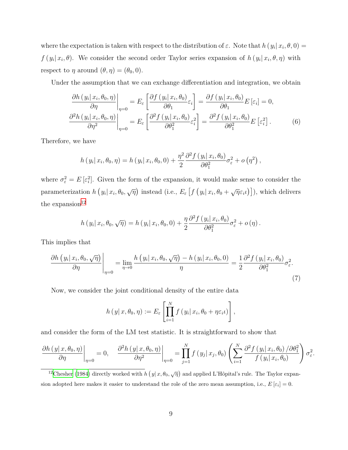where the expectation is taken with respect to the distribution of  $\varepsilon$ . Note that  $h(y_i|x_i, \theta, 0) =$ *f* (*y*<sub>*i*</sub>| *x*<sub>*i*</sub>, *θ*). We consider the second order Taylor series expansion of  $h(y_i|x_i, \theta, \eta)$  with respect to  $\eta$  around  $(\theta, \eta) = (\theta_0, 0)$ .

Under the assumption that we can exchange differentiation and integration, we obtain

$$
\frac{\partial h\left(y_i|x_i, \theta_0, \eta\right)}{\partial \eta}\Big|_{\eta=0} = E_{\varepsilon} \left[ \frac{\partial f\left(y_i|x_i, \theta_0\right)}{\partial \theta_1} \varepsilon_i \right] = \frac{\partial f\left(y_i|x_i, \theta_0\right)}{\partial \theta_1} E\left[\varepsilon_i\right] = 0,
$$
\n
$$
\frac{\partial^2 h\left(y_i|x_i, \theta_0, \eta\right)}{\partial \eta^2}\Big|_{\eta=0} = E_{\varepsilon} \left[ \frac{\partial^2 f\left(y_i|x_i, \theta_0\right)}{\partial \theta_1^2} \varepsilon_i^2 \right] = \frac{\partial^2 f\left(y_i|x_i, \theta_0\right)}{\partial \theta_1^2} E\left[\varepsilon_i^2\right].
$$
\n(6)

Therefore, we have

<span id="page-8-0"></span>
$$
h(y_i|x_i, \theta_0, \eta) = h(y_i|x_i, \theta_0, 0) + \frac{\eta^2}{2} \frac{\partial^2 f(y_i|x_i, \theta_0)}{\partial \theta_1^2} \sigma_{\varepsilon}^2 + o(\eta^2),
$$

where  $\sigma_{\varepsilon}^2 = E\left[\varepsilon_i^2\right]$ . Given the form of the expansion, it would make sense to consider the parameterization  $h(y_i|x_i, \theta_0, \sqrt{\eta})$  instead (i.e.,  $E_{\varepsilon} [f(y_i|x_i, \theta_0 + \sqrt{\eta} \varepsilon_i \iota)]$ ), which delivers the expansion $12$ 

$$
h(y_i|x_i, \theta_0, \sqrt{\eta}) = h(y_i|x_i, \theta_0, 0) + \frac{\eta}{2} \frac{\partial^2 f(y_i|x_i, \theta_0)}{\partial \theta_1^2} \sigma_{\varepsilon}^2 + o(\eta).
$$

This implies that

<span id="page-8-1"></span>
$$
\frac{\partial h\left(y_i|x_i, \theta_0, \sqrt{\eta}\right)}{\partial \eta}\Big|_{\eta=0} = \lim_{\eta \to 0} \frac{h\left(y_i|x_i, \theta_0, \sqrt{\eta}\right) - h\left(y_i|x_i, \theta_0, 0\right)}{\eta} = \frac{1}{2} \frac{\partial^2 f\left(y_i|x_i, \theta_0\right)}{\partial \theta_1^2} \sigma_{\varepsilon}^2. \tag{7}
$$

Now, we consider the joint conditional density of the entire data

$$
h(y|x, \theta_0, \eta) := E_{\varepsilon} \left[ \prod_{i=1}^N f(y_i | x_i, \theta_0 + \eta \varepsilon_i \iota) \right],
$$

and consider the form of the LM test statistic. It is straightforward to show that

$$
\frac{\partial h\left(y|x,\theta_0,\eta\right)}{\partial \eta}\bigg|_{\eta=0} = 0, \quad \frac{\partial^2 h\left(y|x,\theta_0,\eta\right)}{\partial \eta^2}\bigg|_{\eta=0} = \prod_{j=1}^N f\left(y_j|x_j,\theta_0\right) \left(\sum_{i=1}^N \frac{\partial^2 f\left(y_i|x_i,\theta_0\right)/\partial \theta_1^2}{f\left(y_i|x_i,\theta_0\right)}\right) \sigma_{\varepsilon}^2.
$$

<sup>&</sup>lt;sup>12</sup>[Chesher](#page-74-2) [\(1984](#page-74-2)) directly worked with *h*  $(y|x, \theta_0, \sqrt{\eta})$  and applied L'Hôpital's rule. The Taylor expansion adopted here makes it easier to understand the role of the zero mean assumption, i.e.,  $E\left[\varepsilon_i\right] = 0$ .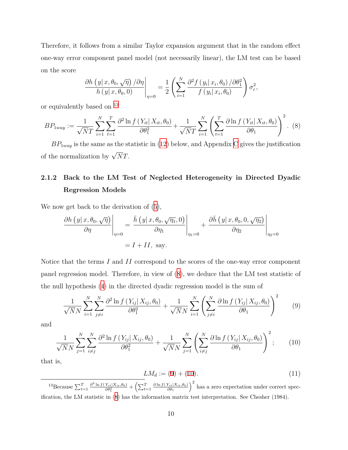Therefore, it follows from a similar Taylor expansion argument that in the random effect one-way error component panel model (not necessarily linear), the LM test can be based on the score

$$
\frac{\partial h\left(y|x,\theta_0,\sqrt{\eta}\right)/\partial\eta}{h\left(y|x,\theta_0,0\right)}\Bigg|_{\eta=0} = \frac{1}{2}\left(\sum_{i=1}^N \frac{\partial^2 f\left(y_i|x_i,\theta_0\right)/\partial\theta_1^2}{f\left(y_i|x_i,\theta_0\right)}\right)\sigma_{\varepsilon}^2,
$$

or equivalently based on 13

<span id="page-9-0"></span>
$$
BP_{1way} := \frac{1}{\sqrt{N}T} \sum_{i=1}^{N} \sum_{t=1}^{T} \frac{\partial^2 \ln f(Y_{it} | X_{it}, \theta_0)}{\partial \theta_1^2} + \frac{1}{\sqrt{N}T} \sum_{i=1}^{N} \left( \sum_{t=1}^{T} \frac{\partial \ln f(Y_{it} | X_{it}, \theta_0)}{\partial \theta_1} \right)^2.
$$
 (8)

 $BP_{1way}$  is the same as the statistic in [\(12](#page-10-0)) below, and Appendix [C](#page-70-0) gives the justification of the normalization by  $\sqrt{N}T$ .

## **2.1.2 Back to the LM Test of Neglected Heterogeneity in Directed Dyadic Regression Models**

We now get back to the derivation of  $(5)$  $(5)$ ,

$$
\frac{\partial h\left(y|x,\theta_0,\sqrt{\eta}\right)}{\partial \eta}\Big|_{\eta=0} = \frac{\bar{h}\left(y|x,\theta_0,\sqrt{\eta_1},0\right)}{\partial \eta_1}\Big|_{\eta_1=0} + \frac{\partial \bar{h}\left(y|x,\theta_0,0,\sqrt{\eta_2}\right)}{\partial \eta_2}\Big|_{\eta_2=0}
$$

$$
= I + II, \text{ say.}
$$

Notice that the terms *I* and *II* correspond to the scores of the one-way error component panel regression model. Therefore, in view of [\(8](#page-9-0)), we deduce that the LM test statistic of the null hypothesis [\(4](#page-6-0)) in the directed dyadic regression model is the sum of

<span id="page-9-1"></span>
$$
\frac{1}{\sqrt{N}N} \sum_{i=1}^{N} \sum_{j \neq i}^{N} \frac{\partial^2 \ln f(Y_{ij} | X_{ij}, \theta_0)}{\partial \theta_1^2} + \frac{1}{\sqrt{N}N} \sum_{i=1}^{N} \left( \sum_{j \neq i}^{N} \frac{\partial \ln f(Y_{ij} | X_{ij}, \theta_0)}{\partial \theta_1} \right)^2 \tag{9}
$$

and

<span id="page-9-2"></span>
$$
\frac{1}{\sqrt{N}N} \sum_{j=1}^{N} \sum_{i \neq j}^{N} \frac{\partial^2 \ln f(Y_{ij} | X_{ij}, \theta_0)}{\partial \theta_1^2} + \frac{1}{\sqrt{N}N} \sum_{j=1}^{N} \left( \sum_{i \neq j}^{N} \frac{\partial \ln f(Y_{ij} | X_{ij}, \theta_0)}{\partial \theta_1} \right)^2; \tag{10}
$$

that is,

<span id="page-9-3"></span>
$$
LM_d := (9) + (10). \tag{11}
$$

<sup>13</sup>Because  $\sum_{t=1}^T \frac{\partial^2 \ln f(Y_{it}|X_{it}, \theta_0)}{\partial \theta_1^2} + \left(\sum_{t=1}^T \frac{\partial \ln f(Y_{it}|X_{it}, \theta_0)}{\partial \theta_1}\right)^2$  has a zero expectation under correct specification, the LM statistic in [\(8](#page-9-0)) has the information matrix test interpretation. See Chesher (1984).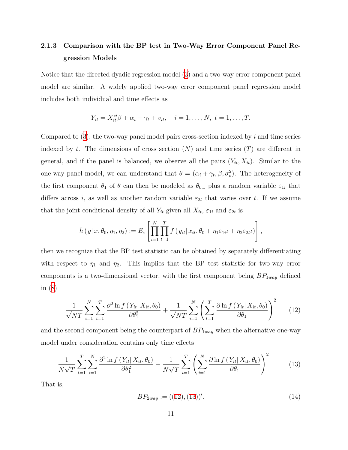### **2.1.3 Comparison with the BP test in Two-Way Error Component Panel Regression Models**

Notice that the directed dyadic regression model ([3\)](#page-6-2) and a two-way error component panel model are similar. A widely applied two-way error component panel regression model includes both individual and time effects as

$$
Y_{it} = X_{it}^{*\prime} \beta + \alpha_i + \gamma_t + v_{it}, \quad i = 1, ..., N, \ t = 1, ..., T.
$$

Compared to [\(3](#page-6-2)), the two-way panel model pairs cross-section indexed by *i* and time series indexed by *t*. The dimensions of cross section  $(N)$  and time series  $(T)$  are different in general, and if the panel is balanced, we observe all the pairs  $(Y_{it}, X_{it})$ . Similar to the one-way panel model, we can understand that  $\theta = (\alpha_i + \gamma_t, \beta, \sigma_v^2)$ . The heterogeneity of the first component  $\theta_1$  of  $\theta$  can then be modeled as  $\theta_{0,1}$  plus a random variable  $\varepsilon_{1i}$  that differs across *i*, as well as another random variable  $\varepsilon_{2t}$  that varies over *t*. If we assume that the joint conditional density of all  $Y_{it}$  given all  $X_{it}$ ,  $\varepsilon_{1i}$  and  $\varepsilon_{2t}$  is

$$
\bar{h}(y|x,\theta_0,\eta_1,\eta_2) := E_{\varepsilon}\left[\prod_{i=1}^N\prod_{t=1}^T f(y_{it}|x_{it},\theta_0+\eta_1\varepsilon_{1i}t+\eta_2\varepsilon_{2t}t)\right],
$$

then we recognize that the BP test statistic can be obtained by separately differentiating with respect to  $\eta_1$  and  $\eta_2$ . This implies that the BP test statistic for two-way error components is a two-dimensional vector, with the first component being  $BP_{1way}$  defined in [\(8](#page-9-0))

<span id="page-10-0"></span>
$$
\frac{1}{\sqrt{N}T} \sum_{i=1}^{N} \sum_{t=1}^{T} \frac{\partial^2 \ln f(Y_{it} | X_{it}, \theta_0)}{\partial \theta_1^2} + \frac{1}{\sqrt{N}T} \sum_{i=1}^{N} \left( \sum_{t=1}^{T} \frac{\partial \ln f(Y_{it} | X_{it}, \theta_0)}{\partial \theta_1} \right)^2 \tag{12}
$$

and the second component being the counterpart of  $BP_{1way}$  when the alternative one-way model under consideration contains only time effects

<span id="page-10-1"></span>
$$
\frac{1}{N\sqrt{T}}\sum_{t=1}^{T}\sum_{i=1}^{N}\frac{\partial^2\ln f\left(Y_{it}|X_{it},\theta_0\right)}{\partial\theta_1^2} + \frac{1}{N\sqrt{T}}\sum_{t=1}^{T}\left(\sum_{i=1}^{N}\frac{\partial\ln f\left(Y_{it}|X_{it},\theta_0\right)}{\partial\theta_1}\right)^2.
$$
 (13)

That is,

<span id="page-10-2"></span>
$$
BP_{2way} := ((12), (13))'.
$$
\n(14)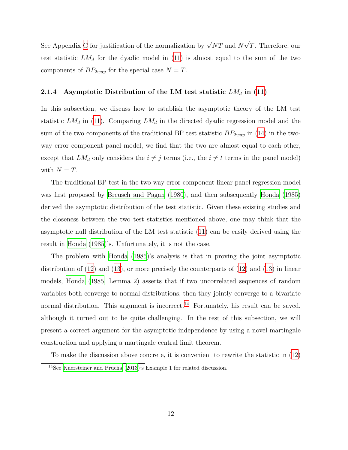See Appendix [C](#page-70-0) for justification of the normalization by  $\sqrt{N}T$  and N *√ T*. Therefore, our test statistic  $LM_d$  for the dyadic model in  $(11)$  $(11)$  is almost equal to the sum of the two components of  $BP_{2way}$  for the special case  $N = T$ .

### **2.1.4 Asymptotic Distribution of the LM test statistic** *LM<sup>d</sup>* **in [\(11\)](#page-9-3)**

In this subsection, we discuss how to establish the asymptotic theory of the LM test statistic  $LM_d$  in ([11](#page-9-3)). Comparing  $LM_d$  in the directed dyadic regression model and the sum of the two components of the traditional BP test statistic  $BP_{2way}$  in [\(14](#page-10-2)) in the twoway error component panel model, we find that the two are almost equal to each other, except that  $LM_d$  only considers the  $i \neq j$  terms (i.e., the  $i \neq t$  terms in the panel model) with  $N = T$ .

The traditional BP test in the two-way error component linear panel regression model was first proposed by [Breusch and Pagan](#page-74-0) ([1980](#page-74-0)), and then subsequently [Honda](#page-75-3) [\(1985\)](#page-75-3) derived the asymptotic distribution of the test statistic. Given these existing studies and the closeness between the two test statistics mentioned above, one may think that the asymptotic null distribution of the LM test statistic [\(11\)](#page-9-3) can be easily derived using the result in [Honda](#page-75-3) [\(1985\)](#page-75-3)'s. Unfortunately, it is not the case.

The problem with [Honda](#page-75-3) ([1985](#page-75-3))'s analysis is that in proving the joint asymptotic distribution of [\(12](#page-10-0)) and [\(13](#page-10-1)), or more precisely the counterparts of [\(12\)](#page-10-0) and [\(13\)](#page-10-1) in linear models, [Honda](#page-75-3) ([1985](#page-75-3), Lemma 2) asserts that if two uncorrelated sequences of random variables both converge to normal distributions, then they jointly converge to a bivariate normal distribution. This argument is incorrect.<sup>14</sup> Fortunately, his result can be saved, although it turned out to be quite challenging. In the rest of this subsection, we will present a correct argument for the asymptotic independence by using a novel martingale construction and applying a martingale central limit theorem.

To make the discussion above concrete, it is convenient to rewrite the statistic in ([12\)](#page-10-0)

 $14$ See [Kuersteiner and Prucha](#page-75-7) [\(2013](#page-75-7))'s Example 1 for related discussion.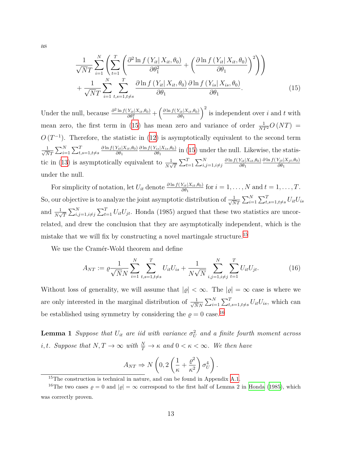<span id="page-12-0"></span>
$$
\frac{1}{\sqrt{N}T} \sum_{i=1}^{N} \left( \sum_{t=1}^{T} \left( \frac{\partial^2 \ln f(Y_{it} | X_{it}, \theta_0)}{\partial \theta_1^2} + \left( \frac{\partial \ln f(Y_{it} | X_{it}, \theta_0)}{\partial \theta_1} \right)^2 \right) \right) + \frac{1}{\sqrt{N}T} \sum_{i=1}^{N} \sum_{t,s=1, t \neq s}^{T} \frac{\partial \ln f(Y_{it} | X_{it}, \theta_0)}{\partial \theta_1} \frac{\partial \ln f(Y_{is} | X_{is}, \theta_0)}{\partial \theta_1}.
$$
\n(15)

Under the null, because  $\frac{\partial^2 \ln f(Y_{it}|X_{it},\theta_0)}{\partial \theta_1^2} + \left(\frac{\partial \ln f(Y_{it}|X_{it},\theta_0)}{\partial \theta_1}\right)$  $\int_0^2$  is independent over *i* and *t* with mean zero, the first term in ([15\)](#page-12-0) has mean zero and variance of order  $\frac{1}{NT^2}O(NT)$  =  $O(T^{-1})$ . Therefore, the statistic in [\(12\)](#page-10-0) is asymptotically equivalent to the second term  $\frac{1}{\sqrt{2}}$  $\frac{1}{NT}$   $\sum_{i=1}^{N} \sum_{t,s=1,t \neq s}^{T}$  $\frac{\partial \ln f(Y_{it}|X_{it},\theta_0)}{\partial \theta_1} \frac{\partial \ln f(Y_{is}|X_{is},\theta_0)}{\partial \theta_1}$  in ([15](#page-12-0)) under the null. Likewise, the statis-tic in ([13](#page-10-1)) is asymptotically equivalent to  $\frac{1}{N\sqrt{T}}\sum_{t=1}^{T}\sum_{i,j=1,i\neq j}^{N}$  $\frac{\partial \ln f(Y_{it}|X_{it},\theta_0)}{\partial \theta_1}$ *∂* ln *f*(*Yjt|Xjt,θ*0) *∂θ*<sup>1</sup> under the null.

For simplicity of notation, let  $U_{it}$  denote  $\frac{\partial \ln f(Y_{it}|X_{it},\theta_0)}{\partial \theta_1}$  for  $i=1,\ldots,N$  and  $t=1,\ldots,T$ . So, our objective is to analyze the joint asymptotic distribution of *<sup>√</sup>* 1  $\frac{1}{NT}$   $\sum_{i=1}^{N} \sum_{t,s=1,t\neq s}^{T} U_{it} U_{is}$ and  $\frac{1}{N\sqrt{T}}\sum_{i,j=1,i\neq j}^{N}\sum_{t=1}^{T}U_{it}U_{jt}$ . Honda (1985) argued that these two statistics are uncorrelated, and drew the conclusion that they are asymptotically independent, which is the mistake that we will fix by constructing a novel martingale structure.15

We use the Cramér-Wold theorem and define

$$
A_{NT} := \varrho \frac{1}{\sqrt{N}N} \sum_{i=1}^{N} \sum_{t,s=1, t \neq s}^{T} U_{it} U_{is} + \frac{1}{N\sqrt{N}} \sum_{i,j=1, i \neq j}^{N} \sum_{t=1}^{T} U_{it} U_{jt}.
$$
 (16)

Without loss of generality, we will assume that  $|\varrho| < \infty$ . The  $|\varrho| = \infty$  case is where we are only interested in the marginal distribution of *<sup>√</sup>* 1  $\frac{1}{N} \sum_{i=1}^{N} \sum_{t,s=1,t \neq s}^{T} U_{it} U_{is}$ , which can be established using symmetry by considering the  $\rho = 0$  case.<sup>16</sup>

<span id="page-12-1"></span>**Lemma 1** *Suppose that*  $U_{it}$  *are iid with variance*  $\sigma_U^2$  *and a finite fourth moment across i, t.* Suppose that  $N, T \to \infty$  with  $\frac{N}{T} \to \kappa$  and  $0 < \kappa < \infty$ . We then have

$$
A_{NT} \Rightarrow N\left(0, 2\left(\frac{1}{\kappa} + \frac{\varrho^2}{\kappa^2}\right)\sigma_U^4\right).
$$

as

<sup>&</sup>lt;sup>15</sup>The construction is technical in nature, and can be found in Appendix [A.1.](#page-31-0)

<sup>&</sup>lt;sup>16</sup>The two cases  $\varrho = 0$  and  $|\varrho| = \infty$  correspond to the first half of Lemma 2 in [Honda](#page-75-3) ([1985\)](#page-75-3), which was correctly proven.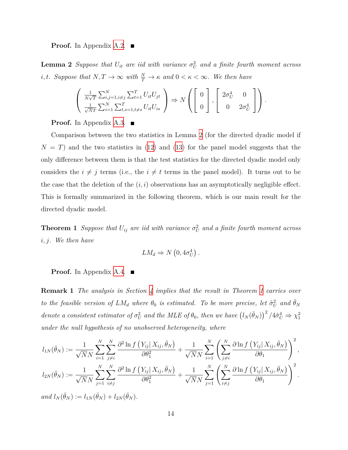<span id="page-13-0"></span>**Proof.** In Appendix [A.2.](#page-33-0) ■

**Lemma 2** *Suppose that*  $U_{it}$  *are iid with variance*  $\sigma_U^2$  *and a finite fourth moment across i, t.* Suppose that  $N, T \to \infty$  with  $\frac{N}{T} \to \kappa$  and  $0 < \kappa < \infty$ . We then have

$$
\begin{pmatrix}\n\frac{1}{N\sqrt{T}} \sum_{i,j=1, i \neq j}^{N} \sum_{t=1}^{T} U_{it} U_{jt} \\
\frac{1}{\sqrt{N}T} \sum_{i=1}^{N} \sum_{t,s=1, t \neq s}^{T} U_{it} U_{is}\n\end{pmatrix} \Rightarrow N \begin{pmatrix} 0 \\ 0 \end{pmatrix}, \begin{bmatrix} 2\sigma_U^4 & 0 \\
0 & 2\sigma_U^4 \end{bmatrix}.
$$

**Proof.** In Appendix [A.3.](#page-46-0) ■

Comparison between the two statistics in Lemma [2](#page-13-0) (for the directed dyadic model if  $N = T$ ) and the two statistics in  $(12)$  and  $(13)$  for the panel model suggests that the only difference between them is that the test statistics for the directed dyadic model only considers the  $i \neq j$  terms (i.e., the  $i \neq t$  terms in the panel model). It turns out to be the case that the deletion of the  $(i, i)$  observations has an asymptotically negligible effect. This is formally summarized in the following theorem, which is our main result for the directed dyadic model.

<span id="page-13-1"></span>**Theorem 1** *Suppose that*  $U_{ij}$  *are iid with variance*  $\sigma_U^2$  *and a finite fourth moment across i, j. We then have*

$$
LM_d \Rightarrow N\left(0, 4\sigma_U^4\right).
$$

**Proof.** In Appendix [A.4.](#page-48-0) ■

**Remark 1** *The analysis in Section [4](#page-25-0) implies that the result in Theorem [1](#page-13-1) carries over to the feasible version of*  $LM_d$  *where*  $\theta_0$  *is estimated. To be more precise, let*  $\hat{\sigma}_U^2$  *and*  $\bar{\theta}_N$ *denote a consistent estimator of*  $\sigma_U^2$  *and the MLE of*  $\theta_0$ *, then we have*  $(l_N(\bar{\theta}_N))^2/4\hat{\sigma}_U^4 \Rightarrow \chi_1^2$ *under the null hypothesis of no unobserved heterogeneity, where*

$$
l_{1N}(\bar{\theta}_N) := \frac{1}{\sqrt{N}N} \sum_{i=1}^N \sum_{j \neq i}^N \frac{\partial^2 \ln f(Y_{ij} | X_{ij}, \bar{\theta}_N)}{\partial \theta_1^2} + \frac{1}{\sqrt{N}N} \sum_{i=1}^N \left( \sum_{j \neq i}^N \frac{\partial \ln f(Y_{ij} | X_{ij}, \bar{\theta}_N)}{\partial \theta_1} \right)^2,
$$
  
\n
$$
l_{2N}(\bar{\theta}_N) := \frac{1}{\sqrt{N}N} \sum_{j=1}^N \sum_{i \neq j}^N \frac{\partial^2 \ln f(Y_{ij} | X_{ij}, \bar{\theta}_N)}{\partial \theta_1^2} + \frac{1}{\sqrt{N}N} \sum_{j=1}^N \left( \sum_{i \neq j}^N \frac{\partial \ln f(Y_{ij} | X_{ij}, \bar{\theta}_N)}{\partial \theta_1} \right)^2.
$$
  
\nand  $l_N(\bar{\theta}_N) := l_{1N}(\bar{\theta}_N) + l_{2N}(\bar{\theta}_N).$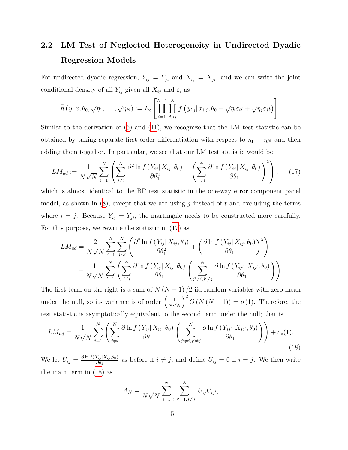# **2.2 LM Test of Neglected Heterogeneity in Undirected Dyadic Regression Models**

For undirected dyadic regression,  $Y_{ij} = Y_{ji}$  and  $X_{ij} = X_{ji}$ , and we can write the joint conditional density of all  $Y_{ij}$  given all  $X_{ij}$  and  $\varepsilon_i$  as

$$
\bar{h}(y|x,\theta_0,\sqrt{\eta_1},\ldots,\sqrt{\eta_N}) := E_{\varepsilon}\left[\prod_{i=1}^{N-1}\prod_{j>i}^N f(y_{i,j}|x_{i,j},\theta_0+\sqrt{\eta_i}\varepsilon_i t + \sqrt{\eta_j}\varepsilon_j t)\right].
$$

Similar to the derivation of ([5](#page-6-1)) and [\(11\)](#page-9-3), we recognize that the LM test statistic can be obtained by taking separate first order differentiation with respect to  $\eta_1 \dots \eta_N$  and then adding them together. In particular, we see that our LM test statistic would be

<span id="page-14-0"></span>
$$
LM_{ud} := \frac{1}{N\sqrt{N}} \sum_{i=1}^{N} \left( \sum_{j \neq i}^{N} \frac{\partial^2 \ln f(Y_{ij} | X_{ij}, \theta_0)}{\partial \theta_1^2} + \left( \sum_{j \neq i}^{N} \frac{\partial \ln f(Y_{ij} | X_{ij}, \theta_0)}{\partial \theta_1} \right)^2 \right), \quad (17)
$$

which is almost identical to the BP test statistic in the one-way error component panel model, as shown in [\(8](#page-9-0)), except that we are using *j* instead of *t* and excluding the terms where  $i = j$ . Because  $Y_{ij} = Y_{ji}$ , the martingale needs to be constructed more carefully. For this purpose, we rewrite the statistic in ([17](#page-14-0)) as

$$
LM_{ud} = \frac{2}{N\sqrt{N}} \sum_{i=1}^{N} \sum_{j>i}^{N} \left( \frac{\partial^2 \ln f(Y_{ij} | X_{ij}, \theta_0)}{\partial \theta_1^2} + \left( \frac{\partial \ln f(Y_{ij} | X_{ij}, \theta_0)}{\partial \theta_1} \right)^2 \right) + \frac{1}{N\sqrt{N}} \sum_{i=1}^{N} \left( \sum_{j\neq i}^{N} \frac{\partial \ln f(Y_{ij} | X_{ij}, \theta_0)}{\partial \theta_1} \left( \sum_{j'\neq i,j'\neq j}^{N} \frac{\partial \ln f(Y_{ij'} | X_{ij'}, \theta_0)}{\partial \theta_1} \right) \right)
$$

The first term on the right is a sum of  $N (N - 1) / 2$  iid random variables with zero mean under the null, so its variance is of order  $\left(\frac{1}{N}\right)$  $\overline{N\sqrt{N}}$  $\int_{0}^{2} O(N(N-1)) = o(1)$ . Therefore, the test statistic is asymptotically equivalent to the second term under the null; that is

<span id="page-14-1"></span>
$$
LM_{ud} = \frac{1}{N\sqrt{N}} \sum_{i=1}^{N} \left( \sum_{j \neq i}^{N} \frac{\partial \ln f(Y_{ij} | X_{ij}, \theta_0)}{\partial \theta_1} \left( \sum_{j' \neq i, j' \neq j}^{N} \frac{\partial \ln f(Y_{ij'} | X_{ij'}, \theta_0)}{\partial \theta_1} \right) \right) + o_p(1).
$$
\n(18)

We let  $U_{ij} = \frac{\partial \ln f(Y_{ij}|X_{ij},\theta_0)}{\partial \theta_1}$  $\frac{\partial f_{ij} | A_{ij}, \theta_0}{\partial \theta_1}$  as before if  $i \neq j$ , and define  $U_{ij} = 0$  if  $i = j$ . We then write the main term in ([18](#page-14-1)) as

$$
A_N = \frac{1}{N\sqrt{N}} \sum_{i=1}^N \sum_{j,j'=1, j\neq j'}^N U_{ij} U_{ij'},
$$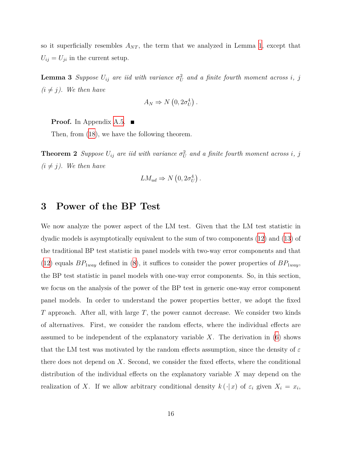so it superficially resembles  $A_{NT}$ , the term that we analyzed in Lemma [1](#page-12-1), except that  $U_{ij} = U_{ji}$  in the current setup.

**Lemma 3** *Suppose*  $U_{ij}$  are iid with variance  $\sigma_U^2$  and a finite fourth moment across *i*, *j*  $(i \neq j)$ . We then have

$$
A_N \Rightarrow N\left(0, 2\sigma_U^4\right).
$$

**Proof.** In Appendix [A.5.](#page-49-0) ■

Then, from ([18\)](#page-14-1), we have the following theorem.

**Theorem 2** *Suppose*  $U_{ij}$  *are iid with variance*  $\sigma_U^2$  *and a finite fourth moment across i*, *j*  $(i \neq j)$ . We then have

$$
LM_{ud} \Rightarrow N\left(0, 2\sigma_U^4\right).
$$

### <span id="page-15-0"></span>**3 Power of the BP Test**

We now analyze the power aspect of the LM test. Given that the LM test statistic in dyadic models is asymptotically equivalent to the sum of two components [\(12](#page-10-0)) and [\(13\)](#page-10-1) of the traditional BP test statistic in panel models with two-way error components and that ([12](#page-10-0)) equals  $BP_{1way}$  defined in ([8\)](#page-9-0), it suffices to consider the power properties of  $BP_{1way}$ , the BP test statistic in panel models with one-way error components. So, in this section, we focus on the analysis of the power of the BP test in generic one-way error component panel models. In order to understand the power properties better, we adopt the fixed *T* approach. After all, with large *T*, the power cannot decrease. We consider two kinds of alternatives. First, we consider the random effects, where the individual effects are assumed to be independent of the explanatory variable *X*. The derivation in [\(6](#page-8-0)) shows that the LM test was motivated by the random effects assumption, since the density of *ε* there does not depend on *X*. Second, we consider the fixed effects, where the conditional distribution of the individual effects on the explanatory variable *X* may depend on the realization of *X*. If we allow arbitrary conditional density  $k(\cdot|x)$  of  $\varepsilon_i$  given  $X_i = x_i$ ,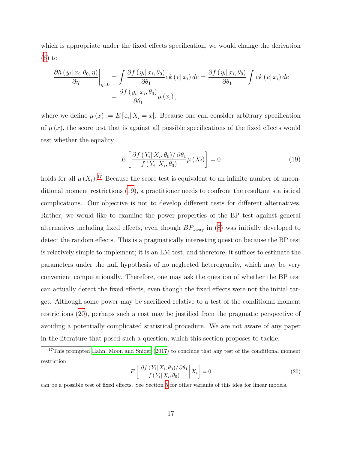which is appropriate under the fixed effects specification, we would change the derivation ([6](#page-8-0)) to

$$
\frac{\partial h(y_i|x_i, \theta_0, \eta)}{\partial \eta}\Big|_{\eta=0} = \int \frac{\partial f(y_i|x_i, \theta_0)}{\partial \theta_1} ek (e|x_i) de = \frac{\partial f(y_i|x_i, \theta_0)}{\partial \theta_1} \int ek (e|x_i) de \n= \frac{\partial f(y_i|x_i, \theta_0)}{\partial \theta_1} \mu(x_i),
$$

where we define  $\mu(x) := E[\varepsilon_i | X_i = x]$ . Because one can consider arbitrary specification of  $\mu(x)$ , the score test that is against all possible specifications of the fixed effects would test whether the equality

<span id="page-16-0"></span>
$$
E\left[\frac{\partial f\left(Y_i|X_i,\theta_0\right)/\partial\theta_1}{f\left(Y_i|X_i,\theta_0\right)}\mu\left(X_i\right)\right] = 0\tag{19}
$$

holds for all  $\mu(X_i)$ .<sup>17</sup> Because the score test is equivalent to an infinite number of unconditional moment restrictions [\(19\)](#page-16-0), a practitioner needs to confront the resultant statistical complications. Our objective is not to develop different tests for different alternatives. Rather, we would like to examine the power properties of the BP test against general alternatives including fixed effects, even though  $BP_{1way}$  in [\(8](#page-9-0)) was initially developed to detect the random effects. This is a pragmatically interesting question because the BP test is relatively simple to implement; it is an LM test, and therefore, it suffices to estimate the parameters under the null hypothesis of no neglected heterogeneity, which may be very convenient computationally. Therefore, one may ask the question of whether the BP test can actually detect the fixed effects, even though the fixed effects were not the initial target. Although some power may be sacrificed relative to a test of the conditional moment restrictions ([20](#page-16-1)), perhaps such a cost may be justified from the pragmatic perspective of avoiding a potentially complicated statistical procedure. We are not aware of any paper in the literature that posed such a question, which this section proposes to tackle.

<span id="page-16-1"></span>
$$
E\left[\frac{\partial f\left(Y_i|X_i,\theta_0\right)/\partial\theta_1}{f\left(Y_i|X_i,\theta_0\right)}\bigg|\,X_i\right] = 0\tag{20}
$$

can be a possible test of fixed effects. See Section [5](#page-26-0) for other variants of this idea for linear models.

 $17$ This prompted [Hahn, Moon and Snider](#page-75-4) ([2017\)](#page-75-4) to conclude that any test of the conditional moment restriction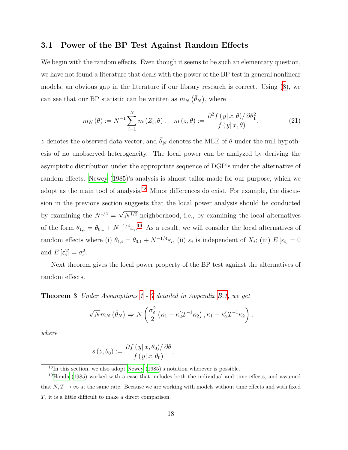### **3.1 Power of the BP Test Against Random Effects**

We begin with the random effects. Even though it seems to be such an elementary question, we have not found a literature that deals with the power of the BP test in general nonlinear models, an obvious gap in the literature if our library research is correct. Using ([8](#page-9-0)), we can see that our BP statistic can be written as  $m_N(\bar{\theta}_N)$ , where

$$
m_N(\theta) := N^{-1} \sum_{i=1}^N m(Z_i, \theta), \quad m(z, \theta) := \frac{\partial^2 f(y|x, \theta)/\partial \theta_1^2}{f(y|x, \theta)},
$$
\n(21)

*z* denotes the observed data vector, and  $\bar{\theta}_N$  denotes the MLE of  $\theta$  under the null hypothesis of no unobserved heterogeneity. The local power can be analyzed by deriving the asymptotic distribution under the appropriate sequence of DGP's under the alternative of random effects. [Newey](#page-76-2) [\(1985\)](#page-76-2)'s analysis is almost tailor-made for our purpose, which we adopt as the main tool of analysis.<sup>18</sup> Minor differences do exist. For example, the discussion in the previous section suggests that the local power analysis should be conducted by examining the  $N^{1/4}$  = *√ N*<sup>1</sup>*/*<sup>2</sup> -neighborhood, i.e., by examining the local alternatives of the form  $\theta_{1,i} = \theta_{0,1} + N^{-1/4} \varepsilon_i$ <sup>19</sup> As a result, we will consider the local alternatives of random effects where (i)  $\theta_{1,i} = \theta_{0,1} + N^{-1/4} \varepsilon_i$ , (ii)  $\varepsilon_i$  is independent of  $X_i$ ; (iii)  $E[\varepsilon_i] = 0$ and  $E\left[\varepsilon_i^2\right] = \sigma_{\varepsilon}^2$ .

Next theorem gives the local power property of the BP test against the alternatives of random effects.

<span id="page-17-0"></span>**Theorem 3** *Under Assumptions [1](#page-58-0) - [7](#page-60-0) detailed in Appendix [B.1](#page-58-1), we get*

$$
\sqrt{N}m_N\left(\bar{\theta}_N\right) \Rightarrow N\left(\frac{\sigma_{\varepsilon}^2}{2}\left(\kappa_1-\kappa_2'\mathcal{I}^{-1}\kappa_2\right),\kappa_1-\kappa_2'\mathcal{I}^{-1}\kappa_2\right),\,
$$

*where*

$$
s(z, \theta_0) := \frac{\partial f(y|x, \theta_0)/\partial \theta}{f(y|x, \theta_0)},
$$

 $18$ In this section, we also adopt [Newey](#page-76-2) ([1985\)](#page-76-2)'s notation wherever is possible.

<sup>19</sup>[Honda](#page-75-3) ([1985\)](#page-75-3) worked with a case that includes both the individual and time effects, and assumed that  $N, T \to \infty$  at the same rate. Because we are working with models without time effects and with fixed *T*, it is a little difficult to make a direct comparison.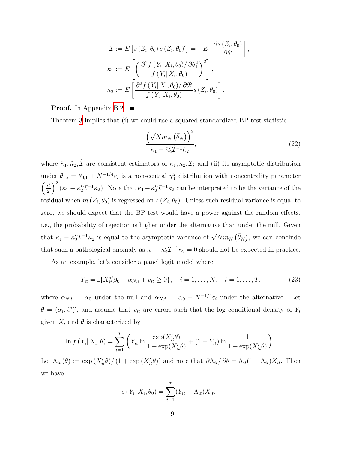$$
\mathcal{I} := E\left[s\left(Z_i, \theta_0\right) s\left(Z_i, \theta_0\right)'\right] = -E\left[\frac{\partial s\left(Z_i, \theta_0\right)}{\partial \theta'}\right],
$$
\n
$$
\kappa_1 := E\left[\left(\frac{\partial^2 f\left(Y_i | X_i, \theta_0\right) / \partial \theta_1^2}{f\left(Y_i | X_i, \theta_0\right)}\right)^2\right],
$$
\n
$$
\kappa_2 := E\left[\frac{\partial^2 f\left(Y_i | X_i, \theta_0\right) / \partial \theta_1^2}{f\left(Y_i | X_i, \theta_0\right)} s\left(Z_i, \theta_0\right)\right].
$$

**Proof.** In Appendix [B.2](#page-61-0). ■

Theorem [3](#page-17-0) implies that (i) we could use a squared standardized BP test statistic

<span id="page-18-0"></span>
$$
\frac{\left(\sqrt{N}m_N\left(\bar{\theta}_N\right)\right)^2}{\hat{\kappa}_1 - \hat{\kappa}_2'\hat{\mathcal{I}}^{-1}\hat{\kappa}_2},\tag{22}
$$

*.*

where  $\hat{\kappa}_1, \hat{\kappa}_2, \hat{\mathcal{I}}$  are consistent estimators of  $\kappa_1, \kappa_2, \mathcal{I}$ ; and (ii) its asymptotic distribution under  $\theta_{1,i} = \theta_{0,1} + N^{-1/4} \varepsilon_i$  is a non-central  $\chi_1^2$  distribution with noncentrality parameter  $\left(\frac{\sigma_{\varepsilon}^2}{2}\right)^2$  ( $\kappa_1 - \kappa_2' \mathcal{I}^{-1} \kappa_2$ ). Note that  $\kappa_1 - \kappa_2' \mathcal{I}^{-1} \kappa_2$  can be interpreted to be the variance of the residual when  $m(Z_i, \theta_0)$  is regressed on  $s(Z_i, \theta_0)$ . Unless such residual variance is equal to zero, we should expect that the BP test would have a power against the random effects, i.e., the probability of rejection is higher under the alternative than under the null. Given that  $\kappa_1 - \kappa_2' \mathcal{I}^{-1} \kappa_2$  is equal to the asymptotic variance of  $\sqrt{N} m_N (\bar{\theta}_N)$ , we can conclude that such a pathological anomaly as  $\kappa_1 - \kappa_2' \mathcal{I}^{-1} \kappa_2 = 0$  should not be expected in practice.

As an example, let's consider a panel logit model where

$$
Y_{it} = \mathbb{I}\{X_{it}^{*\prime}\beta_0 + \alpha_{N,i} + v_{it} \ge 0\}, \quad i = 1, ..., N, \quad t = 1, ..., T,
$$
 (23)

where  $\alpha_{N,i} = \alpha_0$  under the null and  $\alpha_{N,i} = \alpha_0 + N^{-1/4} \varepsilon_i$  under the alternative. Let  $\theta = (\alpha_i, \beta')'$ , and assume that  $v_{it}$  are errors such that the log conditional density of  $Y_i$ given  $X_i$  and  $\theta$  is characterized by

$$
\ln f(Y_i | X_i, \theta) = \sum_{t=1}^{T} \left( Y_{it} \ln \frac{\exp(X_{it}' \theta)}{1 + \exp(X_{it}' \theta)} + (1 - Y_{it}) \ln \frac{1}{1 + \exp(X_{it}' \theta)} \right)
$$

Let  $\Lambda_{it}(\theta) := \exp(X'_{it}\theta)/(1 + \exp(X'_{it}\theta))$  and note that  $\partial \Lambda_{it}/\partial \theta = \Lambda_{it}(1 - \Lambda_{it})X_{it}$ . Then we have

$$
s(Y_i | X_i, \theta_0) = \sum_{t=1}^{T} (Y_{it} - \Lambda_{it}) X_{it},
$$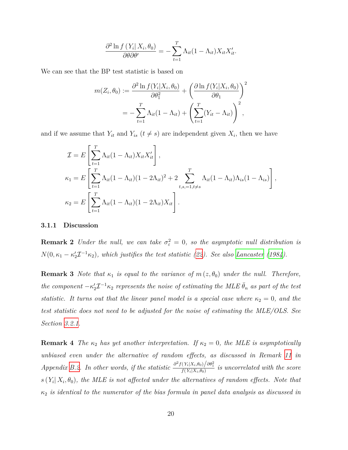$$
\frac{\partial^2 \ln f(Y_i | X_i, \theta_0)}{\partial \theta \partial \theta'} = -\sum_{t=1}^T \Lambda_{it} (1 - \Lambda_{it}) X_{it} X'_{it}.
$$

We can see that the BP test statistic is based on

$$
m(Z_i, \theta_0) := \frac{\partial^2 \ln f(Y_i | X_i, \theta_0)}{\partial \theta_1^2} + \left(\frac{\partial \ln f(Y_i | X_i, \theta_0)}{\partial \theta_1}\right)^2
$$
  
= 
$$
-\sum_{t=1}^T \Lambda_{it} (1 - \Lambda_{it}) + \left(\sum_{t=1}^T (Y_{it} - \Lambda_{it})\right)^2,
$$

and if we assume that  $Y_{it}$  and  $Y_{is}$  ( $t \neq s$ ) are independent given  $X_i$ , then we have

$$
\mathcal{I} = E\left[\sum_{t=1}^{T} \Lambda_{it} (1 - \Lambda_{it}) X_{it} X'_{it}\right],
$$
  
\n
$$
\kappa_1 = E\left[\sum_{t=1}^{T} \Lambda_{it} (1 - \Lambda_{it}) (1 - 2\Lambda_{it})^2 + 2 \sum_{t,s=1, t \neq s}^{T} \Lambda_{it} (1 - \Lambda_{it}) \Lambda_{is} (1 - \Lambda_{is})\right],
$$
  
\n
$$
\kappa_2 = E\left[\sum_{t=1}^{T} \Lambda_{it} (1 - \Lambda_{it}) (1 - 2\Lambda_{it}) X_{it}\right].
$$

#### <span id="page-19-0"></span>**3.1.1 Discussion**

**Remark 2** *Under the null, we can take*  $\sigma_{\varepsilon}^2 = 0$ *, so the asymptotic null distribution is*  $N(0, \kappa_1 - \kappa_2' \mathcal{I}^{-1} \kappa_2)$ , which justifies the test statistic ([22](#page-18-0)). See also [Lancaster](#page-75-1) [\(1984](#page-75-1)).

<span id="page-19-1"></span>**Remark 3** *Note that*  $\kappa_1$  *is equal to the variance of*  $m(z, \theta_0)$  *under the null. Therefore, the component*  $-\kappa'_{2}\mathcal{I}^{-1}\kappa_{2}$  *represents the noise of estimating the MLE*  $\bar{\theta}_{n}$  *as part of the test statistic. It turns out that the linear panel model is a special case where*  $\kappa_2 = 0$ , and the *test statistic does not need to be adjusted for the noise of estimating the MLE/OLS. See Section [3.2.1](#page-22-0).*

**Remark 4** *The*  $\kappa_2$  *has yet another interpretation. If*  $\kappa_2 = 0$ *, the MLE is asymptotically unbiased even under the alternative of random effects, as discussed in Remark [11](#page-65-0) in* Appendix [B.2.](#page-61-0) In other words, if the statistic  $\frac{\partial^2 f(Y_i|X_i,\theta_0)}{f(Y_i|X_i,\theta_0)}$  is uncorrelated with the score  $s(Y_i|X_i, \theta_0)$ , the MLE is not affected under the alternatives of random effects. Note that *κ*<sup>2</sup> *is identical to the numerator of the bias formula in panel data analysis as discussed in*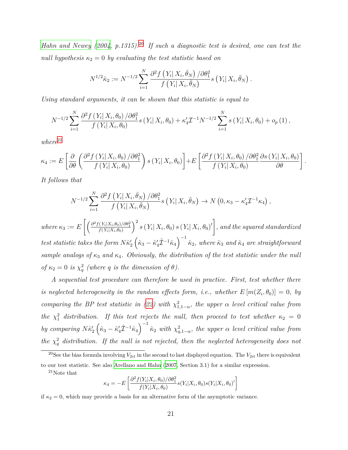*[Hahn and Newey](#page-75-8) ([2004,](#page-75-8) p.1315).*20 *If such a diagnostic test is desired, one can test the null hypothesis*  $\kappa_2 = 0$  *by evaluating the test statistic based on* 

$$
N^{1/2}\hat{\kappa}_2:=N^{-1/2}\sum_{i=1}^N\frac{\partial^2 f\left(\left.Y_i\right|X_i,\bar{\theta}_N\right)/\partial\theta_1^2}{f\left(\left.Y_i\right|X_i,\bar{\theta}_N\right)}s\left(\left.Y_i\right|X_i,\bar{\theta}_N\right).
$$

*Using standard arguments, it can be shown that this statistic is equal to*

$$
N^{-1/2} \sum_{i=1}^{N} \frac{\partial^2 f(Y_i | X_i, \theta_0) / \partial \theta_1^2}{f(Y_i | X_i, \theta_0)} s(Y_i | X_i, \theta_0) + \kappa_4' \mathcal{I}^{-1} N^{-1/2} \sum_{i=1}^{N} s(Y_i | X_i, \theta_0) + o_p(1),
$$

 $where<sup>21</sup>$ 

$$
\kappa_4 := E\left[\frac{\partial}{\partial \theta} \left(\frac{\partial^2 f(Y_i|X_i, \theta_0) / \partial \theta_1^2}{f(Y_i|X_i, \theta_0)}\right) s(Y_i|X_i, \theta_0)\right] + E\left[\frac{\partial^2 f(Y_i|X_i, \theta_0) / \partial \theta_1^2}{f(Y_i|X_i, \theta_0)}\frac{\partial s(Y_i|X_i, \theta_0)}{\partial \theta}\right].
$$

*It follows that*

$$
N^{-1/2} \sum_{i=1}^N \frac{\partial^2 f\left(Y_i \mid X_i, \bar{\theta}_N\right) / \partial \theta_1^2}{f\left(Y_i \mid X_i, \bar{\theta}_N\right)} s\left(Y_i \mid X_i, \bar{\theta}_N\right) \to N\left(0, \kappa_3 - \kappa_4' \mathcal{I}^{-1} \kappa_4\right),
$$

 $where \kappa_3 := E\left[ \left( \frac{\partial^2 f(Y_i|X_i,\theta_0)/\partial \theta_1^2}{f(Y_i|X_i,\theta_0)} \right)$  $\int^2 s(Y_i|X_i, \theta_0) s(Y_i|X_i, \theta_0)'$ , and the squared standardized *test statistic takes the form*  $N\hat{\kappa}'_2\left(\hat{\kappa}_3 - \hat{\kappa}'_4\hat{\mathcal{I}}^{-1}\hat{\kappa}_4\right)^{-1}\hat{\kappa}_2$ , where  $\hat{\kappa}_3$  and  $\hat{\kappa}_4$  are straightforward *sample analogs of*  $\kappa_3$  *and*  $\kappa_4$ *. Obviously, the distribution of the test statistic under the null of*  $\kappa_2 = 0$  *is*  $\chi_q^2$  (where *q is the dimension of*  $\theta$ ).

*A sequential test procedure can therefore be used in practice. First, test whether there is neglected heterogeneity in the random effects form, i.e., whether*  $E[m(Z_i, \theta_0)] = 0$ , by *comparing the BP test statistic in ([22\)](#page-18-0)* with  $\chi^2_{1,1-\alpha}$ , the upper  $\alpha$  level critical value from *the*  $\chi_1^2$  *distribution.* If this test rejects the null, then proceed to test whether  $\kappa_2 = 0$ by comparing  $N\hat{\kappa}_2'(\hat{\kappa}_3 - \hat{\kappa}_4'\hat{\mathcal{I}}^{-1}\hat{\kappa}_4)^{-1} \hat{\kappa}_2$  with  $\chi^2_{q,1-\alpha}$ , the upper  $\alpha$  level critical value from *the*  $\chi_q^2$  *distribution.* If the null is not rejected, then the neglected heterogeneity does not

<sup>21</sup>Note that

$$
\kappa_4 = -E\left[\frac{\partial^2 f(Y_i|X_i,\theta_0)/\partial\theta_1^2}{f(Y_i|X_i,\theta_0)}s(Y_i|X_i,\theta_0)s(Y_i|X_i,\theta_0)'\right]
$$

if  $\kappa_2 = 0$ , which may provide a basis for an alternative form of the asymptotic variance.

<sup>&</sup>lt;sup>20</sup>See the bias formula involving  $V_{2it}$  in the second to last displayed equation. The  $V_{2it}$  there is equivalent to our test statistic. See also [Arellano and Hahn](#page-74-4) ([2007,](#page-74-4) Section 3.1) for a similar expression.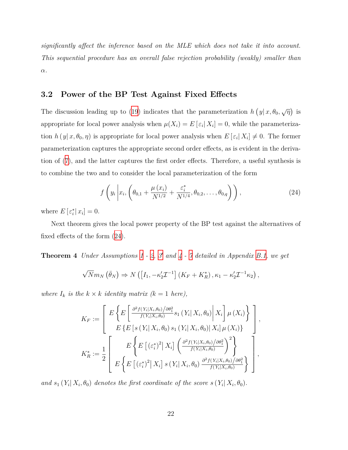*significantly affect the inference based on the MLE which does not take it into account. This sequential procedure has an overall false rejection probability (weakly) smaller than α.*

### **3.2 Power of the BP Test Against Fixed Effects**

The discussion leading up to [\(19](#page-16-0)) indicates that the parameterization  $h(y|x, \theta_0, \sqrt{\eta})$  is appropriate for local power analysis when  $\mu(X_i) = E[\varepsilon_i | X_i] = 0$ , while the parameterization  $h(y|x, \theta_0, \eta)$  is appropriate for local power analysis when  $E[\varepsilon_i | X_i] \neq 0$ . The former parameterization captures the appropriate second order effects, as is evident in the derivation of [\(7](#page-8-1)), and the latter captures the first order effects. Therefore, a useful synthesis is to combine the two and to consider the local parameterization of the form

<span id="page-21-0"></span>
$$
f\left(y_i\left|x_i, \left(\theta_{0,1} + \frac{\mu(x_i)}{N^{1/2}} + \frac{\varepsilon_i^*}{N^{1/4}}, \theta_{0,2}, \dots, \theta_{0,q}\right)\right)\right),\tag{24}
$$

where  $E\left[\varepsilon_i^* \,|\, x_i\right] = 0.$ 

Next theorem gives the local power property of the BP test against the alternatives of fixed effects of the form [\(24](#page-21-0)).

<span id="page-21-1"></span>**Theorem 4** *Under Assumptions [1](#page-58-0) - [2](#page-59-0), [3](#page-59-1) ′ and [4](#page-59-2) - [7](#page-60-0) detailed in Appendix [B.1](#page-58-1), we get*

$$
\sqrt{N}m_N\left(\bar{\theta}_N\right) \Rightarrow N\left(\left[I_1, -\kappa_2'\mathcal{I}^{-1}\right]\left(K_F + K_R^*\right), \kappa_1 - \kappa_2'\mathcal{I}^{-1}\kappa_2\right),
$$

*where*  $I_k$  *is the*  $k \times k$  *identity matrix*  $(k = 1 \text{ here}),$ 

$$
K_F := \left[ E \left\{ E \left[ \frac{\partial^2 f(Y_i|X_i, \theta_0) / \partial \theta_1^2}{f(Y_i|X_i, \theta_0)} s_1 \left( Y_i | X_i, \theta_0 \right) \middle| X_i \right] \mu(X_i) \right\} \right],
$$
  
\n
$$
K_R^* := \frac{1}{2} \left[ E \left[ S \left( Y_i | X_i, \theta_0 \right) s_1 \left( Y_i | X_i, \theta_0 \right) \middle| X_i \right] \mu(X_i) \right\}
$$
  
\n
$$
K_R^* := \frac{1}{2} \left[ E \left[ \left( \varepsilon_i^* \right)^2 \middle| X_i \right] \left( \frac{\partial^2 f(Y_i|X_i, \theta_0) / \partial \theta_1^2}{f(Y_i|X_i, \theta_0)} \right)^2 \right\} \right],
$$

*and*  $s_1$  ( $Y_i | X_i, \theta_0$ ) *denotes the first coordinate of the score*  $s(Y_i | X_i, \theta_0)$ *.*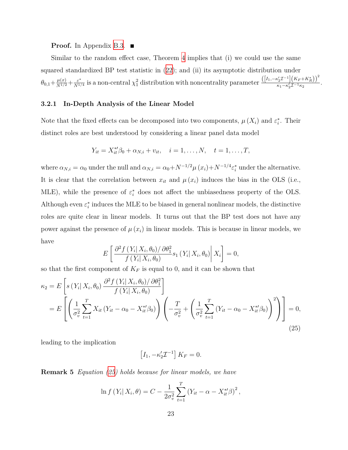**Proof.** In Appendix [B.3](#page-66-0). ■

Similar to the random effect case, Theorem [4](#page-21-1) implies that (i) we could use the same squared standardized BP test statistic in ([22\)](#page-18-0); and (ii) its asymptotic distribution under  $\theta_{0,1}+\frac{\mu(x)}{N^{1/2}}+\frac{\varepsilon^*}{N^{1/4}}$  is a non-central  $\chi_1^2$  distribution with noncentrality parameter  $\frac{([I_1,-\kappa_2' \mathcal{I}^{-1}](K_F+K_R^*)^2]}{\kappa_1-\kappa_2' \mathcal{I}^{-1}\kappa_2}$  $\frac{\kappa_2}{\kappa_1 - \kappa'_2 \mathcal{I}^{-1} \kappa_2}$ .

#### <span id="page-22-0"></span>**3.2.1 In-Depth Analysis of the Linear Model**

Note that the fixed effects can be decomposed into two components,  $\mu(X_i)$  and  $\varepsilon_i^*$ . Their distinct roles are best understood by considering a linear panel data model

$$
Y_{it} = X_{it}^{*\prime} \beta_0 + \alpha_{N,i} + v_{it}, \quad i = 1, \dots, N, \quad t = 1, \dots, T,
$$

where  $\alpha_{N,i} = \alpha_0$  under the null and  $\alpha_{N,i} = \alpha_0 + N^{-1/2} \mu(x_i) + N^{-1/4} \varepsilon_i^*$  under the alternative. It is clear that the correlation between  $x_{it}$  and  $\mu(x_i)$  induces the bias in the OLS (i.e., MLE), while the presence of  $\varepsilon_i^*$  does not affect the unbiasedness property of the OLS. Although even  $\varepsilon_i^*$  induces the MLE to be biased in general nonlinear models, the distinctive roles are quite clear in linear models. It turns out that the BP test does not have any power against the presence of  $\mu(x_i)$  in linear models. This is because in linear models, we have

$$
E\left[\frac{\partial^2 f(Y_i|X_i,\theta_0)/\partial\theta_1^2}{f(Y_i|X_i,\theta_0)}s_1(Y_i|X_i,\theta_0)\middle|X_i\right]=0,
$$

so that the first component of  $K_F$  is equal to 0, and it can be shown that

$$
\kappa_2 = E\left[s\left(Y_i | X_i, \theta_0\right) \frac{\partial^2 f\left(Y_i | X_i, \theta_0\right) / \partial \theta_1^2}{f\left(Y_i | X_i, \theta_0\right)}\right]
$$
\n
$$
= E\left[\left(\frac{1}{\sigma_v^2} \sum_{t=1}^T X_{it} \left(Y_{it} - \alpha_0 - X_{it}^{*}/\beta_0\right)\right) \left(-\frac{T}{\sigma_v^2} + \left(\frac{1}{\sigma_v^2} \sum_{t=1}^T \left(Y_{it} - \alpha_0 - X_{it}^{*}/\beta_0\right)\right)^2\right)\right] = 0,
$$
\n(25)

leading to the implication

<span id="page-22-1"></span>
$$
\left[I_1, -\kappa_2' \mathcal{I}^{-1}\right] K_F = 0.
$$

**Remark 5** *Equation [\(25](#page-22-1)) holds because for linear models, we have*

$$
\ln f(Y_i | X_i, \theta) = C - \frac{1}{2\sigma_v^2} \sum_{t=1}^T (Y_{it} - \alpha - X_{it}^{*}/\beta)^2,
$$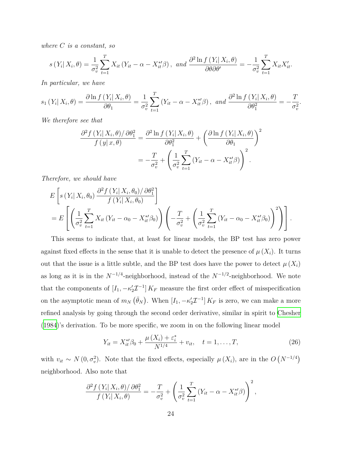*where C is a constant, so*

$$
s\left(Y_i \mid X_i, \theta\right) = \frac{1}{\sigma_v^2} \sum_{t=1}^T X_{it} \left(Y_{it} - \alpha - X_{it}^{*}/\beta\right), \text{ and } \frac{\partial^2 \ln f\left(Y_i \mid X_i, \theta\right)}{\partial \theta \partial \theta'} = -\frac{1}{\sigma_v^2} \sum_{t=1}^T X_{it} X_{it}.
$$

*In particular, we have*

$$
s_1(Y_i|X_i,\theta) = \frac{\partial \ln f(Y_i|X_i,\theta)}{\partial \theta_1} = \frac{1}{\sigma_v^2} \sum_{t=1}^T (Y_{it} - \alpha - X_{it}^{*}/\beta), \text{ and } \frac{\partial^2 \ln f(Y_i|X_i,\theta)}{\partial \theta_1^2} = -\frac{T}{\sigma_v^2}.
$$

*We therefore see that*

$$
\frac{\partial^2 f(Y_i|X_i,\theta)/\partial \theta_1^2}{f(y|x,\theta)} = \frac{\partial^2 \ln f(Y_i|X_i,\theta)}{\partial \theta_1^2} + \left(\frac{\partial \ln f(Y_i|X_i,\theta)}{\partial \theta_1}\right)^2
$$

$$
= -\frac{T}{\sigma_v^2} + \left(\frac{1}{\sigma_v^2} \sum_{t=1}^T (Y_{it} - \alpha - X_{it}^{*}/\beta)\right)^2.
$$

*Therefore, we should have*

$$
E\left[s\left(Y_i\middle|X_i,\theta_0\right)\frac{\partial^2 f\left(Y_i\middle|X_i,\theta_0\right)/\partial\theta_1^2}{f\left(Y_i\middle|X_i,\theta_0\right)}\right]
$$
  
= 
$$
E\left[\left(\frac{1}{\sigma_v^2}\sum_{t=1}^T X_{it}\left(Y_{it}-\alpha_0-X_{it}^{*\prime}\beta_0\right)\right)\left(-\frac{T}{\sigma_v^2}+\left(\frac{1}{\sigma_v^2}\sum_{t=1}^T \left(Y_{it}-\alpha_0-X_{it}^{*\prime}\beta_0\right)\right)^2\right)\right].
$$

This seems to indicate that, at least for linear models, the BP test has zero power against fixed effects in the sense that it is unable to detect the presence of  $\mu(X_i)$ . It turns out that the issue is a little subtle, and the BP test does have the power to detect  $\mu(X_i)$ as long as it is in the *N <sup>−</sup>*1*/*<sup>4</sup> -neighborhood, instead of the *N <sup>−</sup>*1*/*<sup>2</sup> -neighborhood. We note that the components of  $[I_1, -\kappa'_2 \mathcal{I}^{-1}] K_F$  measure the first order effect of misspecification on the asymptotic mean of  $m_N(\bar{\theta}_N)$ . When  $[I_1, -\kappa'_2 \mathcal{I}^{-1}] K_F$  is zero, we can make a more refined analysis by going through the second order derivative, similar in spirit to [Chesher](#page-74-2) ([1984\)](#page-74-2)'s derivation. To be more specific, we zoom in on the following linear model

<span id="page-23-0"></span>
$$
Y_{it} = X_{it}^{*}/\beta_0 + \frac{\mu(X_i) + \varepsilon_i^*}{N^{1/4}} + v_{it}, \quad t = 1, \dots, T,
$$
 (26)

with  $v_{it} \sim N(0, \sigma_v^2)$ . Note that the fixed effects, especially  $\mu(X_i)$ , are in the  $O(N^{-1/4})$ neighborhood. Also note that

$$
\frac{\partial^2 f(Y_i|X_i,\theta)/\partial\theta_1^2}{f(Y_i|X_i,\theta)} = -\frac{T}{\sigma_v^2} + \left(\frac{1}{\sigma_v^2}\sum_{t=1}^T (Y_{it} - \alpha - X_{it}^{*}/\beta)\right)^2,
$$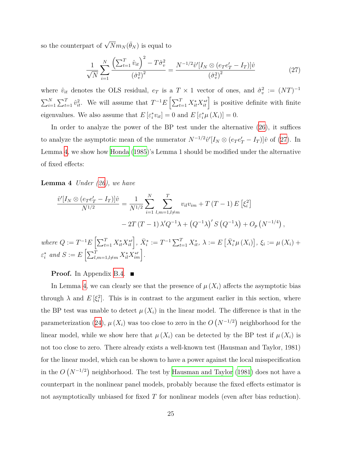so the counterpart of  $\sqrt{N}m_N(\bar{\theta}_N)$  is equal to

<span id="page-24-0"></span>
$$
\frac{1}{\sqrt{N}} \sum_{i=1}^{N} \frac{\left(\sum_{t=1}^{T} \hat{v}_{it}\right)^{2} - T \hat{\sigma}_{v}^{2}}{\left(\hat{\sigma}_{v}^{2}\right)^{2}} = \frac{N^{-1/2} \hat{v}'[I_{N} \otimes (e_{T}e_{T}' - I_{T})] \hat{v}}{\left(\hat{\sigma}_{v}^{2}\right)^{2}} \tag{27}
$$

where  $\hat{v}_{it}$  denotes the OLS residual,  $e_T$  is a  $T \times 1$  vector of ones, and  $\hat{\sigma}_v^2 := (NT)^{-1}$  $\sum_{i=1}^{N} \sum_{t=1}^{T} \hat{v}_{it}^{2}$ . We will assume that  $T^{-1}E\left[\sum_{t=1}^{T} X_{it}^{*} X_{it}^{*}\right]$  is positive definite with finite eigenvalues. We also assume that  $E\left[\varepsilon_i^* v_{it}\right] = 0$  and  $E\left[\varepsilon_i^* \mu\left(X_i\right)\right] = 0$ .

In order to analyze the power of the BP test under the alternative [\(26](#page-23-0)), it suffices to analyze the asymptotic mean of the numerator  $N^{-1/2}\hat{v}'[I_N \otimes (e_T e'_T - I_T)]\hat{v}$  of [\(27](#page-24-0)). In Lemma [4,](#page-24-1) we show how [Honda](#page-75-3) [\(1985](#page-75-3))'s Lemma 1 should be modified under the alternative of fixed effects:

<span id="page-24-1"></span>**Lemma 4** *Under ([26\)](#page-23-0), we have*

$$
\frac{\hat{v}'[I_N \otimes (e_T e'_T - I_T)]\hat{v}}{N^{1/2}} = \frac{1}{N^{1/2}} \sum_{i=1}^N \sum_{l,m=1,l \neq m}^T v_{il} v_{im} + T(T-1) E[\xi_i^2]
$$

$$
- 2T(T-1) \lambda' Q^{-1} \lambda + (Q^{-1} \lambda)' S(Q^{-1} \lambda) + O_p(N^{-1/4}),
$$

where  $Q := T^{-1}E\left[\sum_{t=1}^T X_{it}^* X_{it}^{*t}\right], \ \bar{X}_i^* := T^{-1}\sum_{t=1}^T X_{it}^*, \ \lambda := E\left[\bar{X}_i^* \mu\left(X_i\right)\right], \ \xi_i := \mu\left(X_i\right) +$  $\varepsilon_i^*$  *and*  $S := E\left[\sum_{l,m=1,l\neq m}^T X_{il}^* X_{im}^{*\prime}\right]$ .

**Proof.** In Appendix [B.4](#page-68-0). ■

In Lemma [4,](#page-24-1) we can clearly see that the presence of  $\mu(X_i)$  affects the asymptotic bias through  $\lambda$  and  $E\left[\xi_i^2\right]$ . This is in contrast to the argument earlier in this section, where the BP test was unable to detect  $\mu(X_i)$  in the linear model. The difference is that in the parameterization ([24](#page-21-0)),  $\mu(X_i)$  was too close to zero in the  $O(N^{-1/2})$  neighborhood for the linear model, while we show here that  $\mu(X_i)$  can be detected by the BP test if  $\mu(X_i)$  is not too close to zero. There already exists a well-known test (Hausman and Taylor, 1981) for the linear model, which can be shown to have a power against the local misspecification in the  $O(N^{-1/2})$  neighborhood. The test by [Hausman and Taylor](#page-75-9) ([1981](#page-75-9)) does not have a counterpart in the nonlinear panel models, probably because the fixed effects estimator is not asymptotically unbiased for fixed *T* for nonlinear models (even after bias reduction).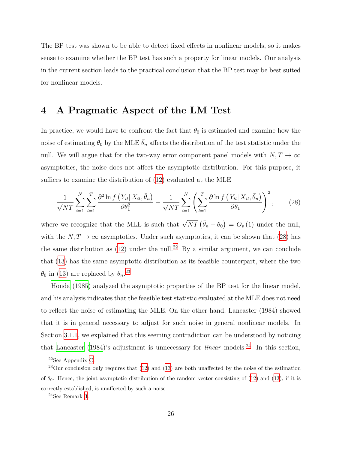The BP test was shown to be able to detect fixed effects in nonlinear models, so it makes sense to examine whether the BP test has such a property for linear models. Our analysis in the current section leads to the practical conclusion that the BP test may be best suited for nonlinear models.

### <span id="page-25-0"></span>**4 A Pragmatic Aspect of the LM Test**

In practice, we would have to confront the fact that  $\theta_0$  is estimated and examine how the noise of estimating  $\theta_0$  by the MLE  $\bar{\theta}_n$  affects the distribution of the test statistic under the null. We will argue that for the two-way error component panel models with  $N, T \rightarrow \infty$ asymptotics, the noise does not affect the asymptotic distribution. For this purpose, it suffices to examine the distribution of ([12\)](#page-10-0) evaluated at the MLE

<span id="page-25-1"></span>
$$
\frac{1}{\sqrt{N}T} \sum_{i=1}^{N} \sum_{t=1}^{T} \frac{\partial^2 \ln f\left(Y_{it} | X_{it}, \bar{\theta}_n\right)}{\partial \theta_1^2} + \frac{1}{\sqrt{N}T} \sum_{i=1}^{N} \left(\sum_{t=1}^{T} \frac{\partial \ln f\left(Y_{it} | X_{it}, \bar{\theta}_n\right)}{\partial \theta_1}\right)^2, \tag{28}
$$

where we recognize that the MLE is such that  $\sqrt{NT} (\bar{\theta}_n - \theta_0) = O_p(1)$  under the null, with the  $N, T \to \infty$  asymptotics. Under such asymptotics, it can be shown that ([28\)](#page-25-1) has the same distribution as  $(12)$  $(12)$  $(12)$  under the null.<sup>22</sup> By a similar argument, we can conclude that [\(13\)](#page-10-1) has the same asymptotic distribution as its feasible counterpart, where the two  $\theta_0$  in [\(13](#page-10-1)) are replaced by  $\bar{\theta}_n$ <sup>23</sup>

[Honda](#page-75-3) ([1985](#page-75-3)) analyzed the asymptotic properties of the BP test for the linear model, and his analysis indicates that the feasible test statistic evaluated at the MLE does not need to reflect the noise of estimating the MLE. On the other hand, Lancaster (1984) showed that it is in general necessary to adjust for such noise in general nonlinear models. In Section [3.1.1,](#page-19-0) we explained that this seeming contradiction can be understood by noticing that [Lancaster](#page-75-1)  $(1984)$  $(1984)$  $(1984)$ 's adjustment is unnecessary for *linear* models.<sup>24</sup> In this section,

<sup>22</sup>See Appendix [C](#page-70-0).

 $^{23}$ Our conclusion only requires that [\(12](#page-10-0)) and [\(13](#page-10-1)) are both unaffected by the noise of the estimation of  $\theta_0$ . Hence, the joint asymptotic distribution of the random vector consisting of ([12\)](#page-10-0) and [\(13](#page-10-1)), if it is correctly established, is unaffected by such a noise.

<sup>24</sup>See Remark [3.](#page-19-1)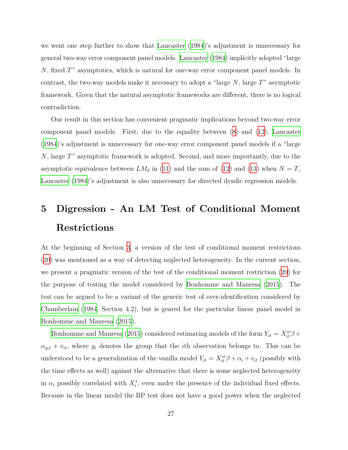we went one step further to show that [Lancaster](#page-75-1) [\(1984\)](#page-75-1)'s adjustment is unnecessary for general two-way error component panel models. [Lancaster](#page-75-1) [\(1984\)](#page-75-1) implicitly adopted "large *N*, fixed *T*" asymptotics, which is natural for one-way error component panel models. In contrast, the two-way models make it necessary to adopt a "large *N*, large *T*" asymptotic framework. Given that the natural asymptotic frameworks are different, there is no logical contradiction.

Our result in this section has convenient pragmatic implications beyond two-way error component panel models. First, due to the equality between ([8\)](#page-9-0) and ([12\)](#page-10-0), [Lancaster](#page-75-1) ([1984\)](#page-75-1)'s adjustment is unnecessary for one-way error component panel models if a "large *N*, large *T*" asymptotic framework is adopted. Second, and more importantly, due to the asymptotic equivalence between  $LM_d$  in ([11\)](#page-9-3) and the sum of [\(12](#page-10-0)) and [\(13\)](#page-10-1) when  $N = T$ , [Lancaster](#page-75-1) [\(1984\)](#page-75-1)'s adjustment is also unnecessary for directed dyadic regression models.

# <span id="page-26-0"></span>**5 Digression - An LM Test of Conditional Moment Restrictions**

At the beginning of Section [3](#page-15-0), a version of the test of conditional moment restrictions ([20](#page-16-1)) was mentioned as a way of detecting neglected heterogeneity. In the current section, we present a pragmatic version of the test of the conditional moment restriction ([20](#page-16-1)) for the purpose of testing the model considered by [Bonhomme and Manresa](#page-74-5) [\(2015\)](#page-74-5). The test can be argued to be a variant of the generic test of over-identification considered by [Chamberlain](#page-74-3) [\(1984,](#page-74-3) Section 4.2), but is geared for the particular linear panel model in [Bonhomme and Manresa](#page-74-5) [\(2015\)](#page-74-5).

[Bonhomme and Manresa](#page-74-5) ([2015](#page-74-5)) considered estimating models of the form  $Y_{it} = X_{it}^{*}/\beta +$  $\alpha_{g_i t} + v_{it}$ , where  $g_i$  denotes the group that the *i*th observation belongs to. This can be understood to be a generalization of the vanilla model  $Y_{it} = X_{it}^{*}/\beta + \alpha_i + v_{it}$  (possibly with the time effects as well) against the alternative that there is some neglected heterogeneity in  $\alpha_i$  possibly correlated with  $X_i^*$ , even under the presence of the individual fixed effects. Because in the linear model the BP test does not have a good power when the neglected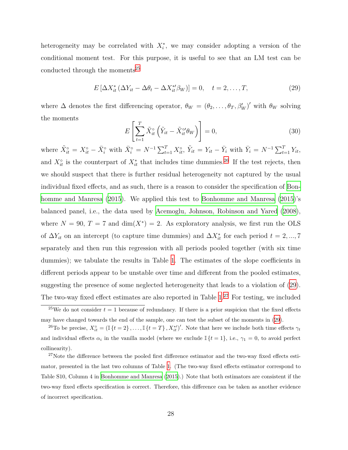heterogeneity may be correlated with  $X_i^*$ , we may consider adopting a version of the conditional moment test. For this purpose, it is useful to see that an LM test can be conducted through the moments<sup>25</sup>

<span id="page-27-0"></span>
$$
E\left[\Delta X_{it}^*\left(\Delta Y_{it} - \Delta \theta_t - \Delta X_{it}^{*\prime} \beta_W\right)\right] = 0, \quad t = 2, \dots, T,
$$
\n(29)

where  $\Delta$  denotes the first differencing operator,  $\theta_W = (\theta_2, \ldots, \theta_T, \beta'_W)'$  with  $\theta_W$  solving the moments

<span id="page-27-1"></span>
$$
E\left[\sum_{t=1}^{T} \tilde{X}_{it}^{\circ}\left(\tilde{Y}_{it} - \tilde{X}_{it}^{\circ\prime}\theta_{W}\right)\right] = 0,\tag{30}
$$

where  $\tilde{X}_{it}^{\circ} = X_{it}^{\circ} - \bar{X}_{i}^{\circ}$  with  $\bar{X}_{i}^{\circ} = N^{-1} \sum_{t=1}^{T} X_{it}^{\circ}, \ \tilde{Y}_{it} = Y_{it} - \bar{Y}_{i}$  with  $\bar{Y}_{i} = N^{-1} \sum_{t=1}^{T} Y_{it}$ , and  $X^{\circ}_{it}$  is the counterpart of  $X^*_{it}$  that includes time dummies.<sup>26</sup> If the test rejects, then we should suspect that there is further residual heterogeneity not captured by the usual individual fixed effects, and as such, there is a reason to consider the specification of [Bon](#page-74-5)[homme and Manresa](#page-74-5) [\(2015\)](#page-74-5). We applied this test to [Bonhomme and Manresa](#page-74-5) [\(2015\)](#page-74-5)'s balanced panel, i.e., the data used by [Acemoglu, Johnson, Robinson and Yared](#page-74-6) ([2008](#page-74-6)), where  $N = 90$ ,  $T = 7$  and  $\dim(X^*) = 2$ . As exploratory analysis, we first run the OLS of  $\Delta Y_{it}$  on an intercept (to capture time dummies) and  $\Delta X_{it}^*$  for each period  $t = 2, ..., 7$ separately and then run this regression with all periods pooled together (with six time dummies); we tabulate the results in Table [1.](#page-30-0) The estimates of the slope coefficients in different periods appear to be unstable over time and different from the pooled estimates, suggesting the presence of some neglected heterogeneity that leads to a violation of ([29](#page-27-0)). The two-way fixed effect estimates are also reported in Table [1](#page-30-0).<sup>27</sup> For testing, we included

<sup>&</sup>lt;sup>25</sup>We do not consider  $t = 1$  because of redundancy. If there is a prior suspicion that the fixed effects may have changed towards the end of the sample, one can test the subset of the moments in ([29\)](#page-27-0).

<sup>&</sup>lt;sup>26</sup>To be precise,  $X_{it}^{\circ} = (\mathbb{I} \{t = 2\}, \dots, \mathbb{I} \{t = T\}, X_{it}^{*\prime})'$ . Note that here we include both time effects  $\gamma_t$ and individual effects  $\alpha_i$  in the vanilla model (where we exclude  $\mathbb{I}\{t=1\}$ , i.e.,  $\gamma_1=0$ , to avoid perfect collinearity).

 $27$ Note the difference between the pooled first difference estimator and the two-way fixed effects estimator, presented in the last two columns of Table [1](#page-30-0). (The two-way fixed effects estimator correspond to Table S10, Column 4 in [Bonhomme and Manresa](#page-74-5) ([2015\)](#page-74-5).) Note that both estimators are consistent if the two-way fixed effects specification is correct. Therefore, this difference can be taken as another evidence of incorrect specification.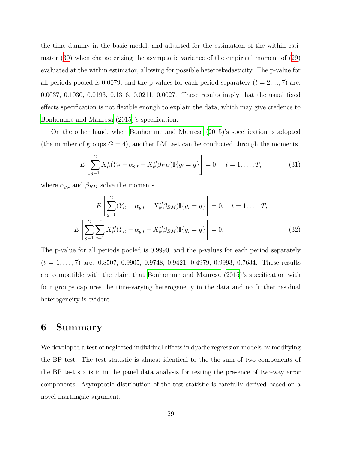the time dummy in the basic model, and adjusted for the estimation of the within estimator [\(30\)](#page-27-1) when characterizing the asymptotic variance of the empirical moment of ([29\)](#page-27-0) evaluated at the within estimator, allowing for possible heteroskedasticity. The p-value for all periods pooled is 0.0079, and the p-values for each period separately  $(t = 2, ..., 7)$  are: 0.0037, 0.1030, 0.0193, 0.1316, 0.0211, 0.0027. These results imply that the usual fixed effects specification is not flexible enough to explain the data, which may give credence to [Bonhomme and Manresa](#page-74-5) [\(2015\)](#page-74-5)'s specification.

On the other hand, when [Bonhomme and Manresa](#page-74-5) [\(2015\)](#page-74-5)'s specification is adopted (the number of groups  $G = 4$ ), another LM test can be conducted through the moments

$$
E\left[\sum_{g=1}^{G} X_{it}^{*}(Y_{it} - \alpha_{g,t} - X_{it}^{*}\beta_{BM})\mathbb{I}\{g_i = g\}\right] = 0, \quad t = 1, ..., T,
$$
\n(31)

where  $\alpha_{g,t}$  and  $\beta_{BM}$  solve the moments

$$
E\left[\sum_{g=1}^{G} (Y_{it} - \alpha_{g,t} - X_{it}^{*}/\beta_{BM}) \mathbb{I}\{g_i = g\}\right] = 0, \quad t = 1, ..., T,
$$
  

$$
E\left[\sum_{g=1}^{G} \sum_{t=1}^{T} X_{it}^{*'} (Y_{it} - \alpha_{g,t} - X_{it}^{*}/\beta_{BM}) \mathbb{I}\{g_i = g\}\right] = 0.
$$
 (32)

The p-value for all periods pooled is 0.9990, and the p-values for each period separately (*t* = 1*, . . . ,* 7) are: 0.8507, 0.9905, 0.9748, 0.9421, 0.4979, 0.9993, 0.7634. These results are compatible with the claim that [Bonhomme and Manresa](#page-74-5) [\(2015\)](#page-74-5)'s specification with four groups captures the time-varying heterogeneity in the data and no further residual heterogeneity is evident.

### <span id="page-28-0"></span>**6 Summary**

We developed a test of neglected individual effects in dyadic regression models by modifying the BP test. The test statistic is almost identical to the the sum of two components of the BP test statistic in the panel data analysis for testing the presence of two-way error components. Asymptotic distribution of the test statistic is carefully derived based on a novel martingale argument.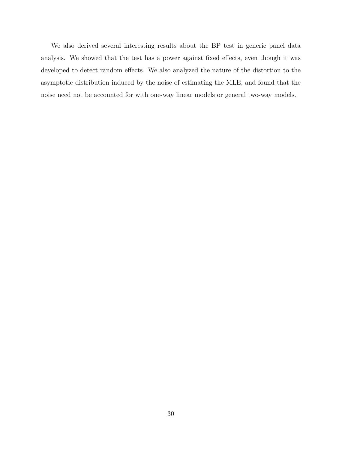We also derived several interesting results about the BP test in generic panel data analysis. We showed that the test has a power against fixed effects, even though it was developed to detect random effects. We also analyzed the nature of the distortion to the asymptotic distribution induced by the noise of estimating the MLE, and found that the noise need not be accounted for with one-way linear models or general two-way models.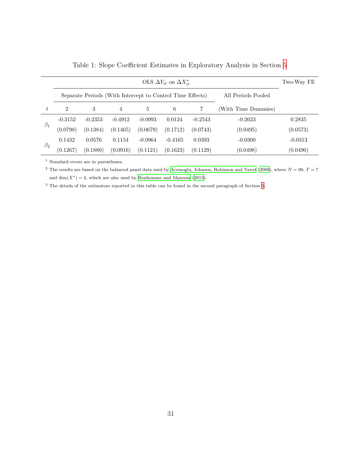<span id="page-30-0"></span>

|           | OLS $\Delta Y_{it}$ on $\Delta X_{it}^*$                                        |           |                |           |           |           |                     | Two-Way FE |
|-----------|---------------------------------------------------------------------------------|-----------|----------------|-----------|-----------|-----------|---------------------|------------|
|           | All Periods Pooled<br>Separate Periods (With Intercept to Control Time Effects) |           |                |           |           |           |                     |            |
|           | $\overline{2}$                                                                  | 3         | $\overline{4}$ | 5         | 6         |           | (With Time Dummies) |            |
| $\beta_1$ | $-0.3152$                                                                       | $-0.2353$ | $-0.4912$      | $-0.0993$ | 0.0124    | $-0.2543$ | $-0.2623$           | 0.2835     |
|           | (0.0798)                                                                        | (0.1384)  | (0.1465)       | (0.0679)  | (0.1712)  | (0.0743)  | (0.0495)            | (0.0573)   |
| $\beta_2$ | 0.1432                                                                          | 0.0576    | 0.1154         | $-0.0964$ | $-0.4165$ | 0.0393    | $-0.0300$           | $-0.0313$  |
|           | (0.1267)                                                                        | (0.1880)  | (0.0916)       | (0.1121)  | (0.1623)  | (0.1129)  | (0.0498)            | (0.0490)   |

Table 1: Slope Coefficient Estimates in Exploratory Analysis in Section [5](#page-26-0)

 $^{\rm 1}$  Standard errors are in parentheses.

<sup>2</sup> The results are based on the balanced panel data used by [Acemoglu, Johnson, Robinson and Yared](#page-74-6) [\(2008\)](#page-74-6), where  $N = 90$ ,  $T = 7$ and  $\dim(X^*) = 2$ , which are also used by [Bonhomme and Manresa](#page-74-5) ([2015](#page-74-5)).

<sup>3</sup> The details of the estimators reported in this table can be found in the second paragraph of Section [5.](#page-26-0)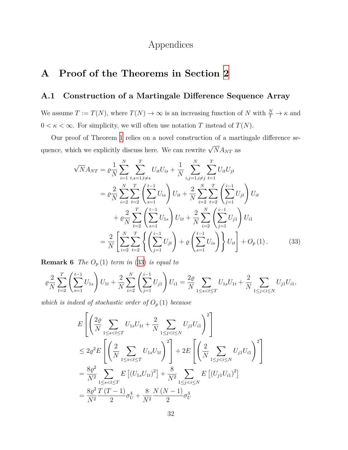## Appendices

## **A Proof of the Theorems in Section [2](#page-4-0)**

### <span id="page-31-0"></span>**A.1 Construction of a Martingale Difference Sequence Array**

We assume  $T := T(N)$ , where  $T(N) \to \infty$  is an increasing function of *N* with  $\frac{N}{T} \to \kappa$  and  $0 < \kappa < \infty$ . For simplicity, we will often use notation *T* instead of *T*(*N*).

Our proof of Theorem [1](#page-12-1) relies on a novel construction of a martingale difference sequence, which we explicitly discuss here. We can rewrite  $\sqrt{N}A_{NT}$  as

<span id="page-31-1"></span>
$$
\sqrt{N}A_{NT} = \rho \frac{1}{N} \sum_{i=1}^{N} \sum_{t,s=1,t\neq s}^{T} U_{it} U_{is} + \frac{1}{N} \sum_{i,j=1,i\neq j}^{N} \sum_{t=1}^{T} U_{it} U_{jt}
$$
  
\n
$$
= \rho \frac{2}{N} \sum_{i=2}^{N} \sum_{t=2}^{T} \left( \sum_{s=1}^{t-1} U_{is} \right) U_{it} + \frac{2}{N} \sum_{i=2}^{N} \sum_{t=2}^{T} \left( \sum_{j=1}^{i-1} U_{jt} \right) U_{it}
$$
  
\n
$$
+ \rho \frac{2}{N} \sum_{t=2}^{T} \left( \sum_{s=1}^{t-1} U_{1s} \right) U_{1t} + \frac{2}{N} \sum_{i=2}^{N} \left( \sum_{j=1}^{i-1} U_{j1} \right) U_{i1}
$$
  
\n
$$
= \frac{2}{N} \left[ \sum_{i=2}^{N} \sum_{t=2}^{T} \left\{ \left( \sum_{j=1}^{i-1} U_{jt} \right) + \rho \left( \sum_{s=1}^{t-1} U_{is} \right) \right\} U_{it} \right] + O_p (1).
$$
 (33)

**Remark 6** *The*  $O_p(1)$  *term in* ([33](#page-31-1)) *is equal to* 

$$
\varrho \frac{2}{N} \sum_{t=2}^{T} \left( \sum_{s=1}^{t-1} U_{1s} \right) U_{1t} + \frac{2}{N} \sum_{i=2}^{N} \left( \sum_{j=1}^{i-1} U_{j1} \right) U_{i1} = \frac{2\varrho}{N} \sum_{1 \le s < t \le T} U_{1s} U_{1t} + \frac{2}{N} \sum_{1 \le j < i \le N} U_{j1} U_{i1},
$$

*which is indeed of stochastic order of*  $O_p(1)$  *because* 

$$
E\left[\left(\frac{2\varrho}{N}\sum_{1\leq s  
\n
$$
\leq 2\varrho^{2}E\left[\left(\frac{2}{N}\sum_{1\leq s  
\n
$$
= \frac{8\varrho^{2}}{N^{2}}\sum_{1\leq s  
\n
$$
= \frac{8\varrho^{2}}{N^{2}}\frac{T(T-1)}{2}\sigma_{U}^{4} + \frac{8}{N^{2}}\frac{N(N-1)}{2}\sigma_{U}^{4}
$$
$$
$$
$$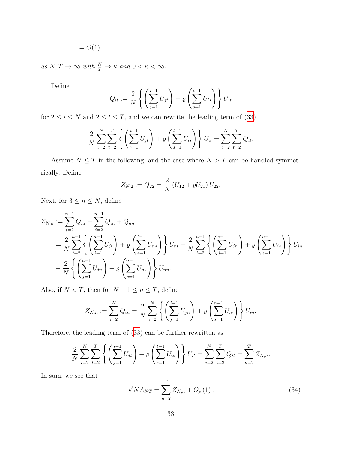$= O(1)$ 

 $as N, T \to \infty$  *with*  $\frac{N}{T} \to \kappa$  *and*  $0 < \kappa < \infty$ *.* 

Define

$$
Q_{it} := \frac{2}{N} \left\{ \left( \sum_{j=1}^{i-1} U_{jt} \right) + \varrho \left( \sum_{s=1}^{t-1} U_{is} \right) \right\} U_{it}
$$

for  $2 \le i \le N$  and  $2 \le t \le T$ , and we can rewrite the leading term of [\(33](#page-31-1))

$$
\frac{2}{N} \sum_{i=2}^{N} \sum_{t=2}^{T} \left\{ \left( \sum_{j=1}^{i-1} U_{jt} \right) + \varrho \left( \sum_{s=1}^{t-1} U_{is} \right) \right\} U_{it} = \sum_{i=2}^{N} \sum_{t=2}^{T} Q_{it}.
$$

Assume  $N \leq T$  in the following, and the case where  $N > T$  can be handled symmetrically. Define

$$
Z_{N,2} := Q_{22} = \frac{2}{N} (U_{12} + \varrho U_{21}) U_{22}.
$$

Next, for  $3 \leq n \leq N$ , define

$$
Z_{N,n} := \sum_{t=2}^{n-1} Q_{nt} + \sum_{i=2}^{n-1} Q_{in} + Q_{nn}
$$
  
=  $\frac{2}{N} \sum_{t=2}^{n-1} \left\{ \left( \sum_{j=1}^{n-1} U_{jt} \right) + \varrho \left( \sum_{s=1}^{t-1} U_{ns} \right) \right\} U_{nt} + \frac{2}{N} \sum_{i=2}^{n-1} \left\{ \left( \sum_{j=1}^{i-1} U_{jn} \right) + \varrho \left( \sum_{s=1}^{n-1} U_{is} \right) \right\} U_{in} + \frac{2}{N} \left\{ \left( \sum_{j=1}^{n-1} U_{jn} \right) + \varrho \left( \sum_{s=1}^{n-1} U_{ns} \right) \right\} U_{nn}.$ 

Also, if  $N < T$ , then for  $N + 1 \le n \le T$ , define

$$
Z_{N,n} := \sum_{i=2}^{N} Q_{in} = \frac{2}{N} \sum_{i=2}^{N} \left\{ \left( \sum_{j=1}^{i-1} U_{jn} \right) + \varrho \left( \sum_{s=1}^{n-1} U_{is} \right) \right\} U_{in}.
$$

Therefore, the leading term of [\(33\)](#page-31-1) can be further rewritten as

$$
\frac{2}{N} \sum_{i=2}^{N} \sum_{t=2}^{T} \left\{ \left( \sum_{j=1}^{i-1} U_{jt} \right) + \varrho \left( \sum_{s=1}^{t-1} U_{is} \right) \right\} U_{it} = \sum_{i=2}^{N} \sum_{t=2}^{T} Q_{it} = \sum_{n=2}^{T} Z_{N,n}.
$$

In sum, we see that

<span id="page-32-0"></span>
$$
\sqrt{N}A_{NT} = \sum_{n=2}^{T} Z_{N,n} + O_p(1), \qquad (34)
$$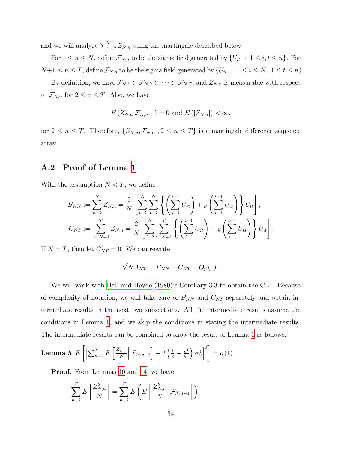and we will analyze  $\sum_{n=2}^{T} Z_{N,n}$  using the martingale described below.

For  $1 \leq n \leq N$ , define  $\mathcal{F}_{N,n}$  to be the sigma field generated by  $\{U_{it}: 1 \leq i, t \leq n\}$ . For  $N+1 \leq n \leq T$ , define  $\mathcal{F}_{N,n}$  to be the sigma field generated by  $\{U_{it}: 1 \leq i \leq N, 1 \leq t \leq n\}$ .

By definition, we have  $\mathcal{F}_{N,1} \subset \mathcal{F}_{N,2} \subset \cdots \subset \mathcal{F}_{N,T}$ , and  $Z_{N,n}$  is measurable with respect to  $\mathcal{F}_{N,n}$  for  $2 \leq n \leq T$ . Also, we have

$$
E\left(Z_{N,n}|\mathcal{F}_{N,n-1}\right)=0 \text{ and } E\left(|Z_{N,n}|\right)<\infty,
$$

for  $2 \leq n \leq T$ . Therefore,  $\{Z_{N,n}, \mathcal{F}_{N,n} \} \leq n \leq T\}$  is a martingale difference sequence array.

### <span id="page-33-0"></span>**A.2 Proof of Lemma [1](#page-12-1)**

With the assumption  $N < T$ , we define

$$
B_{NN} := \sum_{n=2}^{N} Z_{N,n} = \frac{2}{N} \left[ \sum_{i=2}^{N} \sum_{t=2}^{N} \left\{ \left( \sum_{j=1}^{i-1} U_{jt} \right) + \varrho \left( \sum_{s=1}^{t-1} U_{is} \right) \right\} U_{it} \right],
$$
  

$$
C_{NT} := \sum_{n=N+1}^{T} Z_{N,n} = \frac{2}{N} \left[ \sum_{i=2}^{N} \sum_{t=N+1}^{T} \left\{ \left( \sum_{j=1}^{i-1} U_{jt} \right) + \varrho \left( \sum_{s=1}^{t-1} U_{is} \right) \right\} U_{it} \right].
$$

If  $N = T$ , then let  $C_{NT} = 0$ . We can rewrite

$$
\sqrt{N}A_{NT} = B_{NN} + C_{NT} + O_p(1).
$$

We will work with [Hall and Heyde](#page-75-10) [\(1980\)](#page-75-10)'s Corollary 3.3 to obtain the CLT. Because of complexity of notation, we will take care of  $B_{NN}$  and  $C_{NT}$  separately and obtain intermediate results in the next two subsections. All the intermediate results assume the conditions in Lemma [1,](#page-12-1) and we skip the conditions in stating the intermediate results. The intermediate results can be combined to show the result of Lemma [1](#page-12-1) as follows.

<span id="page-33-1"></span>**Lemma 5** 
$$
E\left[\left|\sum_{n=2}^T E\left[\frac{Z_{N,n}^2}{N}\middle| \mathcal{F}_{N,n-1}\right] - 2\left(\frac{1}{\kappa} + \frac{\varrho^2}{\kappa^2}\right) \sigma_U^4\right|^2\right] = o(1).
$$

**Proof.** From Lemmas [10](#page-38-0) and [14,](#page-44-0) we have

$$
\sum_{n=2}^{T} E\left[\frac{Z_{N,n}^2}{N}\right] = \sum_{n=2}^{T} E\left(E\left[\frac{Z_{N,n}^2}{N}\middle|\mathcal{F}_{N,n-1}\right]\right)
$$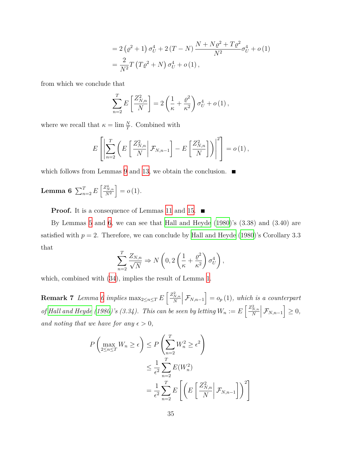$$
= 2 (\rho^2 + 1) \sigma_U^4 + 2 (T - N) \frac{N + N \rho^2 + T \rho^2}{N^2} \sigma_U^4 + o(1)
$$
  
=  $\frac{2}{N^2} T (T \rho^2 + N) \sigma_U^4 + o(1),$ 

from which we conclude that

$$
\sum_{n=2}^{T} E\left[\frac{Z_{N,n}^2}{N}\right] = 2\left(\frac{1}{\kappa} + \frac{\varrho^2}{\kappa^2}\right)\sigma_U^4 + o\left(1\right),\,
$$

where we recall that  $\kappa = \lim \frac{N}{T}$ . Combined with

$$
E\left[\left|\sum_{n=2}^T \left(E\left[\frac{Z_{N,n}^2}{N}\middle|\mathcal{F}_{N,n-1}\right]-E\left[\frac{Z_{N,n}^2}{N}\right]\right)\right|^2\right]=o\left(1\right),\right]
$$

<span id="page-34-0"></span>which follows from Lemmas [9](#page-36-0) and [13](#page-43-0), we obtain the conclusion.  $\blacksquare$ 

**Lemma 6**  $\sum_{n=2}^{T} E\left[\frac{Z_{N,n}^4}{N^2}\right] = o(1)$ *.* 

**Proof.** It is a consequence of Lemmas [11](#page-38-1) and [15.](#page-45-0) ■

By Lemmas [5](#page-33-1) and [6](#page-34-0), we can see that [Hall and Heyde](#page-75-10) [\(1980\)](#page-75-10)'s (3.38) and (3.40) are satisfied with  $p = 2$ . Therefore, we can conclude by [Hall and Heyde](#page-75-10) [\(1980\)](#page-75-10)'s Corollary 3.3 that

$$
\sum_{n=2}^{T} \frac{Z_{N,n}}{\sqrt{N}} \Rightarrow N\left(0, 2\left(\frac{1}{\kappa} + \frac{\varrho^2}{\kappa^2}\right) \sigma_U^4\right),\,
$$

which, combined with [\(34](#page-32-0)), implies the result of Lemma [1](#page-12-1).

**Remark 7** *Lemma [6](#page-34-0) implies*  $\max_{2 \le n \le T} E\left[\frac{Z_{N,n}^2}{N}\middle| \mathcal{F}_{N,n-1}\right] = o_p(1)$ *, which is a counterpart*  $\int f \, Hall$  and Heyde ([1980\)](#page-75-10)'s (3.34). This can be seen by letting  $W_n := E\left[\frac{Z_{N,n}^2}{N} \Big| \mathcal{F}_{N,n-1}\right] \geq 0$ , and noting that we have for any  $\epsilon > 0$ ,

$$
P\left(\max_{2\leq n\leq T} W_n \geq \epsilon\right) \leq P\left(\sum_{n=2}^T W_n^2 \geq \epsilon^2\right)
$$
  

$$
\leq \frac{1}{\epsilon^2} \sum_{n=2}^T E(W_n^2)
$$
  

$$
= \frac{1}{\epsilon^2} \sum_{n=2}^T E\left[\left(E\left[\frac{Z_{N,n}^2}{N}\middle|\mathcal{F}_{N,n-1}\right]\right)^2\right]
$$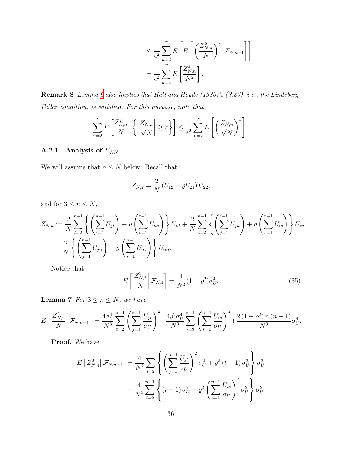$$
\leq \frac{1}{\epsilon^2} \sum_{n=2}^T E\left[E\left[\left(\frac{Z_{N,n}^2}{N}\right)^2 \middle| \mathcal{F}_{N,n-1}\right]\right]
$$

$$
= \frac{1}{\epsilon^2} \sum_{n=2}^T E\left[\frac{Z_{N,n}^4}{N^2}\right].
$$

**Remark 8** *Lemma [6](#page-34-0) also implies that Hall and Heyde (1980)'s (3.36), i.e., the Lindeberg-Feller condition, is satisfied. For this purpose, note that*

$$
\sum_{n=2}^{T} E\left[\frac{Z_{N,n}^2}{N} \mathbb{I}\left\{ \left|\frac{Z_{N,n}}{\sqrt{N}}\right| \ge \epsilon \right\} \right] \le \frac{1}{\epsilon^2} \sum_{n=2}^{T} E\left[\left(\frac{Z_{N,n}}{\sqrt{N}}\right)^4\right].
$$

# A.2.1 Analysis of  $B_{NN}$

We will assume that  $n\leq N$  below. Recall that

$$
Z_{N,2} = \frac{2}{N} (U_{12} + \varrho U_{21}) U_{22},
$$

and for  $3 \leq n \leq N$ ,

$$
Z_{N,n} := \frac{2}{N} \sum_{t=2}^{n-1} \left\{ \left( \sum_{j=1}^{n-1} U_{jt} \right) + \varrho \left( \sum_{s=1}^{t-1} U_{ns} \right) \right\} U_{nt} + \frac{2}{N} \sum_{i=2}^{n-1} \left\{ \left( \sum_{j=1}^{i-1} U_{jn} \right) + \varrho \left( \sum_{s=1}^{n-1} U_{is} \right) \right\} U_{in}
$$
  
+ 
$$
\frac{2}{N} \left\{ \left( \sum_{j=1}^{n-1} U_{jn} \right) + \varrho \left( \sum_{s=1}^{n-1} U_{ns} \right) \right\} U_{nn}.
$$

Notice that

$$
E\left[\frac{Z_{N,2}^2}{N}\right|\mathcal{F}_{N,1}\right] = \frac{4}{N^3}(1+\varrho^2)\sigma_U^4.
$$
 (35)

**Lemma 7** *For*  $3 \le n \le N$ *, we have* 

$$
E\left[\frac{Z_{N,n}^2}{N}\bigg|\mathcal{F}_{N,n-1}\right] = \frac{4\sigma_U^4}{N^3} \sum_{t=2}^{n-1} \left(\sum_{j=1}^{n-1} \frac{U_{jt}}{\sigma_U}\right)^2 + \frac{4\varrho^2 \sigma_U^4}{N^3} \sum_{i=2}^{n-1} \left(\sum_{s=1}^{n-1} \frac{U_{is}}{\sigma_U}\right)^2 + \frac{2\left(1+\varrho^2\right)n\left(n-1\right)}{N^3} \sigma_U^4.
$$

**Proof.** We have

$$
E\left[Z_{N,n}^{2}\big| \mathcal{F}_{N,n-1}\right] = \frac{4}{N^{2}} \sum_{t=2}^{n-1} \left\{ \left(\sum_{j=1}^{n-1} \frac{U_{jt}}{\sigma_{U}}\right)^{2} \sigma_{U}^{2} + \varrho^{2} \left(t-1\right) \sigma_{U}^{2} \right\} \sigma_{U}^{2} + \frac{4}{N^{2}} \sum_{i=2}^{n-1} \left\{ \left(i-1\right) \sigma_{U}^{2} + \varrho^{2} \left(\sum_{s=1}^{n-1} \frac{U_{is}}{\sigma_{U}}\right)^{2} \sigma_{U}^{2} \right\} \sigma_{U}^{2}
$$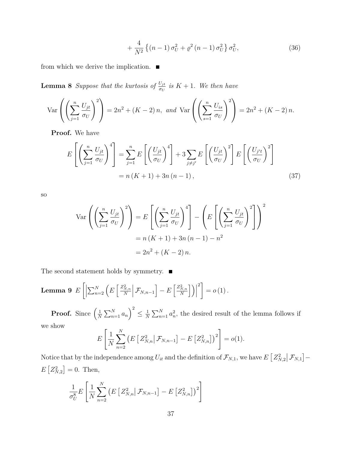<span id="page-36-2"></span><span id="page-36-1"></span>
$$
+\frac{4}{N^2}\left\{(n-1)\,\sigma_U^2+\varrho^2\,(n-1)\,\sigma_U^2\right\}\sigma_U^2,\tag{36}
$$

<span id="page-36-0"></span>from which we derive the implication.  $\blacksquare$ 

**Lemma 8** *Suppose that the kurtosis of*  $\frac{U_{jt}}{\sigma_U}$  *is*  $K + 1$ *. We then have* 

$$
\operatorname{Var}\left(\left(\sum_{j=1}^{n} \frac{U_{jt}}{\sigma_U}\right)^2\right) = 2n^2 + (K - 2)n, \text{ and } \operatorname{Var}\left(\left(\sum_{s=1}^{n} \frac{U_{is}}{\sigma_U}\right)^2\right) = 2n^2 + (K - 2)n.
$$

**Proof.** We have

$$
E\left[\left(\sum_{j=1}^{n} \frac{U_{jt}}{\sigma_U}\right)^4\right] = \sum_{j=1}^{n} E\left[\left(\frac{U_{jt}}{\sigma_U}\right)^4\right] + 3 \sum_{j \neq j'} E\left[\left(\frac{U_{jt}}{\sigma_U}\right)^2\right] E\left[\left(\frac{U_{j't}}{\sigma_U}\right)^2\right]
$$

$$
= n (K+1) + 3n (n-1), \qquad (37)
$$

so

$$
\operatorname{Var}\left(\left(\sum_{j=1}^{n} \frac{U_{jt}}{\sigma_U}\right)^2\right) = E\left[\left(\sum_{j=1}^{n} \frac{U_{jt}}{\sigma_U}\right)^4\right] - \left(E\left[\left(\sum_{j=1}^{n} \frac{U_{jt}}{\sigma_U}\right)^2\right]\right)^2
$$

$$
= n\left(K+1\right) + 3n\left(n-1\right) - n^2
$$

$$
= 2n^2 + \left(K-2\right)n.
$$

The second statement holds by symmetry.  $\blacksquare$ 

**Lemma 9** 
$$
E\left[\left|\sum_{n=2}^{N}\left(E\left[\frac{Z_{N,n}^2}{N}\middle|\mathcal{F}_{N,n-1}\right]-E\left[\frac{Z_{N,n}^2}{N}\right]\right)\right|^2\right]=o(1).
$$

**Proof.** Since  $\left(\frac{1}{N}\right)$  $\frac{1}{N} \sum_{n=1}^{N} a_n \bigg)^2 \leq \frac{1}{N}$  $\frac{1}{N} \sum_{n=1}^{N} a_n^2$ , the desired result of the lemma follows if we show

$$
E\left[\frac{1}{N}\sum_{n=2}^{N}\left(E\left[Z_{N,n}^{2}\big|\mathcal{F}_{N,n-1}\right]-E\left[Z_{N,n}^{2}\right]\right)^{2}\right]=o(1).
$$

Notice that by the independence among  $U_{it}$  and the definition of  $\mathcal{F}_{N,1}$ , we have  $E\left[Z_{N,2}^2\right|\mathcal{F}_{N,1}\right] E\left[Z_{N,2}^2\right] = 0.$  Then,

$$
\frac{1}{\sigma_U^8} E\left[\frac{1}{N}\sum_{n=2}^N \left(E\left[Z_{N,n}^2\middle|\mathcal{F}_{N,n-1}\right]-E\left[Z_{N,n}^2\right]\right)^2\right]
$$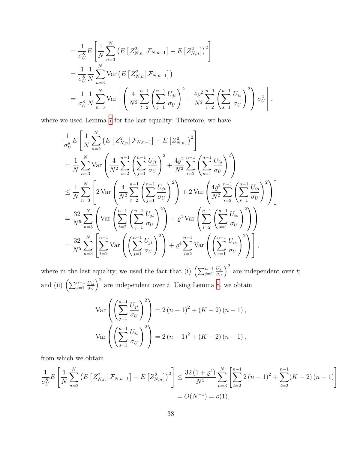$$
= \frac{1}{\sigma_U^8} E\left[\frac{1}{N} \sum_{n=3}^N \left( E\left[Z_{N,n}^2 | \mathcal{F}_{N,n-1}\right] - E\left[Z_{N,n}^2\right] \right)^2 \right]
$$
  
\n
$$
= \frac{1}{\sigma_U^8} \frac{1}{N} \sum_{n=3}^N \text{Var}\left( E\left[Z_{N,n}^2 | \mathcal{F}_{N,n-1}\right] \right)
$$
  
\n
$$
= \frac{1}{\sigma_U^8} \frac{1}{N} \sum_{n=3}^N \text{Var}\left[ \left( \frac{4}{N^2} \sum_{t=2}^{n-1} \left( \sum_{j=1}^{n-1} \frac{U_{jt}}{\sigma_U} \right)^2 + \frac{4\varrho^2}{N^2} \sum_{i=2}^{n-1} \left( \sum_{s=1}^{n-1} \frac{U_{is}}{\sigma_U} \right)^2 \right) \sigma_U^4 \right],
$$

where we used Lemma [7](#page-35-0) for the last equality. Therefore, we have

$$
\frac{1}{\sigma_{U}^{8}} E\left[\frac{1}{N} \sum_{n=2}^{N} \left( E\left[Z_{N,n}^{2}\big| \mathcal{F}_{N,n-1}\right] - E\left[Z_{N,n}^{2}\right] \right)^{2}\right]
$$
\n
$$
= \frac{1}{N} \sum_{n=3}^{N} \text{Var}\left(\frac{4}{N^{2}} \sum_{t=2}^{n-1} \left(\sum_{j=1}^{n-1} \frac{U_{jt}}{\sigma_{U}}\right)^{2} + \frac{4\varrho^{2}}{N^{2}} \sum_{i=2}^{n-1} \left(\sum_{s=1}^{n-1} \frac{U_{is}}{\sigma_{U}}\right)^{2}\right)
$$
\n
$$
\leq \frac{1}{N} \sum_{n=3}^{N} \left[2 \text{Var}\left(\frac{4}{N^{2}} \sum_{t=2}^{n-1} \left(\sum_{j=1}^{n-1} \frac{U_{jt}}{\sigma_{U}}\right)^{2}\right) + 2 \text{Var}\left(\frac{4\varrho^{2}}{N^{2}} \sum_{i=2}^{n-1} \left(\sum_{s=1}^{n-1} \frac{U_{is}}{\sigma_{U}}\right)^{2}\right)\right]
$$
\n
$$
= \frac{32}{N^{5}} \sum_{n=3}^{N} \left(\text{Var}\left(\sum_{t=2}^{n-1} \left(\sum_{j=1}^{n-1} \frac{U_{jt}}{\sigma_{U}}\right)^{2}\right) + \varrho^{4} \text{Var}\left(\sum_{i=2}^{n-1} \left(\sum_{s=1}^{n-1} \frac{U_{is}}{\sigma_{U}}\right)^{2}\right)\right)
$$
\n
$$
= \frac{32}{N^{5}} \sum_{n=3}^{N} \left[\sum_{t=2}^{n-1} \text{Var}\left(\left(\sum_{j=1}^{n-1} \frac{U_{jt}}{\sigma_{U}}\right)^{2}\right) + \varrho^{4} \sum_{i=2}^{n-1} \text{Var}\left(\left(\sum_{s=1}^{n-1} \frac{U_{is}}{\sigma_{U}}\right)^{2}\right)\right],
$$

where in the last equality, we used the fact that (i)  $\left(\sum_{j=1}^{n-1}$ *Ujt σ<sup>U</sup>*  $\big)$ <sup>2</sup> are independent over *t*; and (ii)  $\left(\sum_{s=1}^{n-1} \frac{U_{is}}{\sigma_U}\right)$ *σ<sup>U</sup>*  $\int_{0}^{2}$  are independent over *i*. Using Lemma [8,](#page-36-0) we obtain

$$
\operatorname{Var}\left(\left(\sum_{j=1}^{n-1} \frac{U_{jt}}{\sigma_U}\right)^2\right) = 2(n-1)^2 + (K-2)(n-1),
$$
  

$$
\operatorname{Var}\left(\left(\sum_{s=1}^{n-1} \frac{U_{is}}{\sigma_U}\right)^2\right) = 2(n-1)^2 + (K-2)(n-1),
$$

from which we obtain

$$
\frac{1}{\sigma_U^8} E\left[\frac{1}{N} \sum_{n=2}^N \left(E\left[Z_{N,n}^2 \middle| \mathcal{F}_{N,n-1}\right] - E\left[Z_{N,n}^2\right]\right)^2\right] \le \frac{32\left(1+\varrho^4\right)}{N^5} \sum_{n=3}^N \left[\sum_{t=2}^{n-1} 2\left(n-1\right)^2 + \sum_{t=2}^{n-1} (K-2)\left(n-1\right)\right] \\ = O(N^{-1}) = o(1),
$$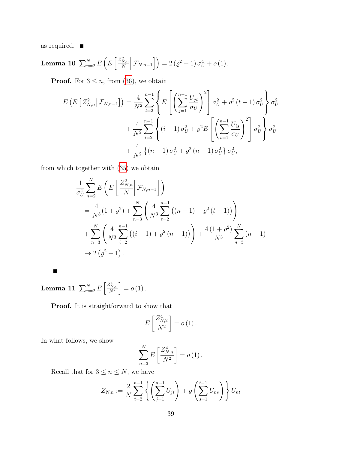as required.  $\blacksquare$ 

**Lemma 10** 
$$
\sum_{n=2}^{N} E\left(E\left[\frac{Z_{N,n}^2}{N}\middle|\mathcal{F}_{N,n-1}\right]\right) = 2\left(\varrho^2+1\right)\sigma_U^4 + o\left(1\right).
$$

**Proof.** For  $3 \leq n$ , from ([36](#page-36-1)), we obtain

$$
E\left(E\left[Z_{N,n}^{2}\middle|\mathcal{F}_{N,n-1}\right]\right) = \frac{4}{N^{2}} \sum_{t=2}^{n-1} \left\{ E\left[\left(\sum_{j=1}^{n-1} \frac{U_{jt}}{\sigma_{U}}\right)^{2}\right] \sigma_{U}^{2} + \varrho^{2} \left(t-1\right) \sigma_{U}^{2}\right\} \sigma_{U}^{2} + \frac{4}{N^{2}} \sum_{i=2}^{n-1} \left\{ \left(i-1\right) \sigma_{U}^{2} + \varrho^{2} E\left[\left(\sum_{s=1}^{n-1} \frac{U_{is}}{\sigma_{U}}\right)^{2}\right] \sigma_{U}^{2}\right\} \sigma_{U}^{2} + \frac{4}{N^{2}} \left\{ \left(n-1\right) \sigma_{U}^{2} + \varrho^{2} \left(n-1\right) \sigma_{U}^{2}\right\} \sigma_{U}^{2},
$$

from which together with ([35](#page-35-1)) we obtain

$$
\frac{1}{\sigma_U^4} \sum_{n=2}^{N} E\left(E\left[\frac{Z_{N,n}^2}{N}\middle|\mathcal{F}_{N,n-1}\right]\right)
$$
\n
$$
= \frac{4}{N^3} (1+\varrho^2) + \sum_{n=3}^{N} \left(\frac{4}{N^3} \sum_{t=2}^{n-1} \left((n-1) + \varrho^2(t-1)\right)\right)
$$
\n
$$
+ \sum_{n=3}^{N} \left(\frac{4}{N^3} \sum_{i=2}^{n-1} \left((i-1) + \varrho^2(n-1)\right)\right) + \frac{4\left(1+\varrho^2\right)}{N^3} \sum_{n=3}^{N} \left(n-1\right)
$$
\n
$$
\to 2\left(\varrho^2 + 1\right).
$$

 $\blacksquare$ 

<span id="page-38-0"></span> $\textbf{Lemma 11 }\ \sum_{n=2}^N E\left[\frac{Z_{N,n}^4}{N^2}\right] = o\left(1\right).$ 

**Proof.** It is straightforward to show that

$$
E\left[\frac{Z_{N,2}^4}{N^2}\right] = o\left(1\right).
$$

In what follows, we show

$$
\sum_{n=3}^{N} E\left[\frac{Z_{N,n}^4}{N^2}\right] = o(1).
$$

Recall that for  $3 \leq n \leq N$ , we have

$$
Z_{N,n} := \frac{2}{N} \sum_{t=2}^{n-1} \left\{ \left( \sum_{j=1}^{n-1} U_{jt} \right) + \varrho \left( \sum_{s=1}^{t-1} U_{ns} \right) \right\} U_{nt}
$$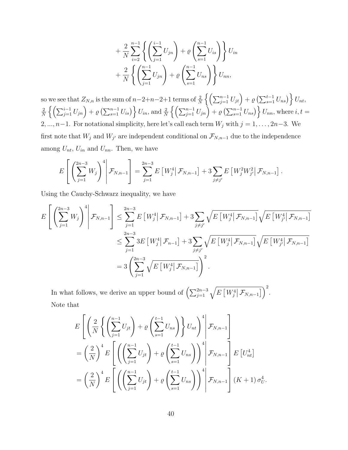$$
+\frac{2}{N}\sum_{i=2}^{n-1}\left\{\left(\sum_{j=1}^{i-1}U_{jn}\right)+\varrho\left(\sum_{s=1}^{n-1}U_{is}\right)\right\}U_{in}
$$

$$
+\frac{2}{N}\left\{\left(\sum_{j=1}^{n-1}U_{jn}\right)+\varrho\left(\sum_{s=1}^{n-1}U_{ns}\right)\right\}U_{nn},
$$

so we see that  $Z_{N,n}$  is the sum of  $n-2+n-2+1$  terms of  $\frac{2}{N}\left\{\left(\sum_{j=1}^{n-1}U_{jt}\right)+\varrho\left(\sum_{s=1}^{t-1}U_{ns}\right)\right\}U_{nt}$ , 2  $\frac{2}{N}\left\{\left(\sum_{j=1}^{i-1}U_{jn}\right)+\varrho\left(\sum_{s=1}^{n-1}U_{is}\right)\right\}U_{in},$  and  $\frac{2}{N}\left\{\left(\sum_{j=1}^{n-1}U_{jn}\right)+\varrho\left(\sum_{s=1}^{n-1}U_{ns}\right)\right\}U_{nn},$  where  $i,t=1$ 2*, ..., n−*1. For notational simplicity, here let's call each term *W<sup>j</sup>* with *j* = 1*, . . . ,* 2*n−*3. We first note that  $W_j$  and  $W_{j'}$  are independent conditional on  $\mathcal{F}_{N,n-1}$  due to the independence among  $U_{nt}$ ,  $U_{in}$  and  $U_{nn}$ . Then, we have

$$
E\left[\left(\sum_{j=1}^{2n-3} W_j\right)^4 \middle| \mathcal{F}_{N,n-1}\right] = \sum_{j=1}^{2n-3} E\left[W_j^4 \middle| \mathcal{F}_{N,n-1}\right] + 3 \sum_{j \neq j'} E\left[W_j^2 W_{j'}^2 \middle| \mathcal{F}_{N,n-1}\right].
$$

Using the Cauchy-Schwarz inequality, we have

$$
E\left[\left(\sum_{j=1}^{2n-3} W_j\right)^4 \middle| \mathcal{F}_{N,n-1}\right] \leq \sum_{j=1}^{2n-3} E\left[W_j^4 \middle| \mathcal{F}_{N,n-1}\right] + 3 \sum_{j \neq j'} \sqrt{E\left[W_j^4 \middle| \mathcal{F}_{N,n-1}\right]} \sqrt{E\left[W_j^4 \middle| \mathcal{F}_{N,n-1}\right]}
$$
  

$$
\leq \sum_{j=1}^{2n-3} 3E\left[W_j^4 \middle| \mathcal{F}_{n-1}\right] + 3 \sum_{j \neq j'} \sqrt{E\left[W_j^4 \middle| \mathcal{F}_{N,n-1}\right]} \sqrt{E\left[W_j^4 \middle| \mathcal{F}_{N,n-1}\right]}
$$
  

$$
= 3 \left(\sum_{j=1}^{2n-3} \sqrt{E\left[W_j^4 \middle| \mathcal{F}_{N,n-1}\right]}\right)^2.
$$

In what follows, we derive an upper bound of  $\left(\sum_{j=1}^{2n-3} \sqrt{E\left[W_j^4\right] \mathcal{F}_{N,n-1}}\right)^2$ . Note that

$$
E\left[\left(\frac{2}{N}\left\{\left(\sum_{j=1}^{n-1}U_{jt}\right)+\varrho\left(\sum_{s=1}^{t-1}U_{ns}\right)\right\}U_{nt}\right)^{4}\middle|\mathcal{F}_{N,n-1}\right]
$$

$$
=\left(\frac{2}{N}\right)^{4}E\left[\left(\left(\sum_{j=1}^{n-1}U_{jt}\right)+\varrho\left(\sum_{s=1}^{t-1}U_{ns}\right)\right)^{4}\middle|\mathcal{F}_{N,n-1}\right]E\left[U_{nt}^{4}\right]
$$

$$
=\left(\frac{2}{N}\right)^{4}E\left[\left(\left(\sum_{j=1}^{n-1}U_{jt}\right)+\varrho\left(\sum_{s=1}^{t-1}U_{ns}\right)\right)^{4}\middle|\mathcal{F}_{N,n-1}\right](K+1)\sigma_{U}^{4}.
$$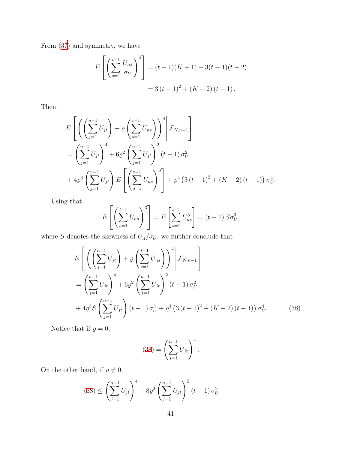From [\(37\)](#page-36-2) and symmetry, we have

$$
E\left[\left(\sum_{s=1}^{t-1} \frac{U_{ns}}{\sigma_U}\right)^4\right] = (t-1)(K+1) + 3(t-1)(t-2)
$$
  
= 3(t-1)<sup>2</sup> + (K-2)(t-1).

Then,

$$
E\left[\left(\left(\sum_{j=1}^{n-1} U_{jt}\right) + \varrho \left(\sum_{s=1}^{t-1} U_{ns}\right)\right)^4 \middle| \mathcal{F}_{N,n-1}\right] = \left(\sum_{j=1}^{n-1} U_{jt}\right)^4 + 6\varrho^2 \left(\sum_{j=1}^{n-1} U_{jt}\right)^2 (t-1)\sigma_U^2 + 4\varrho^3 \left(\sum_{j=1}^{n-1} U_{jt}\right) E\left[\left(\sum_{s=1}^{t-1} U_{ns}\right)^3\right] + \varrho^4 \left(3\left(t-1\right)^2 + \left(K-2\right)\left(t-1\right)\right)\sigma_U^4.
$$

Using that

$$
E\left[\left(\sum_{s=1}^{t-1} U_{ns}\right)^3\right] = E\left[\sum_{s=1}^{t-1} U_{ns}^3\right] = (t-1) S\sigma_U^3,
$$

where  $S$  denotes the skewness of  $U_{it}/\sigma_U,$  we further conclude that

$$
E\left[\left(\left(\sum_{j=1}^{n-1} U_{jt}\right) + \varrho\left(\sum_{s=1}^{t-1} U_{ns}\right)\right)^4 \middle| \mathcal{F}_{N,n-1}\right]
$$
  
=  $\left(\sum_{j=1}^{n-1} U_{jt}\right)^4 + 6\varrho^2 \left(\sum_{j=1}^{n-1} U_{jt}\right)^2 (t-1)\sigma_U^2$   
+  $4\varrho^3 S \left(\sum_{j=1}^{n-1} U_{jt}\right) (t-1)\sigma_U^3 + \varrho^4 \left(3(t-1)^2 + (K-2)(t-1)\right)\sigma_U^4.$  (38)

Notice that if  $\rho = 0$ ,

<span id="page-40-0"></span>
$$
(38) = \left(\sum_{j=1}^{n-1} U_{jt}\right)^4.
$$

On the other hand, if  $\varrho \neq 0,$ 

$$
(38) \le \left(\sum_{j=1}^{n-1} U_{jt}\right)^4 + 8\varrho^2 \left(\sum_{j=1}^{n-1} U_{jt}\right)^2 (t-1)\,\sigma_U^2
$$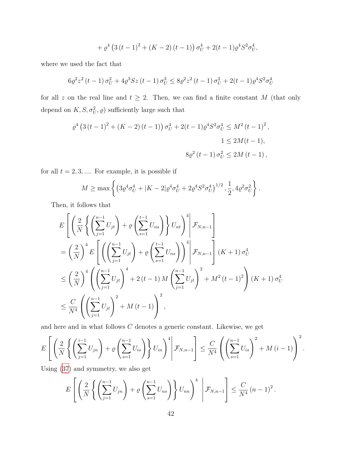+ 
$$
\varrho^4
$$
  $\left(3(t-1)^2 + (K-2)(t-1)\right) \sigma_U^4 + 2(t-1)\varrho^4 S^2 \sigma_U^4$ ,

where we used the fact that

$$
6\varrho^{2}z^{2}(t-1)\sigma_{U}^{2} + 4\varrho^{3}Sz(t-1)\sigma_{U}^{3} \le 8\varrho^{2}z^{2}(t-1)\sigma_{U}^{2} + 2(t-1)\varrho^{4}S^{2}\sigma_{U}^{4}
$$

for all  $z$  on the real line and  $t \geq 2$ . Then, we can find a finite constant  $M$  (that only depend on  $K, S, \sigma_U^2, \varrho$  sufficiently large such that

$$
\varrho^4 \left( 3\left(t - 1\right)^2 + \left(K - 2\right)\left(t - 1\right) \right) \sigma_U^4 + 2(t - 1)\varrho^4 S^2 \sigma_U^4 \le M^2 \left(t - 1\right)^2,
$$
  

$$
1 \le 2M(t - 1),
$$
  

$$
8\varrho^2 \left(t - 1\right) \sigma_U^2 \le 2M \left(t - 1\right),
$$

for all  $t = 2, 3, \dots$  For example, it is possible if

$$
M \ge \max \left\{ \left( 3\varrho^4 \sigma_U^4 + |K - 2|\varrho^4 \sigma_U^4 + 2\varrho^4 S^2 \sigma_U^4 \right)^{1/2}, \frac{1}{2}, 4\varrho^2 \sigma_U^2 \right\}.
$$

Then, it follows that

$$
E\left[\left(\frac{2}{N}\left\{\left(\sum_{j=1}^{n-1}U_{jt}\right)+\varrho\left(\sum_{s=1}^{t-1}U_{ns}\right)\right\}U_{nt}\right)^{4}\middle|\mathcal{F}_{N,n-1}\right]
$$
  
\n
$$
=\left(\frac{2}{N}\right)^{4}E\left[\left(\left(\sum_{j=1}^{n-1}U_{jt}\right)+\varrho\left(\sum_{s=1}^{t-1}U_{ns}\right)\right)^{4}\middle|\mathcal{F}_{N,n-1}\right](K+1)\sigma_{U}^{4}
$$
  
\n
$$
\leq\left(\frac{2}{N}\right)^{4}\left(\left(\sum_{j=1}^{n-1}U_{jt}\right)^{4}+2(t-1)M\left(\sum_{j=1}^{n-1}U_{jt}\right)^{2}+M^{2}(t-1)^{2}\right)(K+1)\sigma_{U}^{4}
$$
  
\n
$$
\leq\frac{C}{N^{4}}\left(\left(\sum_{j=1}^{n-1}U_{jt}\right)^{2}+M(t-1)\right)^{2},
$$

and here and in what follows *C* denotes a generic constant. Likewise, we get

$$
E\left[\left(\frac{2}{N}\left\{\left(\sum_{j=1}^{i-1}U_{jn}\right)+\varrho\left(\sum_{s=1}^{n-1}U_{is}\right)\right\}U_{in}\right)^{4}\middle|\mathcal{F}_{N,n-1}\right]\leq\frac{C}{N^{4}}\left(\left(\sum_{s=1}^{n-1}U_{is}\right)^{2}+M\left(i-1\right)\right)^{2}.
$$

Using [\(37](#page-36-2)) and symmetry, we also get

$$
E\left[\left(\frac{2}{N}\left\{\left(\sum_{j=1}^{n-1}U_{jn}\right)+\varrho\left(\sum_{s=1}^{n-1}U_{ns}\right)\right\}U_{nn}\right)^{4}\middle|\mathcal{F}_{N,n-1}\right]\leq \frac{C}{N^{4}}\left(n-1\right)^{2}.
$$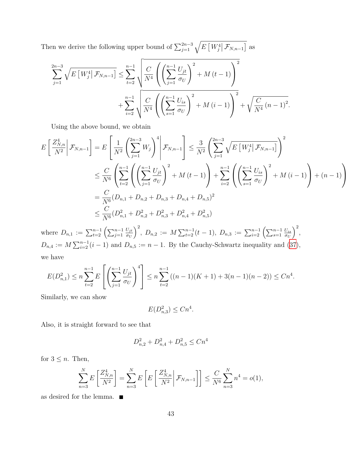Then we derive the following upper bound of  $\sum_{j=1}^{2n-3} \sqrt{E[W_j^4|\mathcal{F}_{N,n-1}]}$  as

$$
\sum_{j=1}^{2n-3} \sqrt{E\left[W_j^4 | \mathcal{F}_{N,n-1}\right]} \leq \sum_{t=2}^{n-1} \sqrt{\frac{C}{N^4} \left( \left(\sum_{j=1}^{n-1} \frac{U_{jt}}{\sigma_U}\right)^2 + M(t-1) \right)^2} + \sum_{i=2}^{n-1} \sqrt{\frac{C}{N^4} \left( \left(\sum_{s=1}^{n-1} \frac{U_{is}}{\sigma_U}\right)^2 + M(t-1) \right)^2} + \sqrt{\frac{C}{N^4} (n-1)^2}.
$$

Using the above bound, we obtain

$$
E\left[\frac{Z_{N,n}^4}{N^2}\middle|\mathcal{F}_{N,n-1}\right] = E\left[\frac{1}{N^2} \left(\sum_{j=1}^{2n-3} W_j\right)^4 \middle|\mathcal{F}_{N,n-1}\right] \le \frac{3}{N^2} \left(\sum_{j=1}^{2n-3} \sqrt{E\left[W_j^4\middle|\mathcal{F}_{N,n-1}\right]}\right)^2
$$
  

$$
\le \frac{C}{N^6} \left(\sum_{t=2}^{n-1} \left(\left(\sum_{j=1}^{n-1} \frac{U_{jt}}{\sigma_U}\right)^2 + M(t-1)\right) + \sum_{i=2}^{n-1} \left(\left(\sum_{s=1}^{n-1} \frac{U_{is}}{\sigma_U}\right)^2 + M(t-1)\right) + (n-1)\right)
$$
  

$$
= \frac{C}{N^6} (D_{n,1} + D_{n,2} + D_{n,3} + D_{n,4} + D_{n,5})^2
$$
  

$$
\le \frac{C}{N^6} (D_{n,1}^2 + D_{n,2}^2 + D_{n,3}^2 + D_{n,4}^2 + D_{n,5}^2)
$$

where  $D_{n,1} := \sum_{t=2}^{n-1} \left( \sum_{j=1}^{n-1} \right)$ *Ujt σ<sup>U</sup>*  $\sum_{i=2}^{n}$ ,  $D_{n,2}$  :=  $M \sum_{t=2}^{n-1} (t-1)$ ,  $D_{n,3}$  :=  $\sum_{i=2}^{n-1} \left( \sum_{s=1}^{n-1} \frac{U_{is}}{\sigma_U} \right)$ *σ<sup>U</sup>*  $\Big)^2$ ,  $D_{n,4} := M \sum_{i=2}^{n-1} (i-1)$  and  $D_{n,5} := n-1$ . By the Cauchy-Schwartz inequality and ([37](#page-36-2)), we have

$$
E(D_{n,1}^2) \le n \sum_{t=2}^{n-1} E\left[\left(\sum_{j=1}^{n-1} \frac{U_{jt}}{\sigma_U}\right)^4\right] \le n \sum_{t=2}^{n-1} \left((n-1)(K+1) + 3(n-1)(n-2)\right) \le Cn^4.
$$

Similarly, we can show

$$
E(D_{n,3}^2) \le Cn^4.
$$

Also, it is straight forward to see that

$$
D_{n,2}^2 + D_{n,4}^2 + D_{n,5}^2 \le Cn^4
$$

for  $3 \leq n$ . Then,

$$
\sum_{n=3}^{N} E\left[\frac{Z_{N,n}^4}{N^2}\right] = \sum_{n=3}^{N} E\left[E\left[\frac{Z_{N,n}^4}{N^2} \middle| \mathcal{F}_{N,n-1}\right]\right] \le \frac{C}{N^6} \sum_{n=3}^{N} n^4 = o(1),
$$

as desired for the lemma.  $\blacksquare$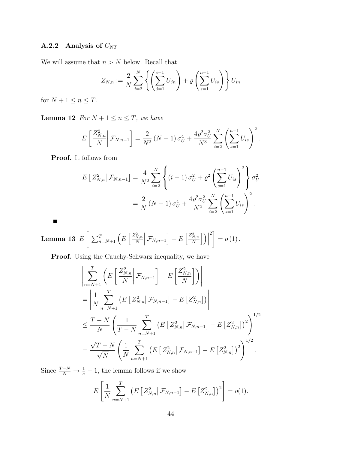# **A.2.2 Analysis of** *CNT*

We will assume that  $n>N$  below. Recall that

$$
Z_{N,n} := \frac{2}{N} \sum_{i=2}^{N} \left\{ \left( \sum_{j=1}^{i-1} U_{jn} \right) + \varrho \left( \sum_{s=1}^{n-1} U_{is} \right) \right\} U_{in}
$$

<span id="page-43-0"></span>for  $N + 1 \leq n \leq T$ .

**Lemma 12** *For*  $N + 1 \le n \le T$ *, we have* 

$$
E\left[\frac{Z_{N,n}^2}{N}\bigg|\mathcal{F}_{N,n-1}\right] = \frac{2}{N^2}\left(N-1\right)\sigma_U^4 + \frac{4\varrho^2\sigma_U^2}{N^3}\sum_{i=2}^N\left(\sum_{s=1}^{n-1}U_{is}\right)^2.
$$

**Proof.** It follows from

$$
E\left[Z_{N,n}^2 \big| \mathcal{F}_{N,n-1}\right] = \frac{4}{N^2} \sum_{i=2}^N \left\{ (i-1) \sigma_U^2 + \varrho^2 \left( \sum_{s=1}^{n-1} U_{is} \right)^2 \right\} \sigma_U^2
$$
  
=  $\frac{2}{N} (N-1) \sigma_U^4 + \frac{4\varrho^2 \sigma_U^2}{N^2} \sum_{i=2}^N \left( \sum_{s=1}^{n-1} U_{is} \right)^2$ .

 $\blacksquare$ 

**Lemma 13** 
$$
E\left[\left|\sum_{n=N+1}^{T} \left(E\left[\frac{Z_{N,n}^2}{N}\middle| \mathcal{F}_{N,n-1}\right]-E\left[\frac{Z_{N,n}^2}{N}\right]\right)\right|^2\right]=o(1).
$$

**Proof.** Using the Cauchy-Schwarz inequality, we have

$$
\left| \sum_{n=N+1}^{T} \left( E\left[\frac{Z_{N,n}^{2}}{N} \Big| \mathcal{F}_{N,n-1} \right] - E\left[\frac{Z_{N,n}^{2}}{N} \right] \right) \right|
$$
  
\n
$$
= \left| \frac{1}{N} \sum_{n=N+1}^{T} \left( E\left[Z_{N,n}^{2} \Big| \mathcal{F}_{N,n-1} \right] - E\left[Z_{N,n}^{2}\right] \right) \right|
$$
  
\n
$$
\leq \frac{T-N}{N} \left( \frac{1}{T-N} \sum_{n=N+1}^{T} \left( E\left[Z_{N,n}^{2} \Big| \mathcal{F}_{N,n-1} \right] - E\left[Z_{N,n}^{2}\right] \right)^{2} \right)^{1/2}
$$
  
\n
$$
= \frac{\sqrt{T-N}}{\sqrt{N}} \left( \frac{1}{N} \sum_{n=N+1}^{T} \left( E\left[Z_{N,n}^{2} \Big| \mathcal{F}_{N,n-1} \right] - E\left[Z_{N,n}^{2}\right] \right)^{2} \right)^{1/2}.
$$

Since  $\frac{T-N}{N} \to \frac{1}{\kappa} - 1$ , the lemma follows if we show

$$
E\left[\frac{1}{N}\sum_{n=N+1}^{T} \left( E\left[Z_{N,n}^{2} | \mathcal{F}_{N,n-1}\right] - E\left[Z_{N,n}^{2}\right] \right)^{2} \right] = o(1).
$$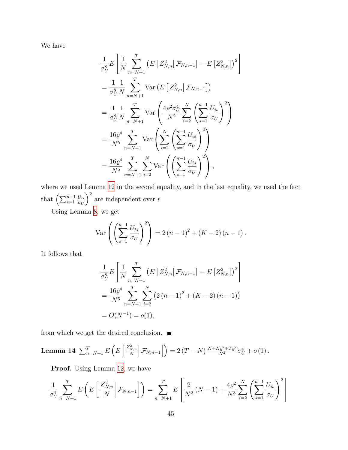We have

$$
\frac{1}{\sigma_U^8} E\left[\frac{1}{N} \sum_{n=N+1}^T \left( E\left[Z_{N,n}^2 \middle| \mathcal{F}_{N,n-1}\right] - E\left[Z_{N,n}^2\right] \right)^2 \right]
$$
\n
$$
= \frac{1}{\sigma_U^8} \frac{1}{N} \sum_{n=N+1}^T \text{Var}\left( E\left[Z_{N,n}^2 \middle| \mathcal{F}_{N,n-1}\right] \right)
$$
\n
$$
= \frac{1}{\sigma_U^8} \frac{1}{N} \sum_{n=N+1}^T \text{Var}\left( \frac{4\varrho^2 \sigma_U^4}{N^2} \sum_{i=2}^N \left( \sum_{s=1}^{n-1} \frac{U_{is}}{\sigma_U} \right)^2 \right)
$$
\n
$$
= \frac{16\varrho^4}{N^5} \sum_{n=N+1}^T \text{Var}\left( \sum_{i=2}^N \left( \sum_{s=1}^{n-1} \frac{U_{is}}{\sigma_U} \right)^2 \right)
$$
\n
$$
= \frac{16\varrho^4}{N^5} \sum_{n=N+1}^T \sum_{i=2}^N \text{Var}\left( \left( \sum_{s=1}^{n-1} \frac{U_{is}}{\sigma_U} \right)^2 \right),
$$

where we used Lemma [12](#page-43-0) in the second equality, and in the last equality, we used the fact that  $\left(\sum_{s=1}^{n-1} \frac{U_{is}}{\sigma_U}\right)$ *σ<sup>U</sup>*  $\big)$ <sup>2</sup> are independent over *i*.

Using Lemma [8](#page-36-0), we get

$$
\text{Var}\left(\left(\sum_{s=1}^{n-1} \frac{U_{is}}{\sigma_U}\right)^2\right) = 2(n-1)^2 + (K-2)(n-1).
$$

It follows that

$$
\frac{1}{\sigma_U^8} E\left[\frac{1}{N} \sum_{n=N+1}^T \left( E\left[Z_{N,n}^2 \middle| \mathcal{F}_{N,n-1}\right] - E\left[Z_{N,n}^2\right] \right)^2 \right]
$$
\n
$$
= \frac{16\varrho^4}{N^5} \sum_{n=N+1}^T \sum_{i=2}^N \left(2\left(n-1\right)^2 + \left(K-2\right)\left(n-1\right)\right)
$$
\n
$$
= O(N^{-1}) = o(1),
$$

from which we get the desired conclusion.  $\blacksquare$ 

**Lemma 14** 
$$
\sum_{n=N+1}^{T} E\left(E\left[\frac{Z_{N,n}^2}{N}\middle|\mathcal{F}_{N,n-1}\right]\right) = 2(T-N)\frac{N+N\varrho^2+T\varrho^2}{N^2}\sigma_U^4 + o(1).
$$

Proof. Using Lemma [12,](#page-43-0) we have

$$
\frac{1}{\sigma_U^4} \sum_{n=N+1}^{T} E\left(E\left[\frac{Z_{N,n}^2}{N}\middle|\mathcal{F}_{N,n-1}\right]\right) = \sum_{n=N+1}^{T} E\left[\frac{2}{N^2} \left(N-1\right) + \frac{4\varrho^2}{N^3} \sum_{i=2}^{N} \left(\sum_{s=1}^{n-1} \frac{U_{is}}{\sigma_U}\right)^2\right]
$$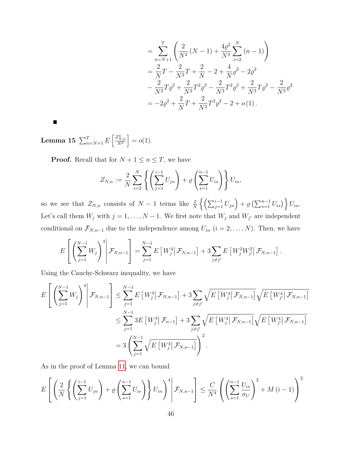$$
= \sum_{n=N+1}^{T} \left( \frac{2}{N^2} (N-1) + \frac{4\varrho^2}{N^3} \sum_{i=2}^{N} (n-1) \right)
$$
  
=  $\frac{2}{N} T - \frac{2}{N^2} T + \frac{2}{N} - 2 + \frac{4}{N} \varrho^2 - 2\varrho^2$   
 $- \frac{2}{N^2} T \varrho^2 + \frac{2}{N^2} T^2 \varrho^2 - \frac{2}{N^3} T^2 \varrho^2 + \frac{2}{N^3} T \varrho^2 - \frac{2}{N^2} \varrho^2$   
=  $-2\varrho^2 + \frac{2}{N} T + \frac{2}{N^2} T^2 \varrho^2 - 2 + o(1).$ 

 $\textbf{Lemma 15} \ \sum_{n=N+1}^{T} E\left[\frac{Z_{N,n}^4}{N^2}\right] = o(1).$ 

**Proof.** Recall that for  $N + 1 \leq n \leq T$ , we have

$$
Z_{N,n} := \frac{2}{N} \sum_{i=2}^{N} \left\{ \left( \sum_{j=1}^{i-1} U_{jn} \right) + \varrho \left( \sum_{s=1}^{n-1} U_{is} \right) \right\} U_{in},
$$

so we see that  $Z_{N,n}$  consists of  $N-1$  terms like  $\frac{2}{N}\left\{\left(\sum_{j=1}^{i-1}U_{jn}\right)+\varrho\left(\sum_{s=1}^{n-1}U_{is}\right)\right\}U_{in}$ . Let's call them  $W_j$  with  $j = 1, ..., N - 1$ . We first note that  $W_j$  and  $W_{j'}$  are independent conditional on  $\mathcal{F}_{N,n-1}$  due to the independence among  $U_{in}$  (*i* = 2, ..., *N*). Then, we have

$$
E\left[\left(\sum_{j=1}^{N-1} W_j\right)^4 \middle| \mathcal{F}_{N,n-1}\right] = \sum_{j=1}^{N-1} E\left[W_j^4 \middle| \mathcal{F}_{N,n-1}\right] + 3 \sum_{j \neq j'} E\left[W_j^2 W_{j'}^2 \middle| \mathcal{F}_{N,n-1}\right].
$$

Using the Cauchy-Schwarz inequality, we have

$$
E\left[\left(\sum_{j=1}^{N-1} W_j\right)^4 \middle| \mathcal{F}_{N,n-1}\right] \leq \sum_{j=1}^{N-1} E\left[W_j^4 \middle| \mathcal{F}_{N,n-1}\right] + 3 \sum_{j \neq j'} \sqrt{E\left[W_j^4 \middle| \mathcal{F}_{N,n-1}\right]} \sqrt{E\left[W_j^4 \middle| \mathcal{F}_{N,n-1}\right]}
$$
  

$$
\leq \sum_{j=1}^{N-1} 3E\left[W_j^4 \middle| \mathcal{F}_{n-1}\right] + 3 \sum_{j \neq j'} \sqrt{E\left[W_j^4 \middle| \mathcal{F}_{N,n-1}\right]} \sqrt{E\left[W_j^4 \middle| \mathcal{F}_{N,n-1}\right]}
$$
  

$$
= 3 \left(\sum_{j=1}^{N-1} \sqrt{E\left[W_j^4 \middle| \mathcal{F}_{N,n-1}\right]}\right)^2.
$$

As in the proof of Lemma [11](#page-38-0), we can bound

$$
E\left[\left(\frac{2}{N}\left\{\left(\sum_{j=1}^{i-1}U_{jn}\right)+\varrho\left(\sum_{s=1}^{n-1}U_{is}\right)\right\}U_{in}\right)^{4}\middle|\mathcal{F}_{N,n-1}\right]\leq \frac{C}{N^{4}}\left(\left(\sum_{s=1}^{n-1}\frac{U_{is}}{\sigma_{U}}\right)^{2}+M\left(i-1\right)\right)^{2}
$$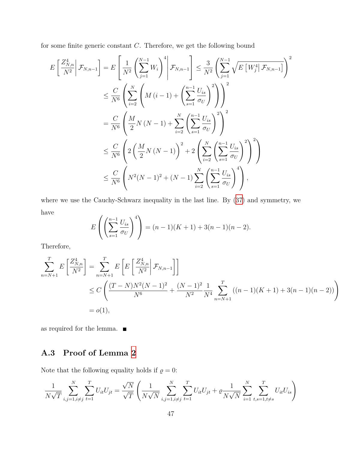for some finite generic constant *C*. Therefore, we get the following bound

$$
E\left[\frac{Z_{N,n}^{4}}{N^{2}}\middle|\mathcal{F}_{N,n-1}\right] = E\left[\frac{1}{N^{2}}\left(\sum_{j=1}^{N-1}W_{i}\right)^{4}\middle|\mathcal{F}_{N,n-1}\right] \leq \frac{3}{N^{2}}\left(\sum_{j=1}^{N-1}\sqrt{E\left[W_{j}^{4}\middle|\mathcal{F}_{N,n-1}\right]}\right)^{2}
$$
  

$$
\leq \frac{C}{N^{6}}\left(\sum_{i=2}^{N}\left(M(i-1)+\left(\sum_{s=1}^{n-1}\frac{U_{is}}{\sigma_{U}}\right)^{2}\right)\right)^{2}
$$
  

$$
= \frac{C}{N^{6}}\left(\frac{M}{2}N(N-1)+\sum_{i=2}^{N}\left(\sum_{s=1}^{n-1}\frac{U_{is}}{\sigma_{U}}\right)^{2}\right)^{2}
$$
  

$$
\leq \frac{C}{N^{6}}\left(2\left(\frac{M}{2}N(N-1)\right)^{2}+2\left(\sum_{i=2}^{N}\left(\sum_{s=1}^{n-1}\frac{U_{is}}{\sigma_{U}}\right)^{2}\right)^{2}\right)
$$
  

$$
\leq \frac{C}{N^{6}}\left(N^{2}(N-1)^{2}+(N-1)\sum_{i=2}^{N}\left(\sum_{s=1}^{n-1}\frac{U_{is}}{\sigma_{U}}\right)^{4}\right),
$$

where we use the Cauchy-Schwarz inequality in the last line. By ([37\)](#page-36-2) and symmetry, we have

$$
E\left(\left(\sum_{s=1}^{n-1} \frac{U_{is}}{\sigma_U}\right)^4\right) = (n-1)(K+1) + 3(n-1)(n-2).
$$

Therefore,

$$
\sum_{n=N+1}^{T} E\left[\frac{Z_{N,n}^4}{N^2}\right] = \sum_{n=N+1}^{T} E\left[E\left[\frac{Z_{N,n}^4}{N^2} \middle| \mathcal{F}_{N,n-1}\right]\right]
$$
\n
$$
\leq C\left(\frac{(T-N)N^2(N-1)^2}{N^6} + \frac{(N-1)^2}{N^2} \frac{1}{N^4} \sum_{n=N+1}^{T} ((n-1)(K+1) + 3(n-1)(n-2))\right)
$$
\n
$$
= o(1),
$$

as required for the lemma.  $\blacksquare$ 

# **A.3 Proof of Lemma [2](#page-13-0)**

Note that the following equality holds if  $\varrho=0:$ 

$$
\frac{1}{N\sqrt{T}}\sum_{i,j=1,i\neq j}^{N}\sum_{t=1}^{T}U_{it}U_{jt} = \frac{\sqrt{N}}{\sqrt{T}}\left(\frac{1}{N\sqrt{N}}\sum_{i,j=1,i\neq j}^{N}\sum_{t=1}^{T}U_{it}U_{jt} + \varrho\frac{1}{N\sqrt{N}}\sum_{i=1}^{N}\sum_{t,s=1,t\neq s}^{T}U_{it}U_{is}\right)
$$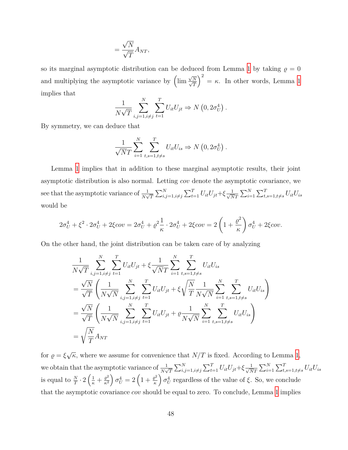$$
=\frac{\sqrt{N}}{\sqrt{T}}A_{NT},
$$

so its marginal asymptotic distribution can be deduced from Lemma [1](#page-12-0) by taking  $\rho = 0$ and multiplying the asymptotic variance by  $\left(\lim_{n \to \infty} \frac{\sqrt{2}}{n}\right)$ *√ N T*  $\int_{0}^{2} = \kappa$ . In other words, Lemma [1](#page-12-0) implies that

$$
\frac{1}{N\sqrt{T}}\sum_{i,j=1,i\neq j}^N\sum_{t=1}^T U_{it}U_{jt} \Rightarrow N\left(0,2\sigma_U^4\right).
$$

By symmetry, we can deduce that

$$
\frac{1}{\sqrt{NT}} \sum_{i=1}^N \sum_{t,s=1,t \neq s}^T U_{it} U_{is} \Rightarrow N\left(0, 2\sigma_U^4\right).
$$

Lemma [1](#page-12-0) implies that in addition to these marginal asymptotic results, their joint asymptotic distribution is also normal. Letting *cov* denote the asymptotic covariance, we see that the asymptotic variance of  $\frac{1}{N\sqrt{T}}\sum_{i,j=1,i\neq j}^{N}\sum_{t=1}^{T}U_{it}U_{jt}+\xi\frac{1}{\sqrt{N}}$  $\frac{1}{NT}$   $\sum_{i=1}^{N} \sum_{t,s=1,t\neq s}^{T} U_{it} U_{is}$ would be

$$
2\sigma_U^4 + \xi^2 \cdot 2\sigma_U^4 + 2\xi cov = 2\sigma_U^4 + \varrho^2 \frac{1}{\kappa} \cdot 2\sigma_U^4 + 2\xi cov = 2\left(1 + \frac{\varrho^2}{\kappa}\right)\sigma_U^4 + 2\xi cov.
$$

On the other hand, the joint distribution can be taken care of by analyzing

$$
\frac{1}{N\sqrt{T}}\sum_{i,j=1,i\neq j}^{N}\sum_{t=1}^{T}U_{it}U_{jt} + \xi \frac{1}{\sqrt{N}T}\sum_{i=1}^{N}\sum_{t,s=1,t\neq s}^{T}U_{it}U_{is}
$$
\n
$$
= \frac{\sqrt{N}}{\sqrt{T}}\left(\frac{1}{N\sqrt{N}}\sum_{i,j=1,i\neq j}^{N}\sum_{t=1}^{T}U_{it}U_{jt} + \xi\sqrt{\frac{N}{T}}\frac{1}{N\sqrt{N}}\sum_{i=1}^{N}\sum_{t,s=1,t\neq s}^{T}U_{it}U_{is}\right)
$$
\n
$$
= \frac{\sqrt{N}}{\sqrt{T}}\left(\frac{1}{N\sqrt{N}}\sum_{i,j=1,i\neq j}^{N}\sum_{t=1}^{T}U_{it}U_{jt} + \varrho \frac{1}{N\sqrt{N}}\sum_{i=1}^{N}\sum_{t,s=1,t\neq s}^{T}U_{it}U_{is}\right)
$$
\n
$$
= \sqrt{\frac{N}{T}}A_{NT}
$$

for  $\rho = \xi$ *√*  $\overline{\kappa}$ , where we assume for convenience that  $N/T$  is fixed. According to Lemma [1,](#page-12-0) we obtain that the asymptotic variance of  $\frac{1}{N\sqrt{T}}\sum_{i,j=1, i\neq j}^{N}\sum_{t=1}^{T}U_{it}U_{jt}+\xi\frac{1}{\sqrt{N}}$  $\frac{1}{NT}$   $\sum_{i=1}^{N} \sum_{t,s=1,t\neq s}^{T} U_{it} U_{is}$ is equal to  $\frac{N}{T} \cdot 2 \left( \frac{1}{\kappa} + \frac{\varrho^2}{\kappa^2} \right)$  $\left(\frac{\varrho^2}{\kappa^2}\right)\sigma_U^4=2\left(1+\frac{\varrho^2}{\kappa}\right)$  $\left(\frac{\partial^2}{\partial t}\right) \sigma_U^4$  regardless of the value of *ξ*. So, we conclude that the asymptotic covariance *cov* should be equal to zero. To conclude, Lemma [1](#page-12-0) implies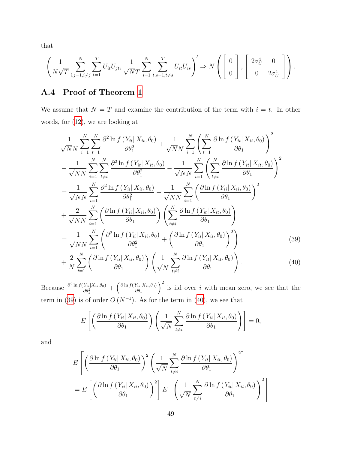that

$$
\left(\frac{1}{N\sqrt{T}}\sum_{i,j=1,i\neq j}^{N}\sum_{t=1}^{T}U_{it}U_{jt},\frac{1}{\sqrt{NT}}\sum_{i=1}^{N}\sum_{t,s=1,t\neq s}^{T}U_{it}U_{is}\right)' \Rightarrow N\left(\begin{bmatrix}0\\0\end{bmatrix},\begin{bmatrix}2\sigma_U^4&0\\0&2\sigma_U^4\end{bmatrix}\right).
$$

# **A.4 Proof of Theorem [1](#page-13-1)**

We assume that  $N = T$  and examine the contribution of the term with  $i = t$ . In other words, for [\(12\)](#page-10-0), we are looking at

$$
\frac{1}{\sqrt{N}N} \sum_{i=1}^{N} \sum_{t=1}^{N} \frac{\partial^{2} \ln f(Y_{it} | X_{it}, \theta_{0})}{\partial \theta_{1}^{2}} + \frac{1}{\sqrt{N}N} \sum_{i=1}^{N} \left( \sum_{t=1}^{N} \frac{\partial \ln f(Y_{it} | X_{it}, \theta_{0})}{\partial \theta_{1}} \right)^{2}
$$

$$
- \frac{1}{\sqrt{N}N} \sum_{i=1}^{N} \sum_{t \neq i}^{N} \frac{\partial^{2} \ln f(Y_{it} | X_{it}, \theta_{0})}{\partial \theta_{1}^{2}} - \frac{1}{\sqrt{N}N} \sum_{i=1}^{N} \left( \sum_{t \neq i}^{N} \frac{\partial \ln f(Y_{it} | X_{it}, \theta_{0})}{\partial \theta_{1}} \right)^{2}
$$

$$
= \frac{1}{\sqrt{N}N} \sum_{i=1}^{N} \frac{\partial^{2} \ln f(Y_{ii} | X_{ii}, \theta_{0})}{\partial \theta_{1}^{2}} + \frac{1}{\sqrt{N}N} \sum_{i=1}^{N} \left( \frac{\partial \ln f(Y_{ii} | X_{ii}, \theta_{0})}{\partial \theta_{1}} \right)^{2}
$$

$$
+ \frac{2}{\sqrt{N}N} \sum_{i=1}^{N} \left( \frac{\partial \ln f(Y_{ii} | X_{ii}, \theta_{0})}{\partial \theta_{1}} \right) \left( \sum_{t \neq i}^{N} \frac{\partial \ln f(Y_{it} | X_{it}, \theta_{0})}{\partial \theta_{1}} \right)
$$

$$
= \frac{1}{\sqrt{N}N} \sum_{i=1}^{N} \left( \frac{\partial^{2} \ln f(Y_{ii} | X_{ii}, \theta_{0})}{\partial \theta_{1}^{2}} + \left( \frac{\partial \ln f(Y_{ii} | X_{ii}, \theta_{0})}{\partial \theta_{1}} \right)^{2} \right)
$$
(39)
$$
2 \frac{N}{N} (\partial \ln f(Y_{ii} | X_{i}, \theta_{0}) ) \left( 1 - \frac{N}{N} \partial \ln f(Y_{i} | X_{i}, \theta_{0}) \right)
$$

$$
+\frac{2}{N}\sum_{i=1}^{N}\left(\frac{\partial\ln f\left(Y_{ii}\middle|X_{ii},\theta_{0}\right)}{\partial\theta_{1}}\right)\left(\frac{1}{\sqrt{N}}\sum_{t\neq i}^{N}\frac{\partial\ln f\left(Y_{it}\middle|X_{it},\theta_{0}\right)}{\partial\theta_{1}}\right).
$$
\n(40)

Because  $\frac{\partial^2 \ln f(Y_{ii}|X_{ii},\theta_0)}{\partial \theta_1^2} + \left(\frac{\partial \ln f(Y_{ii}|X_{ii},\theta_0)}{\partial \theta_1}\right)$  $\int_{0}^{2}$  is iid over *i* with mean zero, we see that the term in [\(39\)](#page-48-0) is of order  $O(N^{-1})$ . As for the term in [\(40\)](#page-48-1), we see that

<span id="page-48-1"></span><span id="page-48-0"></span>
$$
E\left[\left(\frac{\partial \ln f\left(Y_{ii} | X_{ii}, \theta_0\right)}{\partial \theta_1}\right) \left(\frac{1}{\sqrt{N}} \sum_{t \neq i}^N \frac{\partial \ln f\left(Y_{it} | X_{it}, \theta_0\right)}{\partial \theta_1}\right)\right] = 0,
$$

and

$$
E\left[\left(\frac{\partial \ln f(Y_{ii}|X_{ii},\theta_0)}{\partial \theta_1}\right)^2 \left(\frac{1}{\sqrt{N}} \sum_{t \neq i}^N \frac{\partial \ln f(Y_{it}|X_{it},\theta_0)}{\partial \theta_1}\right)^2\right]
$$
  
= 
$$
E\left[\left(\frac{\partial \ln f(Y_{ii}|X_{ii},\theta_0)}{\partial \theta_1}\right)^2\right] E\left[\left(\frac{1}{\sqrt{N}} \sum_{t \neq i}^N \frac{\partial \ln f(Y_{it}|X_{it},\theta_0)}{\partial \theta_1}\right)^2\right]
$$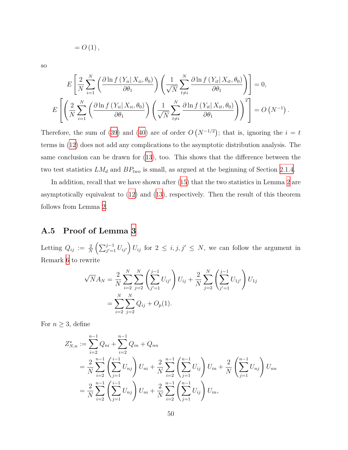$$
=O\left( 1\right) ,
$$

so

$$
E\left[\frac{2}{N}\sum_{i=1}^{N}\left(\frac{\partial\ln f\left(Y_{ii}|X_{ii},\theta_{0}\right)}{\partial\theta_{1}}\right)\left(\frac{1}{\sqrt{N}}\sum_{t\neq i}^{N}\frac{\partial\ln f\left(Y_{it}|X_{it},\theta_{0}\right)}{\partial\theta_{1}}\right)\right]=0,
$$
  

$$
E\left[\left(\frac{2}{N}\sum_{i=1}^{N}\left(\frac{\partial\ln f\left(Y_{ii}|X_{ii},\theta_{0}\right)}{\partial\theta_{1}}\right)\left(\frac{1}{\sqrt{N}}\sum_{t\neq i}^{N}\frac{\partial\ln f\left(Y_{it}|X_{it},\theta_{0}\right)}{\partial\theta_{1}}\right)\right)^{2}\right]=O\left(N^{-1}\right).
$$

Therefore, the sum of ([39\)](#page-48-0) and [\(40\)](#page-48-1) are of order  $O(N^{-1/2})$ ; that is, ignoring the  $i = t$ terms in ([12](#page-10-0)) does not add any complications to the asymptotic distribution analysis. The same conclusion can be drawn for [\(13\)](#page-10-1), too. This shows that the difference between the two test statistics *LM<sup>d</sup>* and *BPtwo* is small, as argued at the beginning of Section [2.1.4](#page-11-0).

In addition, recall that we have shown after [\(15\)](#page-12-1) that the two statistics in Lemma [2](#page-13-0) are asymptotically equivalent to [\(12\)](#page-10-0) and [\(13](#page-10-1)), respectively. Then the result of this theorem follows from Lemma [2.](#page-13-0)

### **A.5 Proof of Lemma [3](#page-15-0)**

Letting  $Q_{ij} := \frac{2}{N} \left( \sum_{j'=1}^{j-1} U_{ij'} \right) U_{ij}$  for  $2 \leq i, j, j' \leq N$ , we can follow the argument in Remark [6](#page-31-0) to rewrite

$$
\sqrt{N}A_N = \frac{2}{N} \sum_{i=2}^N \sum_{j=2}^N \left(\sum_{j'=1}^{j-1} U_{ij'}\right) U_{ij} + \frac{2}{N} \sum_{j=2}^N \left(\sum_{j'=1}^{j-1} U_{1j'}\right) U_{1j}
$$
  
= 
$$
\sum_{i=2}^N \sum_{j=2}^N Q_{ij} + O_p(1).
$$

For  $n \geq 3$ , define

$$
Z_{N,n}^{*} := \sum_{i=2}^{n-1} Q_{ni} + \sum_{i=2}^{n-1} Q_{in} + Q_{nn}
$$
  
=  $\frac{2}{N} \sum_{i=2}^{n-1} \left( \sum_{j=1}^{i-1} U_{nj} \right) U_{ni} + \frac{2}{N} \sum_{i=2}^{n-1} \left( \sum_{j=1}^{n-1} U_{ij} \right) U_{in} + \frac{2}{N} \left( \sum_{j=1}^{n-1} U_{nj} \right) U_{nn}$   
=  $\frac{2}{N} \sum_{i=2}^{n-1} \left( \sum_{j=1}^{i-1} U_{nj} \right) U_{ni} + \frac{2}{N} \sum_{i=2}^{n-1} \left( \sum_{j=1}^{n-1} U_{ij} \right) U_{in},$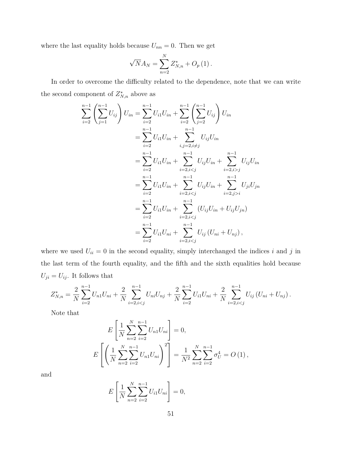where the last equality holds because  $U_{nn} = 0$ . Then we get

$$
\sqrt{N}A_N = \sum_{n=2}^N Z_{N,n}^* + O_p(1).
$$

In order to overcome the difficulty related to the dependence, note that we can write the second component of  $Z_{N,n}^*$  above as

$$
\sum_{i=2}^{n-1} \left( \sum_{j=1}^{n-1} U_{ij} \right) U_{in} = \sum_{i=2}^{n-1} U_{i1} U_{in} + \sum_{i=2}^{n-1} \left( \sum_{j=2}^{n-1} U_{ij} \right) U_{in}
$$
  
\n
$$
= \sum_{i=2}^{n-1} U_{i1} U_{in} + \sum_{i,j=2, i \neq j}^{n-1} U_{ij} U_{in}
$$
  
\n
$$
= \sum_{i=2}^{n-1} U_{i1} U_{in} + \sum_{i=2, i < j}^{n-1} U_{ij} U_{in} + \sum_{i=2, i > j}^{n-1} U_{ij} U_{in}
$$
  
\n
$$
= \sum_{i=2}^{n-1} U_{i1} U_{in} + \sum_{i=2, i < j}^{n-1} U_{ij} U_{in} + \sum_{i=2, j > i}^{n-1} U_{ji} U_{jn}
$$
  
\n
$$
= \sum_{i=2}^{n-1} U_{i1} U_{in} + \sum_{i=2, i < j}^{n-1} (U_{ij} U_{in} + U_{ij} U_{jn})
$$
  
\n
$$
= \sum_{i=2}^{n-1} U_{i1} U_{ni} + \sum_{i=2, i < j}^{n-1} U_{ij} (U_{ni} + U_{nj}),
$$

where we used  $U_{ii} = 0$  in the second equality, simply interchanged the indices *i* and *j* in the last term of the fourth equality, and the fifth and the sixth equalities hold because  $U_{ji} = U_{ij}.$  It follows that

$$
Z_{N,n}^{*} = \frac{2}{N} \sum_{i=2}^{n-1} U_{n1} U_{ni} + \frac{2}{N} \sum_{i=2, i < j}^{n-1} U_{ni} U_{nj} + \frac{2}{N} \sum_{i=2}^{n-1} U_{i1} U_{ni} + \frac{2}{N} \sum_{i=2, i < j}^{n-1} U_{ij} (U_{ni} + U_{nj}).
$$

Note that

$$
E\left[\frac{1}{N}\sum_{n=2}^{N}\sum_{i=2}^{n-1}U_{n1}U_{ni}\right] = 0,
$$
  

$$
E\left[\left(\frac{1}{N}\sum_{n=2}^{N}\sum_{i=2}^{n-1}U_{n1}U_{ni}\right)^{2}\right] = \frac{1}{N^{2}}\sum_{n=2}^{N}\sum_{i=2}^{n-1}\sigma_{U}^{4} = O\left(1\right),
$$

and

$$
E\left[\frac{1}{N}\sum_{n=2}^{N}\sum_{i=2}^{n-1}U_{i1}U_{ni}\right]=0,
$$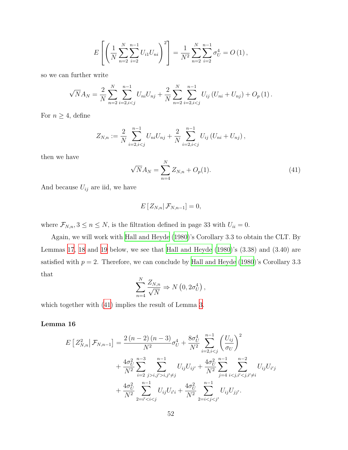$$
E\left[\left(\frac{1}{N}\sum_{n=2}^{N}\sum_{i=2}^{n-1}U_{i1}U_{ni}\right)^{2}\right]=\frac{1}{N^{2}}\sum_{n=2}^{N}\sum_{i=2}^{n-1}\sigma_{U}^{4}=O\left(1\right),\,
$$

so we can further write

$$
\sqrt{N}A_N = \frac{2}{N} \sum_{n=2}^N \sum_{i=2, i < j}^{n-1} U_{ni} U_{nj} + \frac{2}{N} \sum_{n=2}^N \sum_{i=2, i < j}^{n-1} U_{ij} \left( U_{ni} + U_{nj} \right) + O_p\left( 1 \right).
$$

For  $n \geq 4$ , define

$$
Z_{N,n} := \frac{2}{N} \sum_{i=2, i < j}^{n-1} U_{ni} U_{nj} + \frac{2}{N} \sum_{i=2, i < j}^{n-1} U_{ij} \left( U_{ni} + U_{nj} \right),
$$

then we have

<span id="page-51-0"></span>
$$
\sqrt{N}A_N = \sum_{n=4}^N Z_{N,n} + O_p(1). \tag{41}
$$

And because  $U_{ij}$  are iid, we have

$$
E\left[Z_{N,n}\right|\mathcal{F}_{N,n-1}\right]=0,
$$

where  $\mathcal{F}_{N,n}, 3 \leq n \leq N$ , is the filtration defined in page 33 with  $U_{ii} = 0$ .

Again, we will work with [Hall and Heyde](#page-75-0) [\(1980\)](#page-75-0)'s Corollary 3.3 to obtain the CLT. By Lemmas [17](#page-53-0), [18](#page-54-0) and [19](#page-55-0) below, we see that [Hall and Heyde](#page-75-0) ([1980](#page-75-0))'s (3.38) and (3.40) are satisfied with  $p = 2$ . Therefore, we can conclude by [Hall and Heyde](#page-75-0) [\(1980\)](#page-75-0)'s Corollary 3.3 that

$$
\sum_{n=4}^{N} \frac{Z_{N,n}}{\sqrt{N}} \Rightarrow N\left(0, 2\sigma_U^4\right),\,
$$

<span id="page-51-1"></span>which together with ([41\)](#page-51-0) implies the result of Lemma [3](#page-15-0).

#### **Lemma 16**

$$
E\left[Z_{N,n}^2|\mathcal{F}_{N,n-1}\right] = \frac{2\left(n-2\right)\left(n-3\right)}{N^2}\sigma_U^4 + \frac{8\sigma_U^4}{N^2}\sum_{i=2,i  
+ 
$$
\frac{4\sigma_U^2}{N^2}\sum_{i=2}^{n-3}\sum_{j>i,j'>i,j'\neq j}^{n-1} U_{ij}U_{ij'} + \frac{4\sigma_U^2}{N^2}\sum_{j=4}^{n-1}\sum_{i  
+ 
$$
\frac{4\sigma_U^2}{N^2}\sum_{2=i'
$$
$$
$$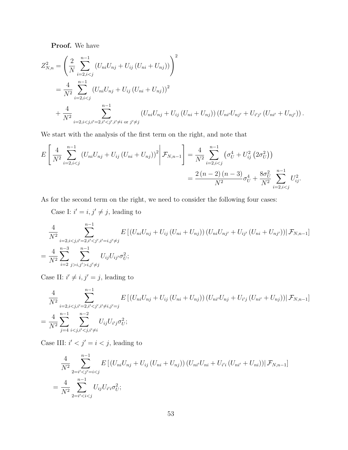**Proof.** We have

$$
Z_{N,n}^{2} = \left(\frac{2}{N} \sum_{i=2, i < j}^{n-1} (U_{ni}U_{nj} + U_{ij}(U_{ni} + U_{nj}))\right)^{2}
$$
\n
$$
= \frac{4}{N^{2}} \sum_{i=2, i < j}^{n-1} (U_{ni}U_{nj} + U_{ij}(U_{ni} + U_{nj}))^{2}
$$
\n
$$
+ \frac{4}{N^{2}} \sum_{i=2, i < j, i'=2, i' < j', i' \neq i \text{ or } j' \neq j} (U_{ni}U_{nj} + U_{ij}(U_{ni} + U_{nj})) (U_{ni'}U_{nj'} + U_{i'j'}(U_{ni'} + U_{nj'})).
$$

We start with the analysis of the first term on the right, and note that

$$
E\left[\frac{4}{N^2} \sum_{i=2,i  
=  $\frac{2\left(n-2\right)\left(n-3\right)}{N^2} \sigma_U^4 + \frac{8\sigma_U^2}{N^2} \sum_{i=2,i$
$$

As for the second term on the right, we need to consider the following four cases:

Case I:  $i' = i, j' \neq j$ , leading to

$$
\frac{4}{N^2} \sum_{\substack{i=2, i < j, i'=2, i' < j', i'=i, j' \neq j}}^{n-1} E\left[ (U_{ni}U_{nj} + U_{ij}(U_{ni} + U_{nj})) (U_{ni}U_{nj'} + U_{ij'}(U_{ni} + U_{nj'})) \right] \mathcal{F}_{N,n-1} \right]
$$
\n
$$
= \frac{4}{N^2} \sum_{i=2}^{n-3} \sum_{j>i, j'>i, j' \neq j}^{n-1} U_{ij} U_{ij'} \sigma_U^2;
$$

Case II:  $i' \neq i, j' = j$ , leading to

$$
\frac{4}{N^2} \sum_{\substack{i=2, i < j, i'=2, i' < j', i' \neq i, j' = j}}^{n-1} E\left[ (U_{ni}U_{nj} + U_{ij}(U_{ni} + U_{nj})) (U_{ni'}U_{nj} + U_{i'j}(U_{ni'} + U_{nj})) \right] \mathcal{F}_{N,n-1} \right]
$$
\n
$$
= \frac{4}{N^2} \sum_{j=4}^{n-1} \sum_{i < j, i' < j, i' \neq i}^{n-2} U_{ij} U_{i'j} \sigma_U^2;
$$

Case III:  $i' < j' = i < j$ , leading to

$$
\frac{4}{N^2} \sum_{2=i' < j'=i < j}^{n-1} E \left[ \left( U_{ni} U_{nj} + U_{ij} \left( U_{ni} + U_{nj} \right) \right) \left( U_{ni'} U_{ni} + U_{i'i} \left( U_{ni'} + U_{ni} \right) \right) \right] \mathcal{F}_{N,n-1} \right]
$$
\n
$$
= \frac{4}{N^2} \sum_{2=i' < i < j}^{n-1} U_{ij} U_{i'i} \sigma_U^2;
$$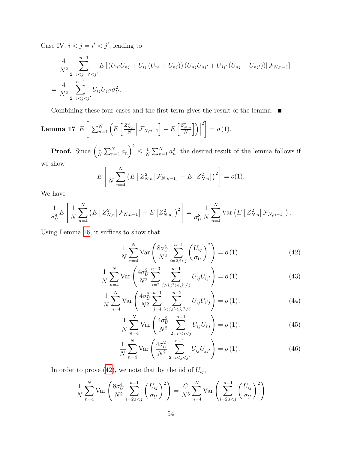Case IV:  $i < j = i' < j'$ , leading to

$$
\frac{4}{N^2} \sum_{2=i < j=i' < j'}^{n-1} E\left[ (U_{ni}U_{nj} + U_{ij} (U_{ni} + U_{nj})) (U_{nj}U_{nj'} + U_{jj'} (U_{nj} + U_{nj'})) | \mathcal{F}_{N,n-1} \right]
$$
\n
$$
= \frac{4}{N^2} \sum_{2=i < j < j'}^{n-1} U_{ij} U_{jj'} \sigma_U^2.
$$

Combining these four cases and the first term gives the result of the lemma.  $\blacksquare$ 

<span id="page-53-0"></span>**Lemma 17** 
$$
E\left[\left|\sum_{n=4}^{N}\left(E\left[\frac{Z_{N,n}^2}{N}\middle|\mathcal{F}_{N,n-1}\right]-E\left[\frac{Z_{N,n}^2}{N}\right]\right)\right|^2\right]=o(1).
$$

**Proof.** Since  $\left(\frac{1}{N}\right)$  $\frac{1}{N} \sum_{n=1}^{N} a_n \bigg)^2 \leq \frac{1}{N}$  $\frac{1}{N} \sum_{n=1}^{N} a_n^2$ , the desired result of the lemma follows if we show

$$
E\left[\frac{1}{N}\sum_{n=4}^{N}\left(E\left[Z_{N,n}^{2}\big|\mathcal{F}_{N,n-1}\right]-E\left[Z_{N,n}^{2}\right]\right)^{2}\right]=o(1).
$$

We have

$$
\frac{1}{\sigma_{U}^{8}} E\left[\frac{1}{N} \sum_{n=4}^{N} \left( E\left[Z_{N,n}^{2}\big| \mathcal{F}_{N,n-1}\right] - E\left[Z_{N,n}^{2}\right] \right)^{2}\right] = \frac{1}{\sigma_{U}^{8}} \frac{1}{N} \sum_{n=4}^{N} \text{Var}\left(E\left[Z_{N,n}^{2}\big| \mathcal{F}_{N,n-1}\right]\right).
$$

Using Lemma [16](#page-51-1), it suffices to show that

<span id="page-53-2"></span><span id="page-53-1"></span>
$$
\frac{1}{N} \sum_{n=4}^{N} \text{Var}\left(\frac{8\sigma_U^4}{N^2} \sum_{i=2, i < j}^{n-1} \left(\frac{U_{ij}}{\sigma_U}\right)^2\right) = o\left(1\right),\tag{42}
$$

$$
\frac{1}{N} \sum_{n=4}^{N} \text{Var}\left(\frac{4\sigma_U^2}{N^2} \sum_{i=2}^{n-3} \sum_{j>i,j'>i,j'\neq j}^{n-1} U_{ij} U_{ij'}\right) = o(1),\tag{43}
$$

$$
\frac{1}{N} \sum_{n=4}^{N} \text{Var}\left(\frac{4\sigma_U^2}{N^2} \sum_{j=4}^{n-1} \sum_{i < j, i' \neq i}^{n-2} U_{ij} U_{i'j}\right) = o\left(1\right),\tag{44}
$$

<span id="page-53-3"></span>
$$
\frac{1}{N} \sum_{n=4}^{N} \text{Var}\left(\frac{4\sigma_U^2}{N^2} \sum_{2=i' < i < j}^{n-1} U_{ij} U_{i'i}\right) = o\left(1\right),\tag{45}
$$

<span id="page-53-4"></span>
$$
\frac{1}{N} \sum_{n=4}^{N} \text{Var}\left(\frac{4\sigma_U^2}{N^2} \sum_{2=i < j < j'}^{n-1} U_{ij} U_{jj'}\right) = o\left(1\right). \tag{46}
$$

In order to prove ([42](#page-53-1)), we note that by the iid of  $U_{ij}$ ,

$$
\frac{1}{N} \sum_{n=4}^{N} \text{Var}\left(\frac{8\sigma_U^4}{N^2} \sum_{i=2, i < j}^{n-1} \left(\frac{U_{ij}}{\sigma_U}\right)^2\right) = \frac{C}{N^5} \sum_{n=4}^{N} \text{Var}\left(\sum_{i=2, i < j}^{n-1} \left(\frac{U_{ij}}{\sigma_U}\right)^2\right)
$$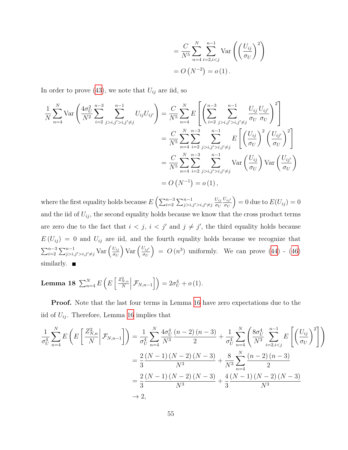$$
= \frac{C}{N^5} \sum_{n=4}^{N} \sum_{i=2, i < j}^{n-1} \text{Var}\left(\left(\frac{U_{ij}}{\sigma_U}\right)^2\right)
$$

$$
= O\left(N^{-2}\right) = o\left(1\right).
$$

In order to prove ([43](#page-53-2)), we note that  $U_{ij}$  are iid, so

$$
\frac{1}{N} \sum_{n=4}^{N} \text{Var}\left(\frac{4\sigma_{U}^{2}}{N^{2}} \sum_{i=2}^{n-3} \sum_{j>i,j' > i,j' \neq j}^{n-1} U_{ij} U_{ij'}\right) = \frac{C}{N^{5}} \sum_{n=4}^{N} E\left[\left(\sum_{i=2}^{n-3} \sum_{j>i,j' > i,j' \neq j}^{n-1} \frac{U_{ij}}{\sigma_{U}} \frac{U_{ij'}}{\sigma_{U}}\right)^{2}\right]
$$

$$
= \frac{C}{N^{5}} \sum_{n=4}^{N} \sum_{i=2}^{n-3} \sum_{j>i,j' > i,j' \neq j}^{n-1} E\left[\left(\frac{U_{ij}}{\sigma_{U}}\right)^{2} \left(\frac{U_{ij'}}{\sigma_{U}}\right)^{2}\right]
$$

$$
= \frac{C}{N^{5}} \sum_{n=4}^{N} \sum_{i=2}^{n-3} \sum_{j>i,j' > i,j' \neq j}^{n-1} \text{Var}\left(\frac{U_{ij}}{\sigma_{U}}\right) \text{Var}\left(\frac{U_{ij'}}{\sigma_{U}}\right)
$$

$$
= O\left(N^{-1}\right) = o\left(1\right),
$$

where the first equality holds because  $E\left(\sum_{i=2}^{n-3}\sum_{j>i,j'>i,j'\neq j}^{n-1}\right)$  $U_{ij}$ *σ<sup>U</sup> Uij′ σ<sup>U</sup>*  $= 0$  due to  $E(U_{ij}) = 0$ and the iid of  $U_{ij}$ , the second equality holds because we know that the cross product terms are zero due to the fact that  $i < j$ ,  $i < j'$  and  $j \neq j'$ , the third equality holds because  $E(U_{ij}) = 0$  and  $U_{ij}$  are iid, and the fourth equality holds because we recognize that  $\sum_{i=2}^{n-3} \sum_{j>i,j'>i,j'\neq j}^{n-1}$  Var  $\left(\frac{U_{ij}}{\sigma_U}\right)$ *σ<sup>U</sup>*  $\int \text{Var} \left( \frac{U_{ij}}{\sigma_{ij}} \right)$ *σ<sup>U</sup>*  $= O(n^3)$  uniformly. We can prove ([44\)](#page-53-3) - ([46\)](#page-53-4) similarly.  $\blacksquare$ 

<span id="page-54-0"></span>**Lemma 18** 
$$
\sum_{n=4}^{N} E\left(E\left[\left.\frac{Z_{N,n}^2}{N}\right| \mathcal{F}_{N,n-1}\right]\right) = 2\sigma_U^4 + o(1).
$$

**Proof.** Note that the last four terms in Lemma [16](#page-51-1) have zero expectations due to the iid of  $U_{ij}$ . Therefore, Lemma [16](#page-51-1) implies that

$$
\frac{1}{\sigma_U^4} \sum_{n=4}^N E\left(E\left[\frac{Z_{N,n}^2}{N}\middle|\mathcal{F}_{N,n-1}\right]\right) = \frac{1}{\sigma_U^4} \sum_{n=4}^N \frac{4\sigma_U^4}{N^3} \frac{(n-2)(n-3)}{2} + \frac{1}{\sigma_U^4} \sum_{n=4}^N \left(\frac{8\sigma_U^4}{N^3} \sum_{i=2,i
$$
= \frac{2}{3} \frac{(N-1)(N-2)(N-3)}{N^3} + \frac{8}{N^3} \sum_{n=4}^N \frac{(n-2)(n-3)}{2}
$$

$$
= \frac{2}{3} \frac{(N-1)(N-2)(N-3)}{N^3} + \frac{4}{3} \frac{(N-1)(N-2)(N-3)}{N^3}
$$

$$
\to 2,
$$
$$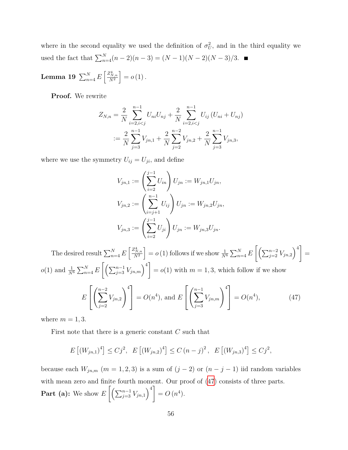where in the second equality we used the definition of  $\sigma_U^2$ , and in the third equality we used the fact that  $\sum_{n=4}^{N} (n-2)(n-3) = (N-1)(N-2)(N-3)/3$ .

<span id="page-55-0"></span> ${\rm \bf Lemma \ 19} \ \sum_{n=4}^N E\left[\frac{Z_{N,n}^4}{N^2}\right] = o\left(1\right).$ 

**Proof.** We rewrite

$$
Z_{N,n} = \frac{2}{N} \sum_{i=2, i < j}^{n-1} U_{ni} U_{nj} + \frac{2}{N} \sum_{i=2, i < j}^{n-1} U_{ij} \left( U_{ni} + U_{nj} \right)
$$
\n
$$
:= \frac{2}{N} \sum_{j=3}^{n-1} V_{jn,1} + \frac{2}{N} \sum_{j=2}^{n-2} V_{jn,2} + \frac{2}{N} \sum_{j=3}^{n-1} V_{jn,3},
$$

where we use the symmetry  $U_{ij} = U_{ji}$ , and define

$$
V_{jn,1} := \left(\sum_{i=2}^{j-1} U_{in}\right) U_{jn} := W_{jn,1} U_{jn},
$$
  

$$
V_{jn,2} := \left(\sum_{i=j+1}^{n-1} U_{ij}\right) U_{jn} := W_{jn,2} U_{jn},
$$
  

$$
V_{jn,3} := \left(\sum_{i=2}^{j-1} U_{ji}\right) U_{jn} := W_{jn,3} U_{jn}.
$$

The desired result  $\sum_{n=4}^{N} E\left[\frac{Z_{N,n}^4}{N^2}\right] = o(1)$  follows if we show  $\frac{1}{N^6} \sum_{n=4}^{N} E\left[\left(\sum_{j=2}^{n-2} V_{jn,2}\right)^4\right] =$  $o(1)$  and  $\frac{1}{N^6} \sum_{n=4}^{N} E\left[\left(\sum_{j=3}^{n-1} V_{jn,m}\right)^4\right] = o(1)$  with  $m = 1, 3$ , which follow if we show *E*  $\sqrt{ }$  $\overline{\phantom{a}}$  $\left(\sum^{n-2}$ *j*=2 *Vjn,*<sup>2</sup>  $\setminus$ <sup>4</sup>  $\Big| = O(n^4)$ , and *E*  $\sqrt{ }$  $\overline{1}$  $\left(\sum^{n-1}\right)$ *j*=3  $V_{jn,m}$ <sup>4</sup>  $\Big| = O(n^4)$ )*,* (47)

<span id="page-55-1"></span>where  $m = 1, 3$ .

First note that there is a generic constant *C* such that

$$
E [(W_{jn,1})^4] \leq C j^2, \ E [(W_{jn,2})^4] \leq C (n-j)^2, \ E [(W_{jn,3})^4] \leq C j^2,
$$

because each  $W_{jn,m}$  ( $m = 1, 2, 3$ ) is a sum of ( $j - 2$ ) or ( $n - j - 1$ ) iid random variables with mean zero and finite fourth moment. Our proof of  $(47)$  $(47)$  consists of three parts. **Part (a):** We show  $E\left[\left(\sum_{j=3}^{n-1} V_{jn,1}\right)^4\right] = O(n^4)$ .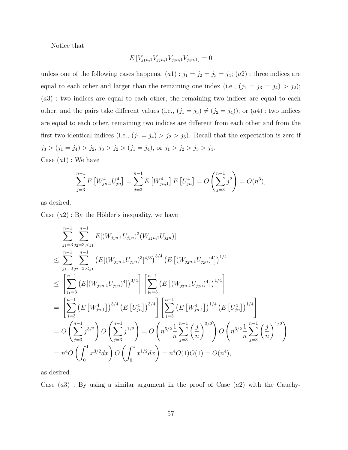Notice that

$$
E[V_{j_1n,1}V_{j_2n,1}V_{j_3n,1}V_{j_4n,1}] = 0
$$

unless one of the following cases happens.  $(a1)$ :  $j_1 = j_2 = j_3 = j_4$ ;  $(a2)$ : three indices are equal to each other and larger than the remaining one index (i.e.,  $(j_1 = j_3 = j_4) > j_2$ ); (*a*3) : two indices are equal to each other, the remaining two indices are equal to each other, and the pairs take different values (i.e.,  $(j_1 = j_3) \neq (j_2 = j_4)$ ); or  $(a4)$ : two indices are equal to each other, remaining two indices are different from each other and from the first two identical indices (i.e.,  $(j_1 = j_4) > j_2 > j_3$ ). Recall that the expectation is zero if  $j_3 > (j_1 = j_4) > j_2, j_3 > j_2 > (j_1 = j_4), \text{ or } j_1 > j_2 > j_3 > j_4.$ Case (*a*1) : We have

$$
\sum_{j=3}^{n-1} E\left[W_{jn,1}^4 U_{jn}^4\right] = \sum_{j=3}^{n-1} E\left[W_{jn,1}^4\right] E\left[U_{jn}^4\right] = O\left(\sum_{j=3}^{n-1} j^2\right) = O(n^3),
$$

as desired.

Case (*a*2) : By the Hölder's inequality, we have

$$
\sum_{j_1=3}^{n-1} \sum_{j_2=3,\langle j_1 \rangle}^{n-1} E[(W_{j_1n,1}U_{j_1n})^3 (W_{j_2n,1}U_{j_2n})]
$$
\n
$$
\leq \sum_{j_1=3}^{n-1} \sum_{j_2=3,\langle j_1 \rangle}^{n-1} \left( E[(W_{j_1n,1}U_{j_1n})^3]^{4/3} \right)^{3/4} \left( E\left[ (W_{j_2n,1}U_{j_2n})^4 \right] \right)^{1/4}
$$
\n
$$
\leq \left[ \sum_{j_1=3}^{n-1} \left( E[(W_{j_1n,1}U_{j_1n})^4] \right)^{3/4} \right] \left[ \sum_{j_2=3}^{n-1} \left( E\left[ (W_{j_2n,1}U_{j_2n})^4 \right] \right)^{1/4} \right]
$$
\n
$$
= \left[ \sum_{j=3}^{n-1} \left( E\left[ W_{j_1n,1}^4 \right] \right)^{3/4} \left( E\left[ U_{j_1n}^4 \right] \right)^{3/4} \right] \left[ \sum_{j=3}^{n-1} \left( E\left[ W_{j_1n,1}^4 \right] \right)^{1/4} \left( E\left[ U_{j_1n}^4 \right] \right)^{1/4} \right]
$$
\n
$$
= O\left( \sum_{j=3}^{n-1} j^{3/2} \right) O\left( \sum_{j=3}^{n-1} j^{1/2} \right) = O\left( n^{5/2} \frac{1}{n} \sum_{j=3}^{n-1} \left( \frac{j}{n} \right)^{3/2} \right) O\left( n^{3/2} \frac{1}{n} \sum_{j=3}^{n-1} \left( \frac{j}{n} \right)^{1/2} \right)
$$
\n
$$
= n^4 O\left( \int_0^1 x^{3/2} dx \right) O\left( \int_0^1 x^{1/2} dx \right) = n^4 O(1) O(1) = O(n^4),
$$

as desired.

Case (*a*3) : By using a similar argument in the proof of Case (*a*2) with the Cauchy-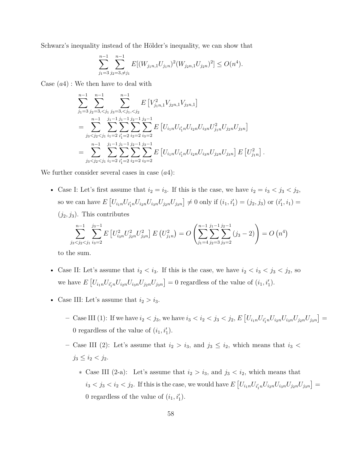Schwarz's inequality instead of the Hölder's inequality, we can show that

$$
\sum_{j_1=3}^{n-1} \sum_{j_2=3,\neq j_1}^{n-1} E[(W_{j_1n,1}U_{j_1n})^2 (W_{j_2n,1}U_{j_2n})^2] \leq O(n^4).
$$

Case (*a*4) : We then have to deal with

$$
\sum_{j_1=3}^{n-1} \sum_{j_2=3,\langle j_1,j_3=3,\langle j_1,j_2\rangle}^{n-1} E[V_{j_1n,1}^2 V_{j_2n,1} V_{j_3n,1}]
$$
\n
$$
= \sum_{j_3\langle j_2\langle j_1 j_1=2}^{n-1} \sum_{i_1=2}^{j_1-1} \sum_{i_2=2}^{j_1-1} \sum_{i_3=2}^{j_2-1} E[U_{i_1n} U_{i_1'n} U_{i_2n} U_{i_3n} U_{j_1n}^2 U_{j_2n} U_{j_3n}]
$$
\n
$$
= \sum_{j_3\langle j_2\langle j_1 j_1=2}^{n-1} \sum_{i_1=2}^{j_1-1} \sum_{i_2=2}^{j_1-1} \sum_{i_3=2}^{j_3-1} E[U_{i_1n} U_{i_1'n} U_{i_2n} U_{i_3n} U_{j_2n} U_{j_3n}] E[U_{j_1n}^2].
$$

We further consider several cases in case (*a*4):

• Case I: Let's first assume that  $i_2 = i_3$ . If this is the case, we have  $i_2 = i_3 < j_3 < j_2$ , so we can have  $E[U_{i_1n}U_{i'_1n}U_{i_2n}U_{i_3n}U_{j_2n}U_{j_3n}] \neq 0$  only if  $(i_1, i'_1) = (j_2, j_3)$  or  $(i'_1, i_1) =$  $(j_2, j_3)$ . This contributes

$$
\sum_{j_3 < j_2 < j_1}^{n-1} \sum_{i_3=2}^{j_3-1} E\left[U_{i_3n}^2 U_{j_2n}^2 U_{j_3n}^2\right] E\left(U_{j_1n}^2\right) = O\left(\sum_{j_1=4}^{n-1} \sum_{j_2=3}^{j_1-1} \sum_{j_3=2}^{j_2-1} (j_3-2)\right) = O\left(n^4\right)
$$

to the sum.

- Case II: Let's assume that  $i_2 < i_3$ . If this is the case, we have  $i_2 < i_3 < j_3 < j_2$ , so we have  $E[U_{i_1n}U_{i'_1n}U_{i_2n}U_{i_3n}U_{j_2n}U_{j_3n}] = 0$  regardless of the value of  $(i_1, i'_1)$ .
- Case III: Let's assume that  $i_2 > i_3$ .
	- Case III (1): If we have  $i_2 < j_3$ , we have  $i_3 < i_2 < j_3 < j_2$ ,  $E[U_{i_1n}U_{i'_1n}U_{i_2n}U_{i_3n}U_{j_2n}U_{j_3n}] =$ 0 regardless of the value of  $(i_1, i'_1)$ .
	- **–** Case III (2): Let's assume that *i*<sup>2</sup> *> i*3, and *j*<sup>3</sup> *≤ i*2, which means that *i*<sup>3</sup> *<*  $j_3 \leq i_2 < j_2$ .
		- ∗ Case III (2-a): Let's assume that *i*<sup>2</sup> *> i*3, and *j*<sup>3</sup> *< i*2, which means that  $i_3 < j_3 < i_2 < j_2$ . If this is the case, we would have  $E[U_{i_1n}U_{i'_1n}U_{i_2n}U_{i_3n}U_{j_2n}U_{j_3n}] =$ 0 regardless of the value of  $(i_1, i'_1)$ .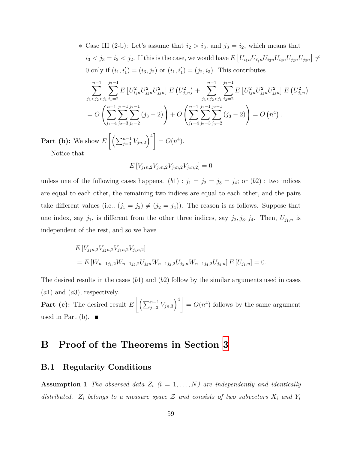∗ Case III (2-b): Let's assume that  $i_2 > i_3$ , and  $j_3 = i_2$ , which means that  $i_3 < j_3 = i_2 < j_2$ . If this is the case, we would have  $E\left[U_{i_1n}U_{i'_1n}U_{i_2n}U_{i_3n}U_{j_2n}U_{j_3n}\right] \neq$ 0 only if  $(i_1, i'_1) = (i_3, j_2)$  or  $(i_1, i'_1) = (j_2, i_3)$ . This contributes X*n−*1 *j*3*<j*2*<j*<sup>1</sup> *j* X3*−*1 *i*1=2  $E\left[ U_{i_1n}^2 U_{j_2n}^2 U_{j_3n}^2 \right] E\left( U_{j_1n}^2 \right) + \sum_{n=1}^{n-1}$ *j*3*<j*2*<j*<sup>1</sup> *j* X3*−*1 *i*3=2  $E\left[U_{i_{3}n}^2 U_{j_{2}n}^2 U_{j_{3}n}^2\right] E\left(U_{j_{1}n}^2\right)$  $= O\left(\sum_{i=1}^{n-1} \right)$ *j*1=4 *j* X1*−*1 *j*2=3 *j* X2*−*1 *j*3=2  $(j_3 - 2)$ ) +  $O\left(\sum_{n=1}^{n-1}$ *j*1=4 *j* X1*−*1 *j*2=3 *j* X2*−*1 *j*3=2  $(j_3 - 2)$  =  $O(n^4)$ . **Part (b):** We show  $E\left[\left(\sum_{j=3}^{n-1} V_{jn,2}\right)^4\right] = O(n^4)$ . Notice that

$$
E[V_{j_1n,2}V_{j_2n,2}V_{j_3n,2}V_{j_4n,2}] = 0
$$

unless one of the following cases happens.  $(b1)$ :  $j_1 = j_2 = j_3 = j_4$ ; or  $(b2)$ : two indices are equal to each other, the remaining two indices are equal to each other, and the pairs take different values (i.e.,  $(j_1 = j_3) \neq (j_2 = j_4)$ ). The reason is as follows. Suppose that one index, say  $j_1$ , is different from the other three indices, say  $j_2, j_3, j_4$ . Then,  $U_{j_1,n}$  is independent of the rest, and so we have

$$
E[V_{j_1n,2}V_{j_2n,2}V_{j_3n,2}V_{j_4n,2}]
$$
  
= 
$$
E[W_{n-1j_1,2}W_{n-1j_2,2}U_{j_2n}W_{n-1j_3,2}U_{j_3,n}W_{n-1j_4,2}U_{j_4,n}]E[U_{j_1,n}] = 0.
$$

The desired results in the cases (*b*1) and (*b*2) follow by the similar arguments used in cases (*a*1) and (*a*3), respectively.

**Part (c):** The desired result  $E\left[\left(\sum_{j=3}^{n-1}V_{jn,3}\right)^4\right]=O(n^4)$  follows by the same argument used in Part (b).  $\blacksquare$ 

## **B Proof of the Theorems in Section [3](#page-15-1)**

### **B.1 Regularity Conditions**

<span id="page-58-0"></span>**Assumption 1** *The observed data*  $Z_i$  ( $i = 1, ..., N$ ) are independently and identically *distributed.*  $Z_i$  *belongs to a measure space*  $Z$  *and consists of two subvectors*  $X_i$  *and*  $Y_i$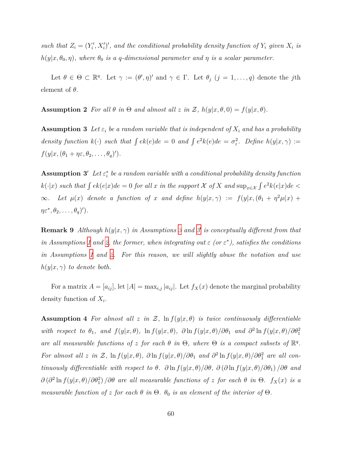such that  $Z_i = (Y'_i, X'_i)'$ , and the conditional probability density function of  $Y_i$  given  $X_i$  is  $h(y|x, \theta_0, \eta)$ , where  $\theta_0$  *is a q*-dimensional parameter and  $\eta$  *is a scalar parameter.* 

Let  $\theta \in \Theta \subset \mathbb{R}^q$ . Let  $\gamma := (\theta', \eta)'$  and  $\gamma \in \Gamma$ . Let  $\theta_j$   $(j = 1, \ldots, q)$  denote the *j*th element of *θ*.

<span id="page-59-1"></span>**Assumption 2** *For all*  $\theta$  *in*  $\Theta$  *and almost all*  $z$  *in*  $\mathcal{Z}$ *,*  $h(y|x, \theta, 0) = f(y|x, \theta)$ *.* 

<span id="page-59-0"></span>**Assumption 3** Let  $\varepsilon_i$  be a random variable that is independent of  $X_i$  and has a probability *density function*  $k(\cdot)$  *such that*  $\int e^k(e)de = 0$  *and*  $\int e^2k(e)de = \sigma_{\varepsilon}^2$ . Define  $h(y|x, \gamma) :=$  $f(y|x, (\theta_1 + \eta \varepsilon, \theta_2, \dots, \theta_q)')$ .

**Assumption 3<sup>***′***</sup>** *Let* $\varepsilon_i^*$  *be a random variable with a conditional probability density function*  $k(\cdot|x)$  such that  $\int e k(e|x)de = 0$  for all x in the support X of X and  $\sup_{x \in \mathcal{X}} \int e^2 k(e|x)de <$  $\infty$ *.* Let  $\mu(x)$  denote a function of *x* and define  $h(y|x, \gamma) := f(y|x, (\theta_1 + \eta^2 \mu(x) + \gamma^2 \mu(x)))$ *ηε*<sup>\*</sup>,  $\theta_2, \ldots, \theta_q)'$ ).

**Remark 9** *Although h*(*y|x, γ*) *in Assumptions [3](#page-59-0) and [3](#page-59-0) ′ is conceptually different from that in Assumptions* [1](#page-58-0) *and* [2](#page-59-1), the former, when integrating out  $\varepsilon$  (or  $\varepsilon^*$ ), satisfies the conditions *in Assumptions [1](#page-58-0) and [2.](#page-59-1) For this reason, we will slightly abuse the notation and use*  $h(y|x, \gamma)$  *to denote both.* 

For a matrix  $A = [a_{ij}]$ , let  $|A| = \max_{i,j} |a_{ij}|$ . Let  $f_X(x)$  denote the marginal probability density function of *X<sup>i</sup>* .

<span id="page-59-3"></span><span id="page-59-2"></span>**Assumption 4** For almost all  $z$  in  $\mathcal{Z}$ ,  $\ln f(y|x, \theta)$  is twice continuously differentiable with respect to  $\theta_1$ , and  $f(y|x, \theta)$ ,  $\ln f(y|x, \theta)$ ,  $\partial \ln f(y|x, \theta)/\partial \theta_1$  and  $\partial^2 \ln f(y|x, \theta)/\partial \theta_1^2$ *are all measurable functions of z for each*  $\theta$  *in*  $\Theta$ *, where*  $\Theta$  *is a compact subsets of*  $\mathbb{R}^q$ *.* For almost all z in Z,  $\ln f(y|x, \theta)$ ,  $\partial \ln f(y|x, \theta)/\partial \theta_1$  and  $\partial^2 \ln f(y|x, \theta)/\partial \theta_1^2$  are all continuously differentiable with respect to  $\theta$ .  $\partial \ln f(y|x, \theta)/\partial \theta$ ,  $\partial (\partial \ln f(y|x, \theta)/\partial \theta_1)/\partial \theta$  and  $∂$  ( $∂$ <sup>2</sup> ln  $f(y|x, θ)/∂θ$ <sub>1</sub><sup>2</sup>) */∂* $θ$  *are all measurable functions of z for each*  $θ$  *in*  $Θ$ *.*  $f_X(x)$  *is a measurable function of z for each*  $\theta$  *in*  $\Theta$ *.*  $\theta_0$  *is an element of the interior of*  $\Theta$ *.*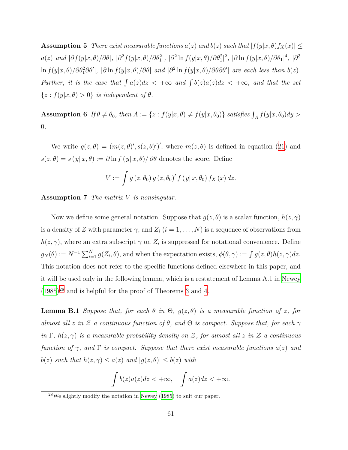**Assumption 5** *There exist measurable functions*  $a(z)$  *and*  $b(z)$  *such that*  $|f(y|x, \theta)f_X(x)| \le$  $a(z)\;\;and\;|\partial f(y|x,\theta)/\partial\theta|,\;|\partial^2 f(y|x,\theta)/\partial\theta_1^2|,\;|\partial^2\ln f(y|x,\theta)/\partial\theta_1^2|^2,\;|\partial\ln f(y|x,\theta)/\partial\theta_1|^4,\;|\partial^3\theta_1|^2\leq\delta$  $\ln f(y|x,\theta)/\partial\theta_1^2\partial\theta'|$ ,  $|\partial \ln f(y|x,\theta)/\partial\theta|$  and  $|\partial^2 \ln f(y|x,\theta)/\partial\theta\partial\theta'|$  are each less than  $b(z)$ . *Further, it is the case that*  $\int a(z)dz < +\infty$  *and*  $\int b(z)a(z)dz < +\infty$ *, and that the set*  $\{z : f(y|x, \theta) > 0\}$  *is independent of*  $\theta$ *.* 

**Assumption 6** If  $\theta \neq \theta_0$ , then  $A := \{z : f(y|x, \theta) \neq f(y|x, \theta_0)\}\$  satisfies  $\int_A f(y|x, \theta_0) dy >$ 0*.*

We write  $g(z, \theta) = (m(z, \theta)^\prime, s(z, \theta)^\prime)^\prime$ , where  $m(z, \theta)$  is defined in equation [\(21\)](#page-17-0) and  $s(z, \theta) = s(y|x, \theta) := \partial \ln f(y|x, \theta) / \partial \theta$  denotes the score. Define

$$
V := \int g(z, \theta_0) g(z, \theta_0)' f(y | x, \theta_0) f_X(x) dz.
$$

<span id="page-60-1"></span>**Assumption 7** *The matrix V is nonsingular.*

Now we define some general notation. Suppose that  $g(z, \theta)$  is a scalar function,  $h(z, \gamma)$ is a density of *Z* with parameter  $\gamma$ , and  $Z_i$  ( $i = 1, ..., N$ ) is a sequence of observations from  $h(z, \gamma)$ , where an extra subscript  $\gamma$  on  $Z_i$  is suppressed for notational convenience. Define  $g_N(\theta) := N^{-1} \sum_{i=1}^N g(Z_i, \theta)$ , and when the expectation exists,  $\phi(\theta, \gamma) := \int g(z, \theta) h(z, \gamma) dz$ . This notation does not refer to the specific functions defined elsewhere in this paper, and it will be used only in the following lemma, which is a restatement of Lemma A.1 in [Newey](#page-76-0) ([1985\)](#page-76-0) 28 and is helpful for the proof of Theorems [3](#page-17-1) and [4.](#page-21-0)

<span id="page-60-0"></span>**Lemma B.1** *Suppose that, for each*  $\theta$  *in*  $\Theta$ *,*  $g(z, \theta)$  *is a measurable function of z, for almost all z in*  $\mathcal Z$  *a continuous function of*  $\theta$ *, and*  $\Theta$  *is compact. Suppose that, for each*  $\gamma$ *in*  $\Gamma$ *,*  $h(z, \gamma)$  *is a measurable probability density on*  $Z$ *, for almost all*  $z$  *in*  $Z$  *a continuous function of γ, and* Γ *is compact. Suppose that there exist measurable functions a*(*z*) *and*  $b(z)$  *such that*  $h(z, \gamma) \leq a(z)$  *and*  $|g(z, \theta)| \leq b(z)$  *with* 

$$
\int b(z)a(z)dz < +\infty, \quad \int a(z)dz < +\infty.
$$

<sup>&</sup>lt;sup>28</sup>We slightly modify the notation in [Newey](#page-76-0) [\(1985](#page-76-0)) to suit our paper.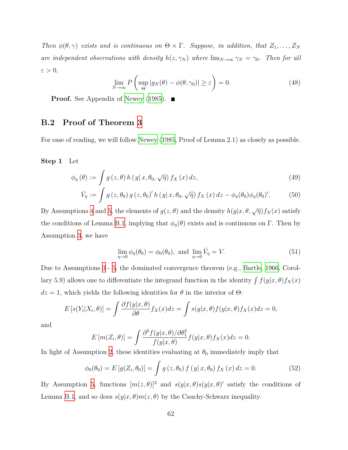*Then*  $\phi(\theta, \gamma)$  *exists and is continuous on*  $\Theta \times \Gamma$ *. Suppose, in addition, that*  $Z_1, \ldots, Z_N$ *are independent observations with density*  $h(z, \gamma_N)$  *where*  $\lim_{N \to \infty} \gamma_N = \gamma_0$ *. Then for all ε >* 0*,*

$$
\lim_{N \to \infty} P\left(\sup_{\Theta} |g_N(\theta) - \phi(\theta, \gamma_0)| \ge \varepsilon\right) = 0. \tag{48}
$$

**Proof.** See Appendix of [Newey](#page-76-0) [\(1985\)](#page-76-0). ■

### **B.2 Proof of Theorem [3](#page-17-1)**

For ease of reading, we will follow [Newey](#page-76-0) ([1985](#page-76-0), Proof of Lemma 2.1) as closely as possible.

**Step 1** Let

$$
\phi_{\eta}(\theta) := \int g(z,\theta) h(y|x,\theta_0,\sqrt{\eta}) f_X(x) dz,
$$
\n(49)

$$
\bar{V}_{\eta} := \int g\left(z, \theta_0\right) g\left(z, \theta_0\right)' h\left(y \mid x, \theta_0, \sqrt{\eta}\right) f_X\left(x\right) dz - \phi_{\eta}(\theta_0) \phi_{\eta}(\theta_0)'.
$$
 (50)

By Assumptions [4](#page-59-2) and [5,](#page-59-3) the elements of  $g(z, \theta)$  and the density  $h(y|x, \theta, \sqrt{\eta}) f_X(x)$  satisfy the conditions of Lemma [B.1,](#page-60-0) implying that  $\phi_{\eta}(\theta)$  exists and is continuous on Γ. Then by Assumption [3,](#page-59-0) we have

<span id="page-61-2"></span><span id="page-61-1"></span><span id="page-61-0"></span>
$$
\lim_{\eta \to 0} \phi_{\eta}(\theta_0) = \phi_0(\theta_0), \text{ and } \lim_{\eta \to 0} \bar{V}_{\eta} = V.
$$
\n(51)

Due to Assumptions [3](#page-59-0) - [5,](#page-59-3) the dominated convergence theorem (e.g., [Bartle,](#page-74-0) [1966](#page-74-0), Corollary 5.9) allows one to differentiate the integrand function in the identity  $\int f(y|x,\theta) f_X(x)$  $dz = 1$ , which yields the following identities for  $\theta$  in the interior of  $\Theta$ :

$$
E\left[s(Y_i|X_i,\theta)\right] = \int \frac{\partial f(y|x,\theta)}{\partial \theta} f_X(x)dz = \int s(y|x,\theta) f(y|x,\theta) f_X(x)dz = 0,
$$

and

$$
E\left[m(Z_i,\theta)\right] = \int \frac{\partial^2 f(y|x,\theta)/\partial \theta_1^2}{f(y|x,\theta)} f(y|x,\theta) f_X(x) dz = 0.
$$

In light of Assumption [2,](#page-59-1) these identities evaluating at  $\theta_0$  immediately imply that

<span id="page-61-3"></span>
$$
\phi_0(\theta_0) = E[g(Z_i, \theta_0)] = \int g(z, \theta_0) f(y|x, \theta_0) f_X(x) dz = 0.
$$
 (52)

By Assumption [5,](#page-59-3) functions  $[m(z, \theta)]^2$  and  $s(y|x, \theta)s(y|x, \theta)'$  satisfy the conditions of Lemma [B.1](#page-60-0), and so does  $s(y|x, \theta) m(z, \theta)$  by the Cauchy-Schwarz inequality.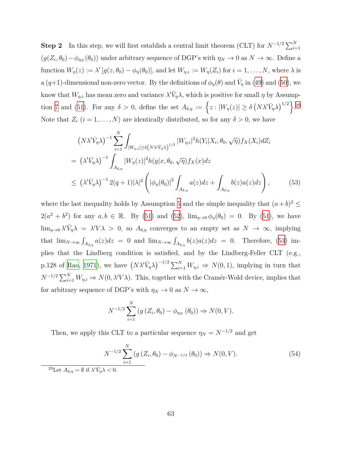**Step 2** In this step, we will first establish a central limit theorem (CLT) for  $N^{-1/2} \sum_{i=1}^{N}$  $(g(Z_i, \theta_0) - \phi_{\eta_N}(\theta_0))$  under arbitrary sequence of DGP's with  $\eta_N \to 0$  as  $N \to \infty$ . Define a function  $W_{\eta}(z) := \lambda' [g(z, \theta_0) - \phi_{\eta}(\theta_0)],$  and let  $W_{\eta,i} := W_{\eta}(Z_i)$  for  $i = 1, ..., N$ , where  $\lambda$  is a (*q*+1)-dimensional non-zero vector. By the definitions of  $\phi_{\eta}(\theta)$  and  $\bar{V}_{\eta}$  in ([49](#page-61-0)) and [\(50](#page-61-1)), we know that  $W_{\eta,i}$  has mean zero and variance  $\lambda' \bar{V}_{\eta} \lambda$ , which is positive for small  $\eta$  by Assump-tion [7](#page-60-1) and [\(51](#page-61-2)). For any  $\delta > 0$ , define the set  $A_{\delta,\eta} := \left\{ z : |W_{\eta}(z)| \ge \delta \left( N \lambda' \bar{V}_{\eta} \lambda \right)^{1/2} \right\}$ . Note that  $Z_i$   $(i = 1, ..., N)$  are identically distributed, so for any  $\delta > 0$ , we have

<span id="page-62-0"></span>
$$
\begin{split}\n&\left(N\lambda'\bar{V}_{\eta}\lambda\right)^{-1}\sum_{i=1}^{N}\int_{|W_{\eta,i}|\geq\delta\left(N\lambda'\bar{V}_{\eta}\lambda\right)^{1/2}}|W_{\eta,i}|^{2}h(Y_{i}|X_{i},\theta_{0},\sqrt{\eta})f_{X}(X_{i})dZ_{i} \\
&=\left(\lambda'\bar{V}_{\eta}\lambda\right)^{-1}\int_{A_{\delta,\eta}}|W_{\eta}(z)|^{2}h(y|x,\theta_{0},\sqrt{\eta})f_{X}(x)dz \\
&\leq\left(\lambda'\bar{V}_{\eta}\lambda\right)^{-1}2(q+1)|\lambda|^{2}\left(|\phi_{\eta}(\theta_{0})|^{2}\int_{A_{\delta,\eta}}a(z)dz+\int_{A_{\delta,\eta}}b(z)a(z)dz\right),\n\end{split} \tag{53}
$$

where the last inequality holds by Assumption [5](#page-59-3) and the simple inequality that  $(a + b)^2 \leq$  $2(a^2 + b^2)$  for any  $a, b \in \mathbb{R}$ . By ([51](#page-61-2)) and [\(52\)](#page-61-3),  $\lim_{\eta \to 0} \phi_{\eta}(\theta_0) = 0$ . By [\(51\)](#page-61-2), we have  $\lim_{\eta\to 0} \lambda' \bar{V}_{\eta} \lambda = \lambda' V \lambda > 0$ , so  $A_{\delta,\eta}$  converges to an empty set as  $N \to \infty$ , implying that  $\lim_{N\to\infty} \int_{A_{\delta,\eta}} a(z)dz = 0$  and  $\lim_{N\to\infty} \int_{A_{\delta,\eta}} b(z)a(z)dz = 0$ . Therefore, ([53\)](#page-62-0) implies that the Lindberg condition is satisfied, and by the Lindberg-Feller CLT (e.g., p.128 of [Rao,](#page-76-1) [1971](#page-76-1)), we have  $(N\lambda'\bar{V}_n\lambda)^{-1/2}\sum_{i=1}^N W_{n,i} \Rightarrow N(0,1)$ , implying in turn that  $N^{-1/2} \sum_{i=1}^{N} W_{\eta,i} \Rightarrow N(0, \lambda' V \lambda)$ . This, together with the Cramér-Wold device, implies that for arbitrary sequence of DGP's with  $\eta_N \to 0$  as  $N \to \infty$ ,

$$
N^{-1/2} \sum_{i=1}^{N} (g(Z_i, \theta_0) - \phi_{\eta_N}(\theta_0)) \Rightarrow N(0, V).
$$

Then, we apply this CLT to a particular sequence  $\eta_N = N^{-1/2}$  and get

<span id="page-62-1"></span>
$$
N^{-1/2} \sum_{i=1}^{N} \left( g\left(Z_i, \theta_0\right) - \phi_{N^{-1/2}}\left(\theta_0\right) \right) \Rightarrow N(0, V). \tag{54}
$$

<sup>29</sup>Let</sup>  $A_{\delta,\eta} = \emptyset$  if  $\lambda' \overline{V}_{\eta} \lambda < 0$ .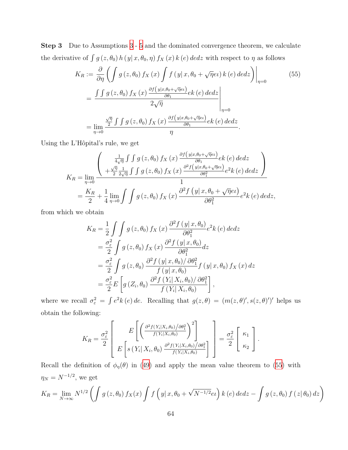**Step 3** Due to Assumptions [3](#page-59-0) - [5](#page-59-3) and the dominated convergence theorem, we calculate the derivative of  $\int g(z, \theta_0) h(y|x, \theta_0, \eta) f_X(x) k(e) \, d\nu$  with respect to  $\eta$  as follows

<span id="page-63-0"></span>
$$
K_R := \frac{\partial}{\partial \eta} \left( \int g(z, \theta_0) f_X(x) \int f(y | x, \theta_0 + \sqrt{\eta} e^i) k(e) \, dedz \right) \Big|_{\eta=0}
$$
\n
$$
= \frac{\int \int g(z, \theta_0) f_X(x) \frac{\partial f(y | x, \theta_0 + \sqrt{\eta} e^i)}{\partial \theta_1} e^i(k) \, dedz}{2\sqrt{\eta}} \Big|_{\eta=0}
$$
\n
$$
= \lim_{\eta \to 0} \frac{\frac{\sqrt{\eta}}{2} \int \int g(z, \theta_0) f_X(x) \frac{\partial f(y | x, \theta_0 + \sqrt{\eta} e^i)}{\partial \theta_1} e^i(k) \, dedz}{\eta}.
$$
\n(55)

Using the L'Hôpital's rule, we get

$$
K_{R} = \lim_{\eta \to 0} \frac{\left(\begin{array}{c} \frac{1}{4\sqrt{\eta}} \int \int g\left(z,\theta_{0}\right) f_{X}\left(x\right) \frac{\partial f\left(y|x,\theta_{0}+\sqrt{\eta}e\iota\right)}{\partial \theta_{1}} e k\left(e\right) de dz}{\sqrt{\eta}}\right)}{\frac{1}{\eta \to 0}} \\ = \frac{K_{R}}{2} + \frac{1}{4} \lim_{\eta \to 0} \int \int g\left(z,\theta_{0}\right) f_{X}\left(x\right) \frac{\partial^{2} f\left(y|x,\theta_{0}+\sqrt{\eta}e\iota\right)}{\partial \theta_{1}^{2}} e^{2} k\left(e\right) de dz}{\partial \theta_{1}^{2}}\right) e^{2} k\left(e\right) de dz,
$$

from which we obtain

$$
K_R = \frac{1}{2} \int \int g(z, \theta_0) f_X(x) \frac{\partial^2 f(y|x, \theta_0)}{\partial \theta_1^2} e^{2k} (e) d\varepsilon
$$
  
=  $\frac{\sigma_{\varepsilon}^2}{2} \int g(z, \theta_0) f_X(x) \frac{\partial^2 f(y|x, \theta_0)}{\partial \theta_1^2} dz$   
=  $\frac{\sigma_{\varepsilon}^2}{2} \int g(z, \theta_0) \frac{\partial^2 f(y|x, \theta_0)/\partial \theta_1^2}{f(y|x, \theta_0)} f(y|x, \theta_0) f_X(x) dz$   
=  $\frac{\sigma_{\varepsilon}^2}{2} E \left[ g(Z_i, \theta_0) \frac{\partial^2 f(Y_i|X_i, \theta_0)/\partial \theta_1^2}{f(Y_i|X_i, \theta_0)} \right],$ 

where we recall  $\sigma_{\varepsilon}^2 = \int e^2 k(e) de$ . Recalling that  $g(z, \theta) = (m(z, \theta)', s(z, \theta)')'$  helps us obtain the following:

$$
K_R = \frac{\sigma_{\varepsilon}^2}{2} \left[ E \left[ \left( \frac{\partial^2 f(Y_i | X_i, \theta_0) / \partial \theta_1^2}{f(Y_i | X_i, \theta_0)} \right)^2 \right]_{\theta_0^2} \right] = \frac{\sigma_{\varepsilon}^2}{2} \left[ \kappa_1 \right] \cdot E \left[ s \left( Y_i | X_i, \theta_0 \right) \frac{\partial^2 f(Y_i | X_i, \theta_0) / \partial \theta_1^2}{f(Y_i | X_i, \theta_0)} \right] \right] = \frac{\sigma_{\varepsilon}^2}{2} \left[ \kappa_2 \right].
$$

Recall the definition of  $\phi_{\eta}(\theta)$  in [\(49\)](#page-61-0) and apply the mean value theorem to ([55](#page-63-0)) with  $\eta_N = N^{-1/2}$ , we get

$$
K_R = \lim_{N \to \infty} N^{1/2} \left( \int g(z, \theta_0) f_X(x) \int f\left(y | x, \theta_0 + \sqrt{N^{-1/2}} e_t\right) k(e) \, dedz - \int g(z, \theta_0) f(z | \theta_0) \, dz \right)
$$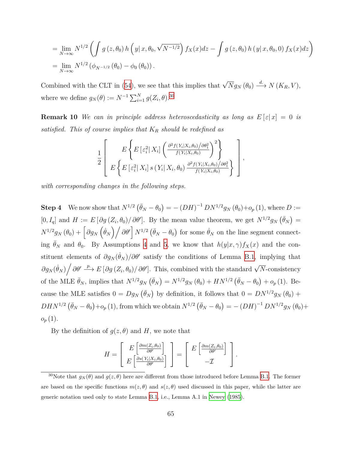$$
= \lim_{N \to \infty} N^{1/2} \left( \int g(z, \theta_0) h(y|x, \theta_0, \sqrt{N^{-1/2}}) f_X(x) dz - \int g(z, \theta_0) h(y|x, \theta_0, 0) f_X(x) dz \right)
$$
  
= 
$$
\lim_{N \to \infty} N^{1/2} (\phi_{N^{-1/2}} (\theta_0) - \phi_0 (\theta_0)).
$$

Combined with the CLT in [\(54\)](#page-62-1), we see that this implies that  $\sqrt{N}g_N(\theta_0) \stackrel{d}{\longrightarrow} N(K_R, V)$ , where we define  $g_N(\theta) := N^{-1} \sum_{i=1}^N g(Z_i, \theta)$ .<sup>30</sup>

<span id="page-64-0"></span>**Remark 10** *We can in principle address heteroscedasticity as long as*  $E[\epsilon|x] = 0$  *is satisfied. This of course implies that K<sup>R</sup> should be redefined as*

$$
\frac{1}{2} \left[ E \left\{ E \left[ \varepsilon_i^2 \middle| X_i \right] \left( \frac{\partial^2 f(Y_i | X_i, \theta_0) / \partial \theta_1^2}{f(Y_i | X_i, \theta_0)} \right)^2 \right\} \\ E \left\{ E \left[ \varepsilon_i^2 \middle| X_i \right] s \left( Y_i \middle| X_i, \theta_0 \right) \frac{\partial^2 f(Y_i | X_i, \theta_0) / \partial \theta_1^2}{f(Y_i | X_i, \theta_0)} \right\} \right]
$$

*,*

*with corresponding changes in the following steps.*

**Step 4** We now show that  $N^{1/2} (\bar{\theta}_N - \theta_0) = -(DH)^{-1} DN^{1/2} g_N(\theta_0) + o_p(1)$ , where  $D :=$  $[0, I_q]$  and  $H := E[\partial g(Z_i, \theta_0)/\partial \theta']$ . By the mean value theorem, we get  $N^{1/2}g_N(\bar{\theta}_N)$  $N^{1/2}g_N(\theta_0) + \left[\partial g_N(\dot{\theta}_N)\right/\partial\theta'\right]N^{1/2}(\bar{\theta}_N-\theta_0)$  for some  $\dot{\theta}_N$  on the line segment connecting  $\bar{\theta}_N$  and  $\theta_0$ . By Assumptions [4](#page-59-2) and [5](#page-59-3), we know that  $h(y|x, \gamma) f_X(x)$  and the constituent elements of  $\partial g_N(\dot{\theta}_N)/\partial \theta'$  satisfy the conditions of Lemma [B.1,](#page-60-0) implying that  $\partial g_N(\dot{\theta}_N)$   $\big/$   $\partial \theta' \stackrel{p}{\longrightarrow}$  *E* [ $\partial g(Z_i, \theta_0)$  */*  $\partial \theta'$ ]. This, combined with the standard  $\sqrt{N}$ -consistency of the MLE  $\bar{\theta}_N$ , implies that  $N^{1/2}g_N(\bar{\theta}_N) = N^{1/2}g_N(\theta_0) + H N^{1/2}(\bar{\theta}_N - \theta_0) + o_p(1)$ . Because the MLE satisfies  $0 = Dg_N(\bar{\theta}_N)$  by definition, it follows that  $0 = DN^{1/2}g_N(\theta_0) +$  $DHN^{1/2} (\bar{\theta}_N - \theta_0) + o_p(1)$ , from which we obtain  $N^{1/2} (\bar{\theta}_N - \theta_0) = - (DH)^{-1} DN^{1/2} g_N(\theta_0) + o_p(1)$  $o_p(1)$ .

By the definition of  $g(z, \theta)$  and *H*, we note that

$$
H = \left[ \begin{array}{c} E \left[ \frac{\partial m(Z_i, \theta_0)}{\partial \theta'} \right] \\ E \left[ \frac{\partial s(Y_i|X_i, \theta_0)}{\partial \theta'} \right] \end{array} \right] = \left[ \begin{array}{c} E \left[ \frac{\partial m(Z_i, \theta_0)}{\partial \theta'} \right] \\ -\mathcal{I} \end{array} \right].
$$

<sup>&</sup>lt;sup>30</sup>Note that  $g_N(\theta)$  and  $g(z, \theta)$  here are different from those introduced before Lemma [B.1](#page-60-0). The former are based on the specific functions  $m(z, \theta)$  and  $s(z, \theta)$  used discussed in this paper, while the latter are generic notation used only to state Lemma [B.1](#page-60-0), i.e., Lemma A.1 in [Newey](#page-76-0) [\(1985](#page-76-0)).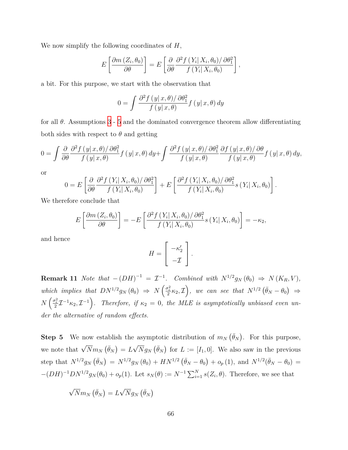We now simplify the following coordinates of *H*,

$$
E\left[\frac{\partial m\left(Z_i,\theta_0\right)}{\partial\theta}\right] = E\left[\frac{\partial}{\partial\theta}\frac{\partial^2 f\left(Y_i\right|X_i,\theta_0)/\partial\theta_1^2}{f\left(Y_i\right|X_i,\theta_0)}\right],
$$

a bit. For this purpose, we start with the observation that

$$
0 = \int \frac{\partial^2 f(y|x,\theta)/\partial \theta_1^2}{f(y|x,\theta)} f(y|x,\theta) dy
$$

for all  $\theta$ . Assumptions [3](#page-59-0) - [5](#page-59-3) and the dominated convergence theorem allow differentiating both sides with respect to  $\theta$  and getting

$$
0 = \int \frac{\partial}{\partial \theta} \frac{\partial^2 f(y|x,\theta)/\partial \theta_1^2}{f(y|x,\theta)} f(y|x,\theta) dy + \int \frac{\partial^2 f(y|x,\theta)/\partial \theta_1^2}{f(y|x,\theta)} \frac{\partial f(y|x,\theta)/\partial \theta}{f(y|x,\theta)} f(y|x,\theta) dy,
$$

or

$$
0 = E\left[\frac{\partial}{\partial \theta} \frac{\partial^2 f(Y_i|X_i, \theta_0)/\partial \theta_1^2}{f(Y_i|X_i, \theta_0)}\right] + E\left[\frac{\partial^2 f(Y_i|X_i, \theta_0)/\partial \theta_1^2}{f(Y_i|X_i, \theta_0)}s(Y_i|X_i, \theta_0)\right].
$$

We therefore conclude that

$$
E\left[\frac{\partial m\left(Z_i,\theta_0\right)}{\partial\theta}\right] = -E\left[\frac{\partial^2 f\left(Y_i\middle| X_i,\theta_0\right)/\partial\theta_1^2}{f\left(Y_i\middle| X_i,\theta_0\right)}s\left(Y_i\middle| X_i,\theta_0\right)\right] = -\kappa_2,
$$

and hence

$$
H = \left[ \begin{array}{c} -\kappa_2' \\ -\mathcal{I} \end{array} \right].
$$

**Remark 11** *Note that*  $-(DH)^{-1} = \mathcal{I}^{-1}$ *. Combined with*  $N^{1/2}g_N(\theta_0) \Rightarrow N(K_R, V)$ *,* which implies that  $DN^{1/2}g_N(\theta_0) \Rightarrow N\left(\frac{\sigma_{\varepsilon}^2}{2}\kappa_2,\mathcal{I}\right)$ , we can see that  $N^{1/2}(\bar{\theta}_N-\theta_0) \Rightarrow$  $N\left(\frac{\sigma_{\varepsilon}^2}{2}\mathcal{I}^{-1}\kappa_2,\mathcal{I}^{-1}\right)$ . Therefore, if  $\kappa_2=0$ , the MLE is asymptotically unbiased even un*der the alternative of random effects.*

**Step 5** We now establish the asymptotic distribution of  $m_N(\bar{\theta}_N)$ . For this purpose, we note that  $\sqrt{N}m_N(\bar{\theta}_N) = L$ *√*  $\overline{N}g_N(\bar{\theta}_N)$  for  $L := [I_1, 0]$ . We also saw in the previous step that  $N^{1/2}g_N(\bar{\theta}_N) = N^{1/2}g_N(\theta_0) + H N^{1/2}(\bar{\theta}_N - \theta_0) + o_p(1)$ , and  $N^{1/2}(\bar{\theta}_N - \theta_0) =$  $-(DH)^{-1}DN^{1/2}g_N(\theta_0)+o_p(1)$ . Let  $s_N(\theta):=N^{-1}\sum_{i=1}^N s(Z_i,\theta)$ . Therefore, we see that

$$
\sqrt{N}m_N\left(\bar{\theta}_N\right)=L\sqrt{N}g_N\left(\bar{\theta}_N\right)
$$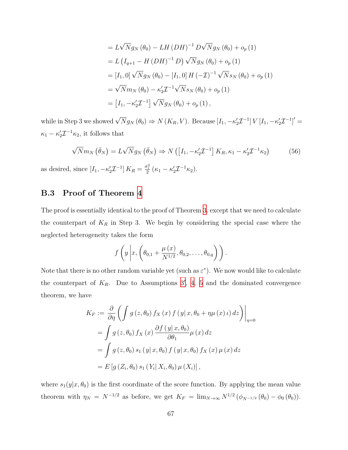$$
= L\sqrt{N}g_N(\theta_0) - LH(DH)^{-1}D\sqrt{N}g_N(\theta_0) + o_p(1)
$$
  
\n
$$
= L\left(I_{q+1} - H(DH)^{-1}D\right)\sqrt{N}g_N(\theta_0) + o_p(1)
$$
  
\n
$$
= [I_1, 0] \sqrt{N}g_N(\theta_0) - [I_1, 0] H(-I)^{-1} \sqrt{N} s_N(\theta_0) + o_p(1)
$$
  
\n
$$
= \sqrt{N}m_N(\theta_0) - \kappa_2' I^{-1} \sqrt{N} s_N(\theta_0) + o_p(1)
$$
  
\n
$$
= [I_1, -\kappa_2' I^{-1}] \sqrt{N}g_N(\theta_0) + o_p(1),
$$

while in Step 3 we showed  $\sqrt{N}g_N(\theta_0) \Rightarrow N(K_R, V)$ . Because  $[I_1, -\kappa_2' \mathcal{I}^{-1}]V[I_1, -\kappa_2' \mathcal{I}^{-1}]' =$  $\kappa_1 - \kappa_2' \mathcal{I}^{-1} \kappa_2$ , it follows that

$$
\sqrt{N}m_N\left(\bar{\theta}_N\right) = L\sqrt{N}g_N\left(\bar{\theta}_N\right) \Rightarrow N\left(\left[I_1, -\kappa_2'\mathcal{I}^{-1}\right]K_R, \kappa_1 - \kappa_2'\mathcal{I}^{-1}\kappa_2\right) \tag{56}
$$

as desired, since  $[I_1, -\kappa'_2 \mathcal{I}^{-1}] K_R = \frac{\sigma_{\varepsilon}^2}{2} (\kappa_1 - \kappa'_2 \mathcal{I}^{-1} \kappa_2).$ 

### **B.3 Proof of Theorem [4](#page-21-0)**

The proof is essentially identical to the proof of Theorem [3](#page-17-1), except that we need to calculate the counterpart of  $K_R$  in Step 3. We begin by considering the special case where the neglected heterogeneity takes the form

<span id="page-66-0"></span>
$$
f\left(y\left|x,\left(\theta_{0,1}+\frac{\mu(x)}{N^{1/2}},\theta_{0,2},\ldots,\theta_{0,q}\right)\right.\right).
$$

Note that there is no other random variable yet (such as  $\varepsilon^*$ ). We now would like to calculate the counterpart of  $K_R$ . Due to Assumptions  $3'$  $3'$ , [4,](#page-59-2) [5](#page-59-3) and the dominated convergence theorem, we have

$$
K_F := \frac{\partial}{\partial \eta} \left( \int g(z, \theta_0) f_X(x) f(y|x, \theta_0 + \eta \mu(x) \iota) dz \right) \Big|_{\eta=0}
$$
  
= 
$$
\int g(z, \theta_0) f_X(x) \frac{\partial f(y|x, \theta_0)}{\partial \theta_1} \mu(x) dz
$$
  
= 
$$
\int g(z, \theta_0) s_1(y|x, \theta_0) f(y|x, \theta_0) f_X(x) \mu(x) dz
$$
  
= 
$$
E[g(Z_i, \theta_0) s_1(Y_i|X_i, \theta_0) \mu(X_i)],
$$

where  $s_1(y|x, \theta_0)$  is the first coordinate of the score function. By applying the mean value theorem with  $\eta_N = N^{-1/2}$  as before, we get  $K_F = \lim_{N \to \infty} N^{1/2} (\phi_{N^{-1/2}}(\theta_0) - \phi_0(\theta_0)).$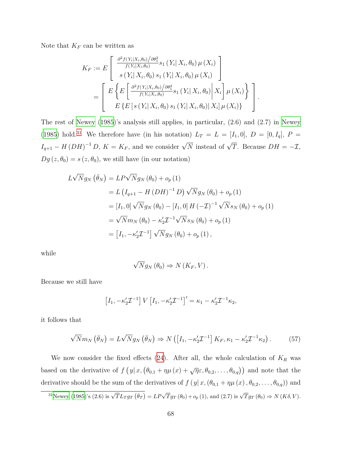Note that  $K_F$  can be written as

$$
K_{F} := E \left[ \frac{\frac{\partial^{2} f(Y_{i}|X_{i}, \theta_{0})}{\partial \theta_{1}^{2}} s_{1} (Y_{i}|X_{i}, \theta_{0}) \mu(X_{i})}{s (Y_{i}|X_{i}, \theta_{0}) s_{1} (Y_{i}|X_{i}, \theta_{0}) \mu(X_{i})} \right]
$$
  
= 
$$
\left[ E \left\{ E \left[ \frac{\frac{\partial^{2} f(Y_{i}|X_{i}, \theta_{0})}{\partial \theta_{1}^{2}} s_{1} (Y_{i}|X_{i}, \theta_{0}) \middle| X_{i} \right] \mu(X_{i}) \right\} \right].
$$
  

$$
E \left\{ E \left[ s (Y_{i}|X_{i}, \theta_{0}) s_{1} (Y_{i}|X_{i}, \theta_{0}) \middle| X_{i} \right] \mu(X_{i}) \right\} \right].
$$

The rest of [Newey](#page-76-0) ([1985](#page-76-0))'s analysis still applies, in particular, (2.6) and (2.7) in [Newey](#page-76-0) ([1985\)](#page-76-0) hold.<sup>31</sup> We therefore have (in his notation)  $L_T = L = [I_1, 0], D = [0, I_q], P =$  $I_{q+1} - H(DH)^{-1} D$ ,  $K = K_F$ , and we consider  $\sqrt{N}$  instead of  $\sqrt{T}$ . Because  $DH = -I$ ,  $Dg(z, \theta_0) = s(z, \theta_0)$ , we still have (in our notation)

$$
L\sqrt{N}g_N(\bar{\theta}_N) = LP\sqrt{N}g_N(\theta_0) + o_p(1)
$$
  
=  $L(I_{q+1} - H(DH)^{-1}D)\sqrt{N}g_N(\theta_0) + o_p(1)$   
=  $[I_1, 0]\sqrt{N}g_N(\theta_0) - [I_1, 0]H(-I)^{-1}\sqrt{N}s_N(\theta_0) + o_p(1)$   
=  $\sqrt{N}m_N(\theta_0) - \kappa'_2I^{-1}\sqrt{N}s_N(\theta_0) + o_p(1)$   
=  $[I_1, -\kappa'_2I^{-1}]\sqrt{N}g_N(\theta_0) + o_p(1),$ 

while

$$
\sqrt{N}g_N(\theta_0) \Rightarrow N(K_F, V).
$$

Because we still have

$$
\[I_1, -\kappa'_2 \mathcal{I}^{-1}\] V \[I_1, -\kappa'_2 \mathcal{I}^{-1}\]' = \kappa_1 - \kappa'_2 \mathcal{I}^{-1} \kappa_2,
$$

it follows that

<span id="page-67-0"></span>
$$
\sqrt{N}m_N\left(\bar{\theta}_N\right) = L\sqrt{N}g_N\left(\bar{\theta}_N\right) \Rightarrow N\left(\left[I_1, -\kappa_2'\mathcal{I}^{-1}\right]K_F, \kappa_1 - \kappa_2'\mathcal{I}^{-1}\kappa_2\right). \tag{57}
$$

We now consider the fixed effects  $(24)$ . After all, the whole calculation of  $K_R$  was based on the derivative of  $f(y|x, (\theta_{0,1} + \eta \mu(x) + \sqrt{\eta}\varepsilon, \theta_{0,2}, \dots, \theta_{0,q}))$  and note that the derivative should be the sum of the derivatives of  $f(y|x, (\theta_{0,1} + \eta \mu(x), \theta_{0,2}, \dots, \theta_{0,q}))$  and

$$
{}^{31}\text{Newey (1985)'s (2.6) is }\sqrt{T}L_Tg_T\left(\bar{\theta}_T\right) = LP\sqrt{T}g_T\left(\theta_0\right) + o_p\left(1\right), \text{ and } (2.7) \text{ is }\sqrt{T}g_T\left(\theta_0\right) \Rightarrow N\left(K\delta, V\right).
$$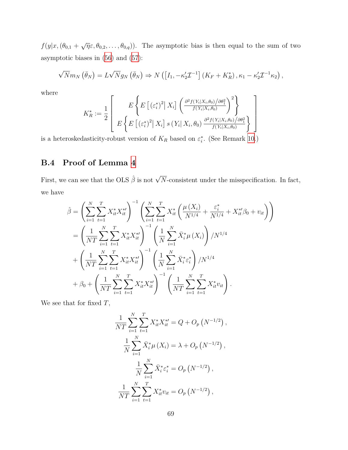$f(y|x, (\theta_{0,1} + \sqrt{\eta \varepsilon}, \theta_{0,2}, \dots, \theta_{0,q}))$ . The asymptotic bias is then equal to the sum of two asymptotic biases in [\(56](#page-66-0)) and ([57\)](#page-67-0):

$$
\sqrt{N}m_N\left(\bar{\theta}_N\right) = L\sqrt{N}g_N\left(\bar{\theta}_N\right) \Rightarrow N\left(\left[I_1, -\kappa_2'\mathcal{I}^{-1}\right]\left(K_F + K_R^*\right), \kappa_1 - \kappa_2'\mathcal{I}^{-1}\kappa_2\right),
$$

1

 $\overline{1}$  $\overline{a}$  $\overline{1}$  $\overline{1}$ 

where

$$
K_R^* := \frac{1}{2} \left[ E \left\{ E \left[ \left( \varepsilon_i^* \right)^2 \middle| X_i \right] \left( \frac{\partial^2 f(Y_i | X_i, \theta_0) / \partial \theta_1^2}{f(Y_i | X_i, \theta_0)} \right)^2 \right\} \right]
$$

$$
E \left\{ E \left[ \left( \varepsilon_i^* \right)^2 \middle| X_i \right] s \left( Y_i | X_i, \theta_0 \right) \frac{\partial^2 f(Y_i | X_i, \theta_0) / \partial \theta_1^2}{f(Y_i | X_i, \theta_0)} \right\}
$$

is a heteroskedasticity-robust version of  $K_R$  based on  $\varepsilon_i^*$ . (See Remark [10.](#page-64-0))

### **B.4 Proof of Lemma [4](#page-24-0)**

First, we can see that the OLS  $\hat{\beta}$  is not  $\sqrt{N}$ -consistent under the misspecification. In fact, we have

$$
\hat{\beta} = \left(\sum_{i=1}^{N} \sum_{t=1}^{T} X_{it}^{*} X_{it}^{*t}\right)^{-1} \left(\sum_{i=1}^{N} \sum_{t=1}^{T} X_{it}^{*} \left(\frac{\mu(X_{i})}{N^{1/4}} + \frac{\varepsilon_{i}^{*}}{N^{1/4}} + X_{it}^{*/3}\beta_{0} + v_{it}\right)\right)
$$
\n
$$
= \left(\frac{1}{NT} \sum_{i=1}^{N} \sum_{t=1}^{T} X_{it}^{*} X_{it}^{*t}\right)^{-1} \left(\frac{1}{N} \sum_{i=1}^{N} \bar{X}_{i}^{*} \mu(X_{i})\right) / N^{1/4}
$$
\n
$$
+ \left(\frac{1}{NT} \sum_{i=1}^{N} \sum_{t=1}^{T} X_{it}^{*} X_{it}^{*t}\right)^{-1} \left(\frac{1}{N} \sum_{i=1}^{N} \bar{X}_{i}^{*} \varepsilon_{i}^{*}\right) / N^{1/4}
$$
\n
$$
+ \beta_{0} + \left(\frac{1}{NT} \sum_{i=1}^{N} \sum_{t=1}^{T} X_{it}^{*} X_{it}^{*t}\right)^{-1} \left(\frac{1}{NT} \sum_{i=1}^{N} \sum_{t=1}^{T} X_{it}^{*} v_{it}\right).
$$

We see that for fixed *T*,

$$
\frac{1}{NT} \sum_{i=1}^{N} \sum_{t=1}^{T} X_{it}^{*} X_{it}^{*} = Q + O_p (N^{-1/2}),
$$

$$
\frac{1}{N} \sum_{i=1}^{N} \bar{X}_{i}^{*} \mu (X_{i}) = \lambda + O_p (N^{-1/2}),
$$

$$
\frac{1}{N} \sum_{i=1}^{N} \bar{X}_{i}^{*} \varepsilon_{i}^{*} = O_p (N^{-1/2}),
$$

$$
\frac{1}{NT} \sum_{i=1}^{N} \sum_{t=1}^{T} X_{it}^{*} v_{it} = O_p (N^{-1/2}),
$$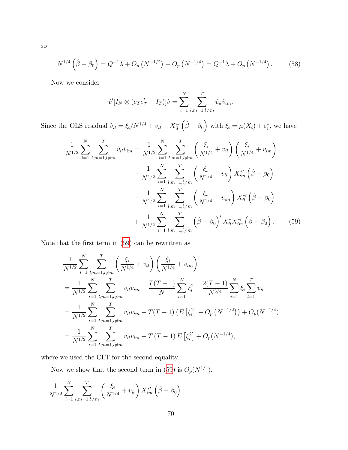<span id="page-69-1"></span>
$$
N^{1/4}(\hat{\beta}-\beta_0) = Q^{-1}\lambda + O_p(N^{-1/2}) + O_p(N^{-1/4}) = Q^{-1}\lambda + O_p(N^{-1/4}).
$$
 (58)

Now we consider

<span id="page-69-0"></span>
$$
\hat{v}'[I_N \otimes (e_T e'_T - I_T)]\hat{v} = \sum_{i=1}^N \sum_{l,m=1,l \neq m}^T \hat{v}_{il} \hat{v}_{im}.
$$

Since the OLS residual  $\hat{v}_{il} = \xi_i/N^{1/4} + v_{il} - X_{il}^{*\prime}(\hat{\beta} - \beta_0)$  with  $\xi_i = \mu(X_i) + \varepsilon_i^*$ , we have

$$
\frac{1}{N^{1/2}} \sum_{i=1}^{N} \sum_{l,m=1,l \neq m}^{T} \hat{v}_{il} \hat{v}_{im} = \frac{1}{N^{1/2}} \sum_{i=1}^{N} \sum_{l,m=1,l \neq m}^{T} \left( \frac{\xi_i}{N^{1/4}} + v_{il} \right) \left( \frac{\xi_i}{N^{1/4}} + v_{im} \right)
$$

$$
- \frac{1}{N^{1/2}} \sum_{i=1}^{N} \sum_{l,m=1,l \neq m}^{T} \left( \frac{\xi_i}{N^{1/4}} + v_{il} \right) X_{im}^{*'} \left( \hat{\beta} - \beta_0 \right)
$$

$$
- \frac{1}{N^{1/2}} \sum_{i=1}^{N} \sum_{l,m=1,l \neq m}^{T} \left( \frac{\xi_i}{N^{1/4}} + v_{im} \right) X_{il}^{*'} \left( \hat{\beta} - \beta_0 \right)
$$

$$
+ \frac{1}{N^{1/2}} \sum_{i=1}^{N} \sum_{l,m=1,l \neq m}^{T} \left( \hat{\beta} - \beta_0 \right)' X_{il}^{*} X_{im}^{*'} \left( \hat{\beta} - \beta_0 \right). \tag{59}
$$

Note that the first term in [\(59\)](#page-69-0) can be rewritten as

$$
\frac{1}{N^{1/2}} \sum_{i=1}^{N} \sum_{l,m=1,l \neq m}^{T} \left( \frac{\xi_i}{N^{1/4}} + v_{il} \right) \left( \frac{\xi_i}{N^{1/4}} + v_{im} \right)
$$
\n
$$
= \frac{1}{N^{1/2}} \sum_{i=1}^{N} \sum_{l,m=1,l \neq m}^{T} v_{il} v_{im} + \frac{T(T-1)}{N} \sum_{i=1}^{N} \xi_i^2 + \frac{2(T-1)}{N^{3/4}} \sum_{i=1}^{N} \xi_i \sum_{l=1}^{T} v_{il}
$$
\n
$$
= \frac{1}{N^{1/2}} \sum_{i=1}^{N} \sum_{l,m=1,l \neq m}^{T} v_{il} v_{im} + T(T-1) \left( E \left[ \xi_i^2 \right] + O_p \left( N^{-1/2} \right) \right) + O_p \left( N^{-1/4} \right)
$$
\n
$$
= \frac{1}{N^{1/2}} \sum_{i=1}^{N} \sum_{l,m=1,l \neq m}^{T} v_{il} v_{im} + T \left( T - 1 \right) E \left[ \xi_i^2 \right] + O_p \left( N^{-1/4} \right),
$$

where we used the CLT for the second equality.

Now we show that the second term in [\(59](#page-69-0)) is  $O_p(N^{1/4})$ .

$$
\frac{1}{N^{1/2}} \sum_{i=1}^{N} \sum_{l,m=1,l \neq m}^{T} \left( \frac{\xi_i}{N^{1/4}} + v_{il} \right) X_{im}^{*'} \left( \hat{\beta} - \beta_0 \right)
$$

so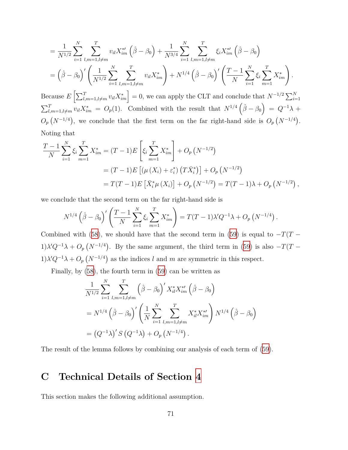$$
= \frac{1}{N^{1/2}} \sum_{i=1}^{N} \sum_{l,m=1,l \neq m}^{T} v_{il} X_{im}^{*} (\hat{\beta} - \beta_0) + \frac{1}{N^{3/4}} \sum_{i=1}^{N} \sum_{l,m=1,l \neq m}^{T} \xi_i X_{im}^{*} (\hat{\beta} - \beta_0)
$$
  
=  $(\hat{\beta} - \beta_0) \left( \frac{1}{N^{1/2}} \sum_{i=1}^{N} \sum_{l,m=1,l \neq m}^{T} v_{il} X_{im}^{*} \right) + N^{1/4} (\hat{\beta} - \beta_0) \left( \frac{T-1}{N} \sum_{i=1}^{N} \xi_i \sum_{m=1}^{T} X_{im}^{*} \right).$ 

Because  $E\left[\sum_{l,m=1,l\neq m}^{T} v_{il} X_{im}^{*}\right] = 0$ , we can apply the CLT and conclude that  $N^{-1/2} \sum_{i=1}^{N} v_{il} X_{im}^{*}$  $\sum_{l,m=1,l\neq m}^{T} v_{il} X_{im}^* = O_p(1)$ . Combined with the result that  $N^{1/4}(\hat{\beta}-\beta_0) = Q^{-1}\lambda +$  $O_p(N^{-1/4})$ , we conclude that the first term on the far right-hand side is  $O_p(N^{-1/4})$ . Noting that

$$
\frac{T-1}{N} \sum_{i=1}^{N} \xi_i \sum_{m=1}^{T} X_{im}^* = (T-1)E \left[ \xi_i \sum_{m=1}^{T} X_{im}^* \right] + O_p(N^{-1/2})
$$
  
=  $(T-1)E \left[ (\mu(X_i) + \varepsilon_i^*) (T\bar{X}_i^*) \right] + O_p(N^{-1/2})$   
=  $T(T-1)E \left[ \bar{X}_i^* \mu(X_i) \right] + O_p(N^{-1/2}) = T(T-1)\lambda + O_p(N^{-1/2}),$ 

we conclude that the second term on the far right-hand side is

$$
N^{1/4} (\hat{\beta} - \beta_0)' \left( \frac{T-1}{N} \sum_{i=1}^N \xi_i \sum_{m=1}^T X_{im}^* \right) = T(T-1) \lambda' Q^{-1} \lambda + O_p \left( N^{-1/4} \right).
$$

Combined with ([58\)](#page-69-1), we should have that the second term in ([59](#page-69-0)) is equal to  $-T(T 1)$  $\lambda'Q^{-1}\lambda + O_p(N^{-1/4})$ . By the same argument, the third term in [\(59\)](#page-69-0) is also  $-T(T-T)$ 1) $\lambda' Q^{-1} \lambda + O_p(N^{-1/4})$  as the indices *l* and *m* are symmetric in this respect.

Finally, by ([58\)](#page-69-1), the fourth term in [\(59\)](#page-69-0) can be written as

$$
\frac{1}{N^{1/2}} \sum_{i=1}^{N} \sum_{l,m=1,l \neq m}^{T} \left( \hat{\beta} - \beta_0 \right)' X_{il}^* X_{im}^{*l} \left( \hat{\beta} - \beta_0 \right)
$$
  
=  $N^{1/4} \left( \hat{\beta} - \beta_0 \right)' \left( \frac{1}{N} \sum_{i=1}^{N} \sum_{l,m=1,l \neq m}^{T} X_{il}^* X_{im}^{*l} \right) N^{1/4} \left( \hat{\beta} - \beta_0 \right)$   
=  $(Q^{-1} \lambda)' S \left( Q^{-1} \lambda \right) + O_p \left( N^{-1/4} \right).$ 

The result of the lemma follows by combining our analysis of each term of ([59](#page-69-0)).

# **C Technical Details of Section [4](#page-25-0)**

This section makes the following additional assumption.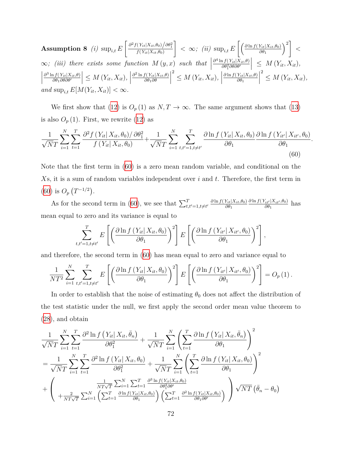Assumption 8 (i) 
$$
\sup_{i,t} E\left[\frac{\partial^2 f(Y_{it}|X_{it}, \theta_0)/\partial \theta_1^2}{f(Y_{it}|X_{it}, \theta_0)}\right] < \infty
$$
; (ii)  $\sup_{i,t} E\left[\left(\frac{\partial \ln f(Y_{it}|X_{it}, \theta_0)}{\partial \theta_1}\right)^2\right] < \infty$ ; (iii) there exists some function  $M(y, x)$  such that  $\left|\frac{\partial^4 \ln f(Y_{it}|X_{it}, \theta)}{\partial \theta_1^2 \partial \theta \partial \theta'}\right| \leq M(Y_{it}, X_{it}),$   
 $\left|\frac{\partial^3 \ln f(Y_{it}|X_{it}, \theta)}{\partial \theta_1 \partial \theta \partial \theta'}\right| \leq M(Y_{it}, X_{it}), \left|\frac{\partial^2 \ln f(Y_{it}|X_{it}, \theta)}{\partial \theta_1 \partial \theta}\right|^2 \leq M(Y_{it}, X_{it}), \left|\frac{\partial \ln f(Y_{it}|X_{it}, \theta)}{\partial \theta_1}\right|^2 \leq M(Y_{it}, X_{it}),$   
and  $\sup_{i,t} E[M(Y_{it}, X_{it})] < \infty$ .

We first show that ([12](#page-10-0)) is  $O_p(1)$  as  $N, T \to \infty$ . The same argument shows that ([13\)](#page-10-1) is also  $O_p(1)$ . First, we rewrite  $(12)$  $(12)$  $(12)$  as

<span id="page-71-0"></span>
$$
\frac{1}{\sqrt{N}T} \sum_{i=1}^{N} \sum_{t=1}^{T} \frac{\partial^2 f(Y_{it} | X_{it}, \theta_0) / \partial \theta_1^2}{f(Y_{it} | X_{it}, \theta_0)} + \frac{1}{\sqrt{N}T} \sum_{i=1}^{N} \sum_{t,t'=1, t \neq t'}^{T} \frac{\partial \ln f(Y_{it} | X_{it}, \theta_0)}{\partial \theta_1} \frac{\partial \ln f(Y_{it'} | X_{it'}, \theta_0)}{\partial \theta_1}
$$
(60)

*.*

Note that the first term in ([60](#page-71-0)) is a zero mean random variable, and conditional on the *X*s, it is a sum of random variables independent over *i* and *t*. Therefore, the first term in ([60](#page-71-0)) is  $O_p(T^{-1/2})$ .

As for the second term in ([60](#page-71-0)), we see that  $\sum_{t,t'=1,t\neq t'}^{T} \frac{\partial \ln f(Y_{it}|X_{it},\theta_0)}{\partial \theta_1}$  $\frac{\partial \ln f(Y_{it'}|X_{it'}, \theta_0)}{}$  $\frac{\partial^2 u}{\partial \theta_1}^{i t^{}/A}$  has mean equal to zero and its variance is equal to

$$
\sum_{t,t'=1,t\neq t'}^{T} E\left[\left(\frac{\partial \ln f\left(Y_{it}|X_{it},\theta_0\right)}{\partial \theta_1}\right)^2\right] E\left[\left(\frac{\partial \ln f\left(Y_{it'}|X_{it'},\theta_0\right)}{\partial \theta_1}\right)^2\right],
$$

and therefore, the second term in [\(60\)](#page-71-0) has mean equal to zero and variance equal to

$$
\frac{1}{NT^2} \sum_{i=1}^N \sum_{t,t'=1,t\neq t'}^T E\left[ \left( \frac{\partial \ln f(Y_{it}|X_{it}, \theta_0)}{\partial \theta_1} \right)^2 \right] E\left[ \left( \frac{\partial \ln f(Y_{it'}|X_{it'}, \theta_0)}{\partial \theta_1} \right)^2 \right] = O_p(1).
$$

In order to establish that the noise of estimating  $\theta_0$  does not affect the distribution of the test statistic under the null, we first apply the second order mean value theorem to ([28](#page-25-1)), and obtain

$$
\frac{1}{\sqrt{N}T} \sum_{i=1}^{N} \sum_{t=1}^{T} \frac{\partial^2 \ln f(Y_{it} | X_{it}, \bar{\theta}_n)}{\partial \theta_1^2} + \frac{1}{\sqrt{N}T} \sum_{i=1}^{N} \left( \sum_{t=1}^{T} \frac{\partial \ln f(Y_{it} | X_{it}, \bar{\theta}_n)}{\partial \theta_1} \right)^2
$$
\n
$$
= \frac{1}{\sqrt{N}T} \sum_{i=1}^{N} \sum_{t=1}^{T} \frac{\partial^2 \ln f(Y_{it} | X_{it}, \theta_0)}{\partial \theta_1^2} + \frac{1}{\sqrt{N}T} \sum_{i=1}^{N} \left( \sum_{t=1}^{T} \frac{\partial \ln f(Y_{it} | X_{it}, \theta_0)}{\partial \theta_1} \right)^2
$$
\n
$$
+ \left( \frac{\frac{1}{N}T\sqrt{T}}{T\sqrt{T}} \sum_{i=1}^{N} \sum_{t=1}^{T} \sum_{t=1}^{T} \frac{\partial^3 \ln f(Y_{it} | X_{it}, \theta_0)}{\partial \theta_1^2 \partial \theta_1^2} + \frac{\partial^2 \ln f(Y_{it} | X_{it}, \theta_0)}{\partial \theta_1^2 \partial \theta_1^2} \right) \sqrt{NT} (\bar{\theta}_n - \theta_0)
$$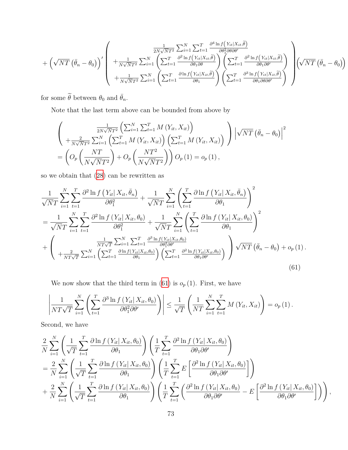$$
+\left(\sqrt{NT}\left(\bar{\theta}_{n}-\theta_{0}\right)\right)'\left(\frac{\frac{1}{2N\sqrt{NT^{2}}}\sum_{i=1}^{N}\sum_{t=1}^{T}\frac{\partial^{4}\ln f\left(Y_{it}|X_{it},\tilde{\theta}\right)}{\partial\theta_{1}^{2}\partial\theta\partial\theta'}}{\frac{1}{2N\sqrt{NT^{2}}}\sum_{i=1}^{N}\left(\sum_{t=1}^{T}\frac{\partial^{2}\ln f\left(Y_{it}|X_{it},\tilde{\theta}\right)}{\partial\theta_{1}\partial\theta}\right)\left(\sum_{t=1}^{T}\frac{\partial^{2}\ln f\left(Y_{it}|X_{it},\tilde{\theta}\right)}{\partial\theta_{1}\partial\theta'}}{\frac{1}{2N\sqrt{NT^{2}}}\sum_{i=1}^{N}\left(\sum_{t=1}^{T}\frac{\partial\ln f\left(Y_{it}|X_{it},\tilde{\theta}\right)}{\partial\theta_{1}}\right)\left(\sum_{t=1}^{T}\frac{\partial^{3}\ln f\left(Y_{it}|X_{it},\tilde{\theta}\right)}{\partial\theta_{1}\partial\theta\partial\theta'}}{\frac{1}{2N\sqrt{NT^{2}}}\sum_{i=1}^{N}\left(\sum_{t=1}^{T}\frac{\partial\ln f\left(Y_{it}|X_{it},\tilde{\theta}\right)}{\partial\theta_{1}}\right)\left(\sum_{t=1}^{T}\frac{\partial^{3}\ln f\left(Y_{it}|X_{it},\tilde{\theta}\right)}{\partial\theta_{1}\partial\theta\partial\theta'}}{\frac{1}{2N\sqrt{NT^{2}}}\sum_{i=1}^{N}\left(\sum_{t=1}^{T}\frac{\partial\ln f\left(Y_{it}|X_{it},\tilde{\theta}\right)}{\partial\theta_{1}}\right)}\right)\right\}
$$

for some  $\widetilde{\theta}$  between  $\theta_0$  and  $\bar{\theta}_n.$ 

Note that the last term above can be bounded from above by

$$
\begin{pmatrix}\n\frac{1}{2N\sqrt{N}T^{2}}\left(\sum_{i=1}^{N}\sum_{t=1}^{T}M(Y_{it},X_{it})\right) \\
+\frac{2}{N\sqrt{N}T^{2}}\sum_{i=1}^{N}\left(\sum_{t=1}^{T}M(Y_{it},X_{it})\right)\left(\sum_{t=1}^{T}M(Y_{it},X_{it})\right)\n\end{pmatrix}\n\left|\sqrt{NT}\left(\bar{\theta}_{n}-\theta_{0}\right)\right|^{2} \\
=\left(O_{p}\left(\frac{NT}{N\sqrt{NT}^{2}}\right)+O_{p}\left(\frac{NT^{2}}{N\sqrt{NT}^{2}}\right)\right)O_{p}(1)=o_{p}(1),
$$

so we obtain that ([28\)](#page-25-0) can be rewritten as

$$
\frac{1}{\sqrt{N}T} \sum_{i=1}^{N} \sum_{t=1}^{T} \frac{\partial^2 \ln f(Y_{it}|X_{it}, \bar{\theta}_n)}{\partial \theta_1^2} + \frac{1}{\sqrt{N}T} \sum_{i=1}^{N} \left( \sum_{t=1}^{T} \frac{\partial \ln f(Y_{it}|X_{it}, \bar{\theta}_n)}{\partial \theta_1} \right)^2
$$
\n
$$
= \frac{1}{\sqrt{N}T} \sum_{i=1}^{N} \sum_{t=1}^{T} \frac{\partial^2 \ln f(Y_{it}|X_{it}, \theta_0)}{\partial \theta_1^2} + \frac{1}{\sqrt{N}T} \sum_{i=1}^{N} \left( \sum_{t=1}^{T} \frac{\partial \ln f(Y_{it}|X_{it}, \theta_0)}{\partial \theta_1} \right)^2
$$
\n
$$
+ \left( \frac{\frac{1}{NT\sqrt{T}} \sum_{i=1}^{N} \sum_{t=1}^{T} \frac{\partial^3 \ln f(Y_{it}|X_{it}, \theta_0)}{\partial \theta_1^2 \partial \theta_1^2}}{\frac{\partial^2 \ln f(Y_{it}|X_{it}, \theta_0)}{\partial \theta_1^2 \partial \theta_1^2}} \right) \sqrt{NT} \left( \bar{\theta}_n - \theta_0 \right) + o_p(1).
$$
\n(61)

<span id="page-72-0"></span>We now show that the third term in [\(61](#page-72-0)) is  $o_p(1)$ . First, we have

$$
\left|\frac{1}{NT\sqrt{T}}\sum_{i=1}^N\left(\sum_{t=1}^T\frac{\partial^3\ln f(Y_{it}|X_{it},\theta_0)}{\partial\theta_1^2\partial\theta'}\right)\right|\leq \frac{1}{\sqrt{T}}\left(\frac{1}{NT}\sum_{i=1}^N\sum_{t=1}^T M(Y_{it},X_{it})\right)=o_p(1).
$$

Second, we have

$$
\frac{2}{N} \sum_{i=1}^{N} \left( \frac{1}{\sqrt{T}} \sum_{t=1}^{T} \frac{\partial \ln f(Y_{it} | X_{it}, \theta_0)}{\partial \theta_1} \right) \left( \frac{1}{T} \sum_{t=1}^{T} \frac{\partial^2 \ln f(Y_{it} | X_{it}, \theta_0)}{\partial \theta_1 \partial \theta'} \right) \n= \frac{2}{N} \sum_{i=1}^{N} \left( \frac{1}{\sqrt{T}} \sum_{t=1}^{T} \frac{\partial \ln f(Y_{it} | X_{it}, \theta_0)}{\partial \theta_1} \right) \left( \frac{1}{T} \sum_{t=1}^{T} E\left[ \frac{\partial^2 \ln f(Y_{it} | X_{it}, \theta_0)}{\partial \theta_1 \partial \theta'} \right] \right) \n+ \frac{2}{N} \sum_{i=1}^{N} \left( \frac{1}{\sqrt{T}} \sum_{t=1}^{T} \frac{\partial \ln f(Y_{it} | X_{it}, \theta_0)}{\partial \theta_1} \right) \left( \frac{1}{T} \sum_{t=1}^{T} \left( \frac{\partial^2 \ln f(Y_{it} | X_{it}, \theta_0)}{\partial \theta_1 \partial \theta'} - E\left[ \frac{\partial^2 \ln f(Y_{it} | X_{it}, \theta_0)}{\partial \theta_1 \partial \theta'} \right] \right) \right),
$$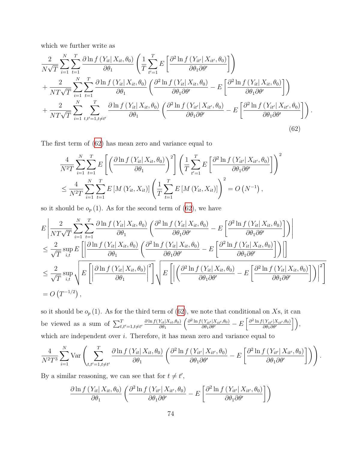which we further write as

$$
\frac{2}{N\sqrt{T}}\sum_{i=1}^{N}\sum_{t=1}^{T}\frac{\partial\ln f\left(Y_{it}|X_{it},\theta_{0}\right)}{\partial\theta_{1}}\left(\frac{1}{T}\sum_{t'=1}^{T}E\left[\frac{\partial^{2}\ln f\left(Y_{it'}|X_{it'},\theta_{0}\right)}{\partial\theta_{1}\partial\theta'}\right]\right) \n+\frac{2}{NT\sqrt{T}}\sum_{i=1}^{N}\sum_{t=1}^{T}\frac{\partial\ln f\left(Y_{it}|X_{it},\theta_{0}\right)}{\partial\theta_{1}}\left(\frac{\partial^{2}\ln f\left(Y_{it}|X_{it},\theta_{0}\right)}{\partial\theta_{1}\partial\theta'}-E\left[\frac{\partial^{2}\ln f\left(Y_{it}|X_{it},\theta_{0}\right)}{\partial\theta_{1}\partial\theta'}\right]\right) \n+\frac{2}{NT\sqrt{T}}\sum_{i=1}^{N}\sum_{t,t'=1,t\neq t'}^{T}\frac{\partial\ln f\left(Y_{it}|X_{it},\theta_{0}\right)}{\partial\theta_{1}}\left(\frac{\partial^{2}\ln f\left(Y_{it'}|X_{it'},\theta_{0}\right)}{\partial\theta_{1}\partial\theta'}-E\left[\frac{\partial^{2}\ln f\left(Y_{it'}|X_{it'},\theta_{0}\right)}{\partial\theta_{1}\partial\theta'}\right]\right).
$$
\n(62)

The first term of ([62](#page-73-0)) has mean zero and variance equal to

<span id="page-73-0"></span>
$$
\frac{4}{N^2T} \sum_{i=1}^N \sum_{t=1}^T E\left[ \left( \frac{\partial \ln f(Y_{it}| X_{it}, \theta_0)}{\partial \theta_1} \right)^2 \right] \left( \frac{1}{T} \sum_{t'=1}^T E\left[ \frac{\partial^2 \ln f(Y_{it'}| X_{it'}, \theta_0)}{\partial \theta_1 \partial \theta'} \right] \right)^2
$$
\n
$$
\leq \frac{4}{N^2T} \sum_{i=1}^N \sum_{t=1}^T E\left[ M(Y_{it}, X_{it}) \right] \left( \frac{1}{T} \sum_{t=1}^T E\left[ M(Y_{it}, X_{it}) \right] \right)^2 = O\left( N^{-1} \right),
$$

so it should be  $o_p(1)$ . As for the second term of  $(62)$  $(62)$ , we have

$$
E\left|\frac{2}{NT\sqrt{T}}\sum_{i=1}^{N}\sum_{t=1}^{T}\frac{\partial\ln f(Y_{it}|X_{it},\theta_{0})}{\partial\theta_{1}}\left(\frac{\partial^{2}\ln f(Y_{it}|X_{it},\theta_{0})}{\partial\theta_{1}\partial\theta'} - E\left[\frac{\partial^{2}\ln f(Y_{it}|X_{it},\theta_{0})}{\partial\theta_{1}\partial\theta'}\right]\right)\right|
$$
  
\n
$$
\leq \frac{2}{\sqrt{T}}\sup_{i,t} E\left[\left|\frac{\partial\ln f(Y_{it}|X_{it},\theta_{0})}{\partial\theta_{1}}\left(\frac{\partial^{2}\ln f(Y_{it}|X_{it},\theta_{0})}{\partial\theta_{1}\partial\theta'} - E\left[\frac{\partial^{2}\ln f(Y_{it}|X_{it},\theta_{0})}{\partial\theta_{1}\partial\theta'}\right]\right)\right|\right]
$$
  
\n
$$
\leq \frac{2}{\sqrt{T}}\sup_{i,t} \sqrt{E\left[\left|\frac{\partial\ln f(Y_{it}|X_{it},\theta_{0})}{\partial\theta_{1}}\right|^{2}\right]}\sqrt{E\left[\left|\left(\frac{\partial^{2}\ln f(Y_{it}|X_{it},\theta_{0})}{\partial\theta_{1}\partial\theta'} - E\left[\frac{\partial^{2}\ln f(Y_{it}|X_{it},\theta_{0})}{\partial\theta_{1}\partial\theta'}\right]\right)\right|^{2}\right]}
$$
  
\n= O(T^{-1/2}),

so it should be  $o_p(1)$ . As for the third term of [\(62](#page-73-0)), we note that conditional on Xs, it can be viewed as a sum of  $\sum_{t,t'=1,t\neq t'}^{T} \frac{\partial \ln f(Y_{it}|X_{it},\theta_0)}{\partial \theta_1}$  $\left(\frac{\partial^2 \ln f(Y_{it'}|X_{it'},\theta_0)}{\partial \theta_1 \partial \theta'} - E\left[\frac{\partial^2 \ln f(Y_{it'}|X_{it'},\theta_0)}{\partial \theta_1 \partial \theta'}\right]\right)$  $\left(\frac{Y_{it'}|X_{it'},\theta_0)}{\partial \theta_1 \partial \theta'}\right],$ which are independent over *i*. Therefore, it has mean zero and variance equal to

$$
\frac{4}{N^2T^3}\sum_{i=1}^N \text{Var}\left(\sum_{t,t'=1,t\neq t'}^T \frac{\partial \ln f\left(Y_{it}| X_{it}, \theta_0\right)}{\partial \theta_1} \left(\frac{\partial^2 \ln f\left(Y_{it'}| X_{it'}, \theta_0\right)}{\partial \theta_1 \partial \theta'} - E\left[\frac{\partial^2 \ln f\left(Y_{it'}| X_{it'}, \theta_0\right)}{\partial \theta_1 \partial \theta'}\right]\right)\right).
$$

By a similar reasoning, we can see that for  $t \neq t'$ ,

$$
\frac{\partial \ln f(Y_{it}|X_{it}, \theta_0)}{\partial \theta_1} \left( \frac{\partial^2 \ln f(Y_{it'}|X_{it'}, \theta_0)}{\partial \theta_1 \partial \theta'} - E \left[ \frac{\partial^2 \ln f(Y_{it'}|X_{it'}, \theta_0)}{\partial \theta_1 \partial \theta'} \right] \right)
$$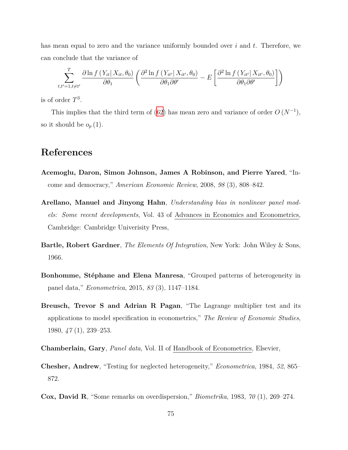has mean equal to zero and the variance uniformly bounded over *i* and *t*. Therefore, we can conclude that the variance of

$$
\sum_{t,t'=1, t\neq t'}^{T} \frac{\partial \ln f\left(Y_{it} | X_{it}, \theta_0\right)}{\partial \theta_1} \left( \frac{\partial^2 \ln f\left(Y_{it'} | X_{it'}, \theta_0\right)}{\partial \theta_1 \partial \theta'} - E\left[\frac{\partial^2 \ln f\left(Y_{it'} | X_{it'}, \theta_0\right)}{\partial \theta_1 \partial \theta'}\right] \right)
$$

is of order *T* 3 .

This implies that the third term of ([62](#page-73-0)) has mean zero and variance of order  $O(N^{-1})$ , so it should be  $o_p(1)$ .

## **References**

- **Acemoglu, Daron, Simon Johnson, James A Robinson, and Pierre Yared**, "Income and democracy," *American Economic Review*, 2008, *98* (3), 808–842.
- **Arellano, Manuel and Jinyong Hahn**, *Understanding bias in nonlinear panel models: Some recent developments*, Vol. 43 of Advances in Economics and Econometrics, Cambridge: Cambridge Univerisity Press,
- **Bartle, Robert Gardner**, *The Elements Of Integration*, New York: John Wiley & Sons, 1966.
- **Bonhomme, Stéphane and Elena Manresa**, "Grouped patterns of heterogeneity in panel data," *Econometrica*, 2015, *83* (3), 1147–1184.
- **Breusch, Trevor S and Adrian R Pagan**, "The Lagrange multiplier test and its applications to model specification in econometrics," *The Review of Economic Studies*, 1980, *47* (1), 239–253.
- **Chamberlain, Gary**, *Panel data*, Vol. II of Handbook of Econometrics, Elsevier,
- **Chesher, Andrew**, "Testing for neglected heterogeneity," *Econometrica*, 1984, *52*, 865– 872.
- **Cox, David R**, "Some remarks on overdispersion," *Biometrika*, 1983, *70* (1), 269–274.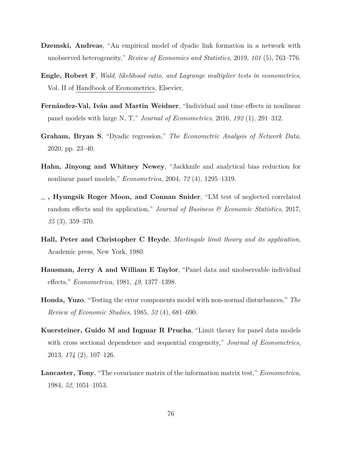- **Dzemski, Andreas**, "An empirical model of dyadic link formation in a network with unobserved heterogeneity," *Review of Economics and Statistics*, 2019, *101* (5), 763–776.
- **Engle, Robert F**, *Wald, likelihood ratio, and Lagrange multiplier tests in econometrics*, Vol. II of Handbook of Econometrics, Elsevier,
- **Fernández-Val, Iván and Martin Weidner**, "Individual and time effects in nonlinear panel models with large N, T," *Journal of Econometrics*, 2016, *192* (1), 291–312.
- **Graham, Bryan S**, "Dyadic regression," *The Econometric Analysis of Network Data*, 2020, pp. 23–40.
- **Hahn, Jinyong and Whitney Newey**, "Jackknife and analytical bias reduction for nonlinear panel models," *Econometrica*, 2004, *72* (4), 1295–1319.
- **, Hyungsik Roger Moon, and Connan Snider**, "LM test of neglected correlated random effects and its application," *Journal of Business & Economic Statistics*, 2017, *35* (3), 359–370.
- **Hall, Peter and Christopher C Heyde**, *Martingale limit theory and its application*, Academic press, New York, 1980.
- **Hausman, Jerry A and William E Taylor**, "Panel data and unobservable individual effects," *Econometrica*, 1981, *49*, 1377–1398.
- **Honda, Yuzo**, "Testing the error components model with non-normal disturbances," *The Review of Economic Studies*, 1985, *52* (4), 681–690.
- **Kuersteiner, Guido M and Ingmar R Prucha**, "Limit theory for panel data models with cross sectional dependence and sequential exogeneity," *Journal of Econometrics*, 2013, *174* (2), 107–126.
- **Lancaster, Tony**, "The covariance matrix of the information matrix test," *Econometrica*, 1984, *52*, 1051–1053.